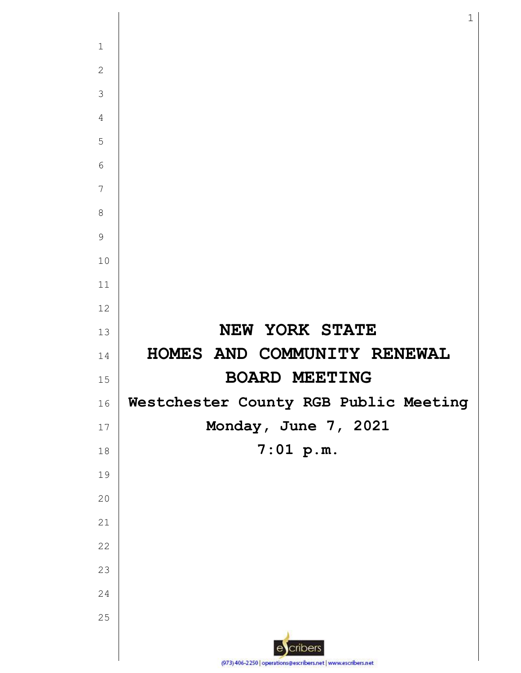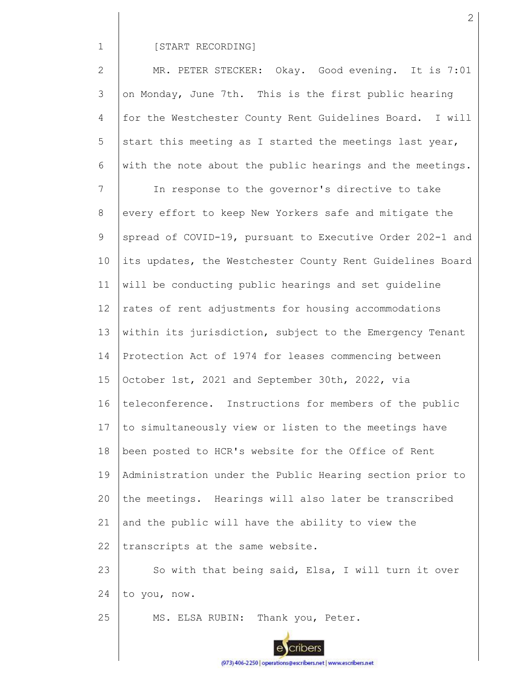1

## [START RECORDING]

2 3 4 5 6 7 8 9 10 11 12 13 14 15 16 17 18 19 20 21 22 23 24 MR. PETER STECKER: Okay. Good evening. It is 7:01 on Monday, June 7th. This is the first public hearing for the Westchester County Rent Guidelines Board. I will start this meeting as I started the meetings last year, with the note about the public hearings and the meetings. In response to the governor's directive to take every effort to keep New Yorkers safe and mitigate the spread of COVID-19, pursuant to Executive Order 202-1 and its updates, the Westchester County Rent Guidelines Board will be conducting public hearings and set guideline rates of rent adjustments for housing accommodations within its jurisdiction, subject to the Emergency Tenant Protection Act of 1974 for leases commencing between October 1st, 2021 and September 30th, 2022, via teleconference. Instructions for members of the public to simultaneously view or listen to the meetings have been posted to HCR's website for the Office of Rent Administration under the Public Hearing section prior to the meetings. Hearings will also later be transcribed and the public will have the ability to view the transcripts at the same website. So with that being said, Elsa, I will turn it over to you, now.

25 MS. ELSA RUBIN: Thank you, Peter.



(973) 406-2250 | operations@escribers.net | www.escribers.net

2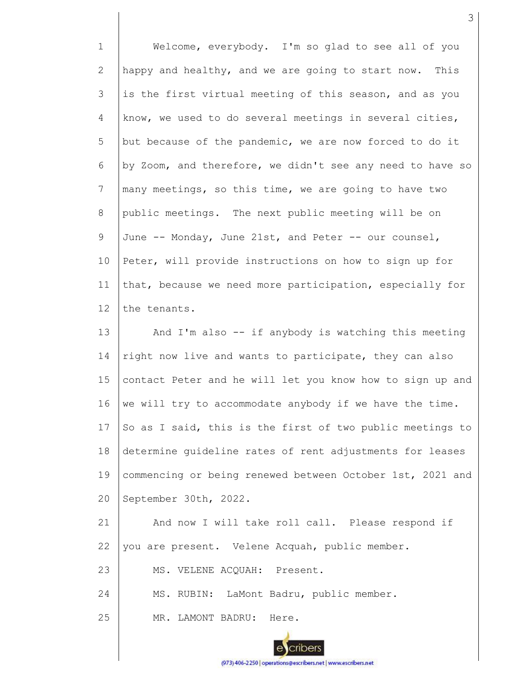1 2 3 4 5 6 7 8 9 10 11 12 13 Welcome, everybody. I'm so glad to see all of you happy and healthy, and we are going to start now. This is the first virtual meeting of this season, and as you know, we used to do several meetings in several cities, but because of the pandemic, we are now forced to do it by Zoom, and therefore, we didn't see any need to have so many meetings, so this time, we are going to have two public meetings. The next public meeting will be on June -- Monday, June 21st, and Peter -- our counsel, Peter, will provide instructions on how to sign up for that, because we need more participation, especially for the tenants. And I'm also -- if anybody is watching this meeting

3

14 15 16 17 18 19 20 right now live and wants to participate, they can also contact Peter and he will let you know how to sign up and we will try to accommodate anybody if we have the time. So as I said, this is the first of two public meetings to determine guideline rates of rent adjustments for leases commencing or being renewed between October 1st, 2021 and September 30th, 2022.

21 22 And now I will take roll call. Please respond if you are present. Velene Acquah, public member.

23 MS. VELENE ACQUAH: Present.

24 MS. RUBIN: LaMont Badru, public member.

25 MR. LAMONT BADRU: Here.

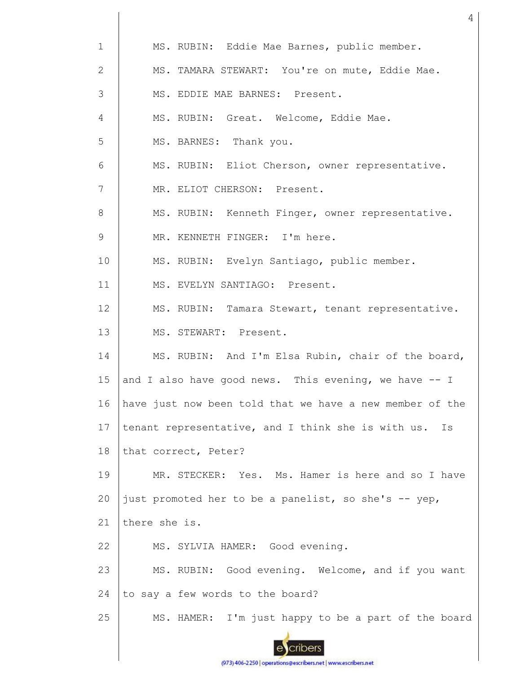| $\mathbf 1$ | MS. RUBIN: Eddie Mae Barnes, public member.              |
|-------------|----------------------------------------------------------|
| 2           | MS. TAMARA STEWART: You're on mute, Eddie Mae.           |
| 3           | MS. EDDIE MAE BARNES: Present.                           |
| 4           | MS. RUBIN: Great. Welcome, Eddie Mae.                    |
| 5           | MS. BARNES: Thank you.                                   |
| 6           | MS. RUBIN: Eliot Cherson, owner representative.          |
| 7           | MR. ELIOT CHERSON: Present.                              |
| 8           | MS. RUBIN: Kenneth Finger, owner representative.         |
| 9           | MR. KENNETH FINGER: I'm here.                            |
| 10          | MS. RUBIN: Evelyn Santiago, public member.               |
| 11          | MS. EVELYN SANTIAGO: Present.                            |
| 12          | MS. RUBIN: Tamara Stewart, tenant representative.        |
| 13          | MS. STEWART: Present.                                    |
| 14          | MS. RUBIN: And I'm Elsa Rubin, chair of the board,       |
| 15          | and I also have good news. This evening, we have -- I    |
| 16          | have just now been told that we have a new member of the |
| 17          | tenant representative, and I think she is with us.<br>Is |
| 18          | that correct, Peter?                                     |
| 19          | MR. STECKER: Yes. Ms. Hamer is here and so I have        |
| 20          | just promoted her to be a panelist, so she's -- yep,     |
| 21          | there she is.                                            |
| 22          | MS. SYLVIA HAMER: Good evening.                          |
| 23          | MS. RUBIN: Good evening. Welcome, and if you want        |
| 24          | to say a few words to the board?                         |
| 25          | MS. HAMER: I'm just happy to be a part of the board      |
|             |                                                          |

4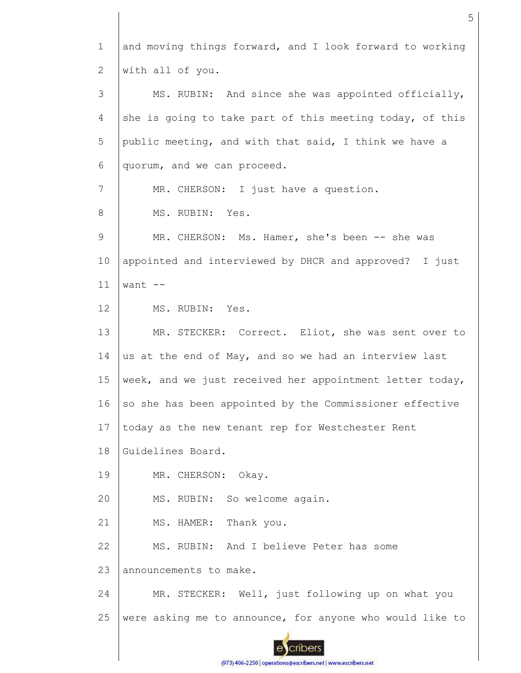1 and moving things forward, and I look forward to working with all of you. 2 3 MS. RUBIN: And since she was appointed officially, 4 she is going to take part of this meeting today, of this 5 public meeting, and with that said, I think we have a 6 quorum, and we can proceed. 7 MR. CHERSON: I just have a question. 8 MS. RUBIN: Yes. 9 MR. CHERSON: Ms. Hamer, she's been -- she was 10 appointed and interviewed by DHCR and approved? I just 11 want --12 MS. RUBIN: Yes. 13 MR. STECKER: Correct. Eliot, she was sent over to 14 us at the end of May, and so we had an interview last 15 week, and we just received her appointment letter today, 16 so she has been appointed by the Commissioner effective 17 today as the new tenant rep for Westchester Rent 18 Guidelines Board. 19 MR. CHERSON: Okay. 20 MS. RUBIN: So welcome again. 21 MS. HAMER: Thank you. MS. RUBIN: And I believe Peter has some 22 23 announcements to make. 24 MR. STECKER: Well, just following up on what you 25 were asking me to announce, for anyone who would like tocribers

5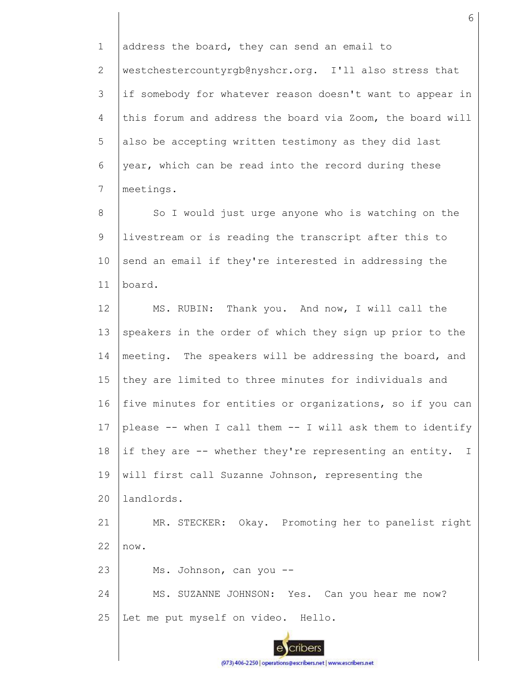1 2 3 4 5 6 7 8 9 10 11 12 13 14 15 16 17 18 19  $20$ 21 22 23 24 25 address the board, they can send an email to westchestercountyrgb@nyshcr.org. I'll also stress that if somebody for whatever reason doesn't want to appear in this forum and address the board via Zoom, the board will also be accepting written testimony as they did last year, which can be read into the record during these meetings. So I would just urge anyone who is watching on the livestream or is reading the transcript after this to send an email if they're interested in addressing the board. MS. RUBIN: Thank you. And now, I will call the speakers in the order of which they sign up prior to the meeting. The speakers will be addressing the board, and they are limited to three minutes for individuals and five minutes for entities or organizations, so if you can please -- when I call them -- I will ask them to identify if they are -- whether they're representing an entity. I will first call Suzanne Johnson, representing the landlords. MR. STECKER: Okay. Promoting her to panelist right now. Ms. Johnson, can you -- MS. SUZANNE JOHNSON: Yes. Can you hear me now? Let me put myself on video. Hello.

6

(973) 406-2250 | operations@escribers.net | www.escribers.net

cribers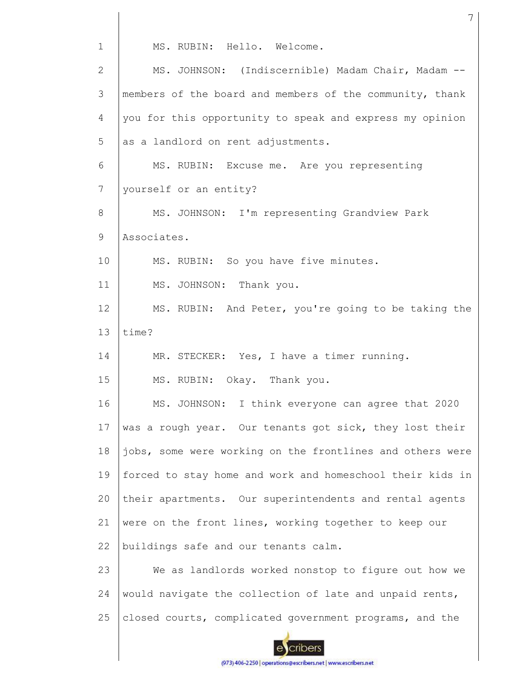| $\mathbf{1}$ | MS. RUBIN: Hello. Welcome.                                |
|--------------|-----------------------------------------------------------|
| 2            | MS. JOHNSON: (Indiscernible) Madam Chair, Madam --        |
| 3            | members of the board and members of the community, thank  |
| 4            | you for this opportunity to speak and express my opinion  |
| 5            | as a landlord on rent adjustments.                        |
| 6            | MS. RUBIN: Excuse me. Are you representing                |
| 7            | yourself or an entity?                                    |
| 8            | MS. JOHNSON: I'm representing Grandview Park              |
| 9            | Associates.                                               |
| 10           | MS. RUBIN: So you have five minutes.                      |
| 11           | MS. JOHNSON: Thank you.                                   |
| 12           | MS. RUBIN: And Peter, you're going to be taking the       |
| 13           | time?                                                     |
| 14           | MR. STECKER: Yes, I have a timer running.                 |
| 15           | MS. RUBIN: Okay. Thank you.                               |
| 16           | MS. JOHNSON: I think everyone can agree that 2020         |
| 17           | was a rough year. Our tenants got sick, they lost their   |
| 18           | jobs, some were working on the frontlines and others were |
| 19           | forced to stay home and work and homeschool their kids in |
| 20           | their apartments. Our superintendents and rental agents   |
| 21           | were on the front lines, working together to keep our     |
| 22           | buildings safe and our tenants calm.                      |
| 23           | We as landlords worked nonstop to figure out how we       |
| 24           | would navigate the collection of late and unpaid rents,   |
| 25           | closed courts, complicated government programs, and the   |
|              |                                                           |

7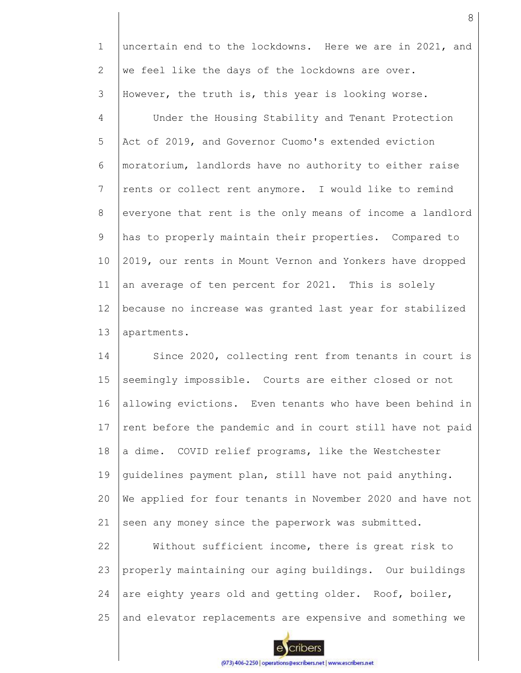1 2 3 uncertain end to the lockdowns. Here we are in 2021, and we feel like the days of the lockdowns are over. However, the truth is, this year is looking worse.

4 5 6 7 8 9 10 11 12 13 Under the Housing Stability and Tenant Protection Act of 2019, and Governor Cuomo's extended eviction moratorium, landlords have no authority to either raise rents or collect rent anymore. I would like to remind everyone that rent is the only means of income a landlord has to properly maintain their properties. Compared to 2019, our rents in Mount Vernon and Yonkers have dropped an average of ten percent for 2021. This is solely because no increase was granted last year for stabilized apartments.

14 15 16 17 18 19 20 21 Since 2020, collecting rent from tenants in court is seemingly impossible. Courts are either closed or not allowing evictions. Even tenants who have been behind in rent before the pandemic and in court still have not paid a dime. COVID relief programs, like the Westchester guidelines payment plan, still have not paid anything. We applied for four tenants in November 2020 and have not seen any money since the paperwork was submitted.

22 23 24 25 Without sufficient income, there is great risk to properly maintaining our aging buildings. Our buildings are eighty years old and getting older. Roof, boiler, and elevator replacements are expensive and something we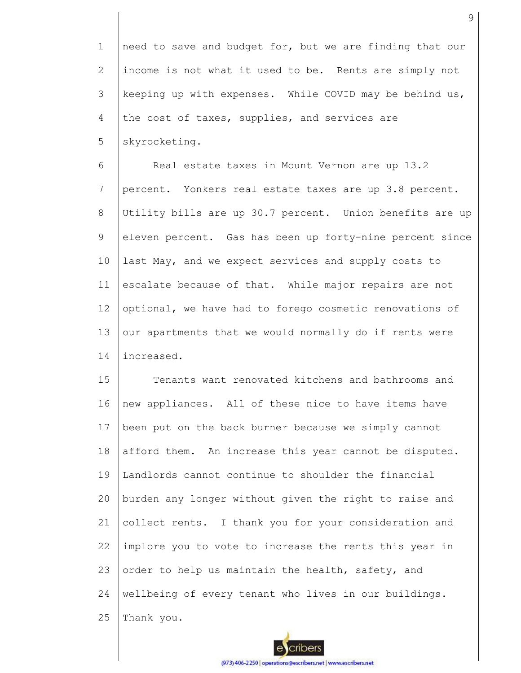1 2 3 4 5 need to save and budget for, but we are finding that our income is not what it used to be. Rents are simply not keeping up with expenses. While COVID may be behind us, the cost of taxes, supplies, and services are skyrocketing.

6 7 8 9 10 11 12 13 14 Real estate taxes in Mount Vernon are up 13.2 percent. Yonkers real estate taxes are up 3.8 percent. Utility bills are up 30.7 percent. Union benefits are up eleven percent. Gas has been up forty-nine percent since last May, and we expect services and supply costs to escalate because of that. While major repairs are not optional, we have had to forego cosmetic renovations of our apartments that we would normally do if rents were increased.

15 16 17 18 19 20 21 22 23 24 25 Tenants want renovated kitchens and bathrooms and new appliances. All of these nice to have items have been put on the back burner because we simply cannot afford them. An increase this year cannot be disputed. Landlords cannot continue to shoulder the financial burden any longer without given the right to raise and collect rents. I thank you for your consideration and implore you to vote to increase the rents this year in order to help us maintain the health, safety, and wellbeing of every tenant who lives in our buildings. Thank you.

9

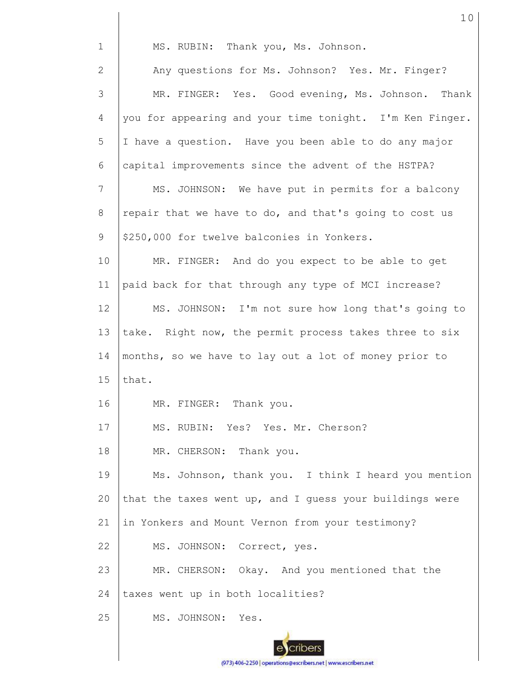| $\mathbf 1$    | MS. RUBIN: Thank you, Ms. Johnson.                       |
|----------------|----------------------------------------------------------|
| $\overline{2}$ | Any questions for Ms. Johnson? Yes. Mr. Finger?          |
| 3              | MR. FINGER: Yes. Good evening, Ms. Johnson. Thank        |
| $\overline{4}$ | you for appearing and your time tonight. I'm Ken Finger. |
| 5              | I have a question. Have you been able to do any major    |
| 6              | capital improvements since the advent of the HSTPA?      |
| 7              | MS. JOHNSON: We have put in permits for a balcony        |
| 8              | repair that we have to do, and that's going to cost us   |
| 9              | \$250,000 for twelve balconies in Yonkers.               |
| 10             | MR. FINGER: And do you expect to be able to get          |
| 11             | paid back for that through any type of MCI increase?     |
| 12             | MS. JOHNSON: I'm not sure how long that's going to       |
| 13             | take. Right now, the permit process takes three to six   |
| 14             | months, so we have to lay out a lot of money prior to    |
| 15             | that.                                                    |
| 16             | MR. FINGER: Thank you.                                   |
| 17             | MS. RUBIN: Yes? Yes. Mr. Cherson?                        |
| 18             | MR. CHERSON: Thank you.                                  |
| 19             | Ms. Johnson, thank you. I think I heard you mention      |
| 20             | that the taxes went up, and I quess your buildings were  |
| 21             | in Yonkers and Mount Vernon from your testimony?         |
| 22             |                                                          |
|                | MS. JOHNSON: Correct, yes.                               |
| 23             | MR. CHERSON: Okay. And you mentioned that the            |
| 24             | taxes went up in both localities?                        |
| 25             | MS. JOHNSON: Yes.                                        |

10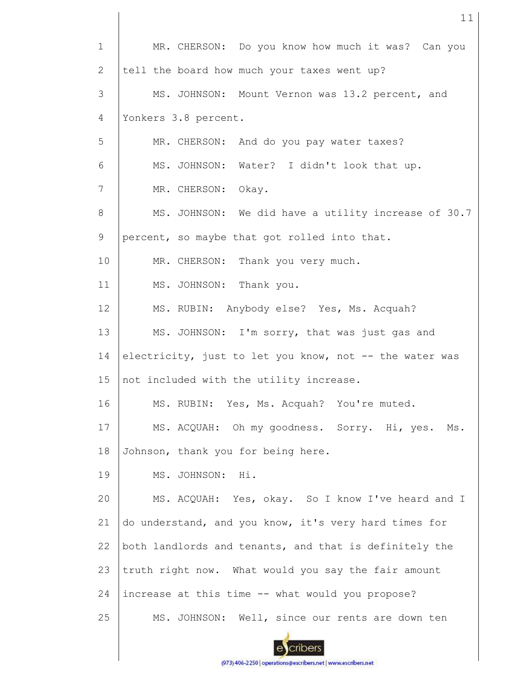| $\mathbf{1}$ | MR. CHERSON: Do you know how much it was? Can you       |
|--------------|---------------------------------------------------------|
| 2            | tell the board how much your taxes went up?             |
| 3            | MS. JOHNSON: Mount Vernon was 13.2 percent, and         |
| 4            | Yonkers 3.8 percent.                                    |
| 5            | MR. CHERSON: And do you pay water taxes?                |
| 6            | MS. JOHNSON: Water? I didn't look that up.              |
| 7            | MR. CHERSON: Okay.                                      |
| 8            | MS. JOHNSON: We did have a utility increase of 30.7     |
| 9            | percent, so maybe that got rolled into that.            |
| 10           | MR. CHERSON: Thank you very much.                       |
| 11           | MS. JOHNSON: Thank you.                                 |
| 12           | MS. RUBIN: Anybody else? Yes, Ms. Acquah?               |
| 13           | MS. JOHNSON: I'm sorry, that was just gas and           |
| 14           | electricity, just to let you know, not -- the water was |
| 15           | not included with the utility increase.                 |
| 16           | MS. RUBIN: Yes, Ms. Acquah? You're muted.               |
| 17           | MS. ACQUAH: Oh my goodness. Sorry. Hi, yes. Ms.         |
| 18           | Johnson, thank you for being here.                      |
| 19           | MS. JOHNSON: Hi.                                        |
| 20           | MS. ACQUAH: Yes, okay. So I know I've heard and I       |
| 21           | do understand, and you know, it's very hard times for   |
| 22           | both landlords and tenants, and that is definitely the  |
| 23           | truth right now. What would you say the fair amount     |
| 24           | increase at this time -- what would you propose?        |
| 25           | MS. JOHNSON: Well, since our rents are down ten         |

ecribers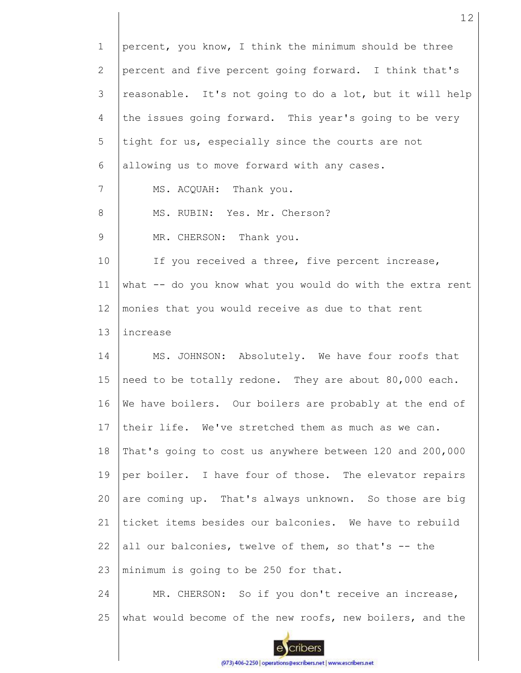| $\mathbf 1$    | percent, you know, I think the minimum should be three    |
|----------------|-----------------------------------------------------------|
| 2              | percent and five percent going forward. I think that's    |
| 3              | reasonable. It's not going to do a lot, but it will help  |
| 4              | the issues going forward. This year's going to be very    |
| 5              | tight for us, especially since the courts are not         |
| 6              | allowing us to move forward with any cases.               |
| $7\phantom{.}$ | MS. ACQUAH: Thank you.                                    |
| 8              | MS. RUBIN: Yes. Mr. Cherson?                              |
| 9              | MR. CHERSON: Thank you.                                   |
| 10             | If you received a three, five percent increase,           |
| 11             | what -- do you know what you would do with the extra rent |
| 12             | monies that you would receive as due to that rent         |
| 13             | increase                                                  |
| 14             | MS. JOHNSON: Absolutely. We have four roofs that          |
| 15             | need to be totally redone. They are about 80,000 each.    |
| 16             | We have boilers. Our boilers are probably at the end of   |
| 17             | their life. We've stretched them as much as we can.       |
| 18             | That's going to cost us anywhere between 120 and 200,000  |
| 19             | per boiler. I have four of those. The elevator repairs    |
| 20             | are coming up. That's always unknown. So those are big    |
| 21             | ticket items besides our balconies. We have to rebuild    |
| 22             | all our balconies, twelve of them, so that's -- the       |
| 23             | minimum is going to be 250 for that.                      |
| 24             | MR. CHERSON: So if you don't receive an increase,         |
| 25             | what would become of the new roofs, new boilers, and the  |
|                |                                                           |

12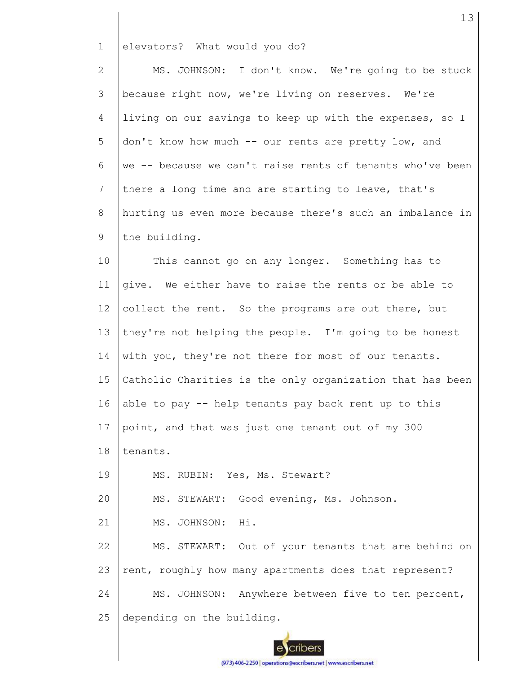1 elevators? What would you do?

2 3 4 5 6 7 8 9 10 MS. JOHNSON: I don't know. We're going to be stuck because right now, we're living on reserves. We're living on our savings to keep up with the expenses, so I don't know how much -- our rents are pretty low, and we -- because we can't raise rents of tenants who've been there a long time and are starting to leave, that's hurting us even more because there's such an imbalance in the building. This cannot go on any longer. Something has to

11 12 13 14 15 16 17 18 give. We either have to raise the rents or be able to collect the rent. So the programs are out there, but they're not helping the people. I'm going to be honest with you, they're not there for most of our tenants. Catholic Charities is the only organization that has been able to pay -- help tenants pay back rent up to this point, and that was just one tenant out of my 300 tenants.

19 MS. RUBIN: Yes, Ms. Stewart?

20 MS. STEWART: Good evening, Ms. Johnson.

21 MS. JOHNSON: Hi.

22 23 24 25 MS. STEWART: Out of your tenants that are behind on rent, roughly how many apartments does that represent? MS. JOHNSON: Anywhere between five to ten percent, depending on the building.

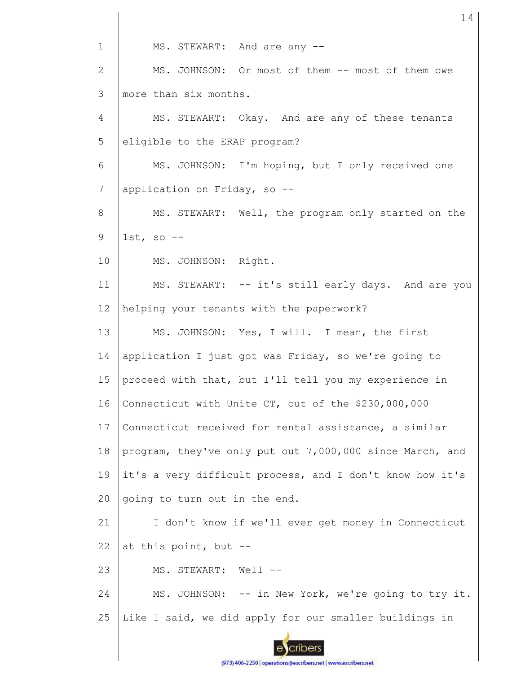1 MS. STEWART: And are any -- MS. JOHNSON: Or most of them -- most of them owe 2 more than six months. 3 4 MS. STEWART: Okay. And are any of these tenants 5 eligible to the ERAP program? 6 MS. JOHNSON: I'm hoping, but I only received one 7 application on Friday, so -- MS. STEWART: Well, the program only started on the 8 9  $1st$ , so  $-$ 10 MS. JOHNSON: Right. 11 MS. STEWART: -- it's still early days. And are you 12 helping your tenants with the paperwork? 13 MS. JOHNSON: Yes, I will. I mean, the first 14 application I just got was Friday, so we're going to 15 proceed with that, but I'll tell you my experience in 16 Connecticut with Unite CT, out of the \$230,000,000 17 Connecticut received for rental assistance, a similar 18 program, they've only put out 7,000,000 since March, and 19 it's a very difficult process, and I don't know how it's 20 going to turn out in the end. 21 I don't know if we'll ever get money in Connecticut at this point, but -- 22 23 MS. STEWART: Well --24 MS. JOHNSON: -- in New York, we're going to try it. 25 Like I said, we did apply for our smaller buildings in cribers

14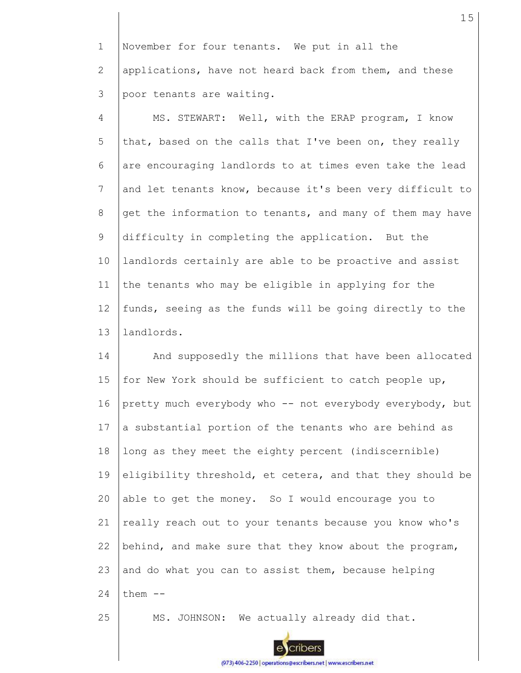1 2 3 November for four tenants. We put in all the applications, have not heard back from them, and these poor tenants are waiting.

4 5 6 7 8 9 10 11 12 13 MS. STEWART: Well, with the ERAP program, I know that, based on the calls that I've been on, they really are encouraging landlords to at times even take the lead and let tenants know, because it's been very difficult to get the information to tenants, and many of them may have difficulty in completing the application. But the landlords certainly are able to be proactive and assist the tenants who may be eligible in applying for the funds, seeing as the funds will be going directly to the landlords.

14 15 16 17 18 19 20 21 22 23 24 And supposedly the millions that have been allocated for New York should be sufficient to catch people up, pretty much everybody who -- not everybody everybody, but a substantial portion of the tenants who are behind as long as they meet the eighty percent (indiscernible) eligibility threshold, et cetera, and that they should be able to get the money. So I would encourage you to really reach out to your tenants because you know who's behind, and make sure that they know about the program, and do what you can to assist them, because helping them --

25

MS. JOHNSON: We actually already did that.



(973) 406-2250 | operations@escribers.net | www.escribers.net

cribers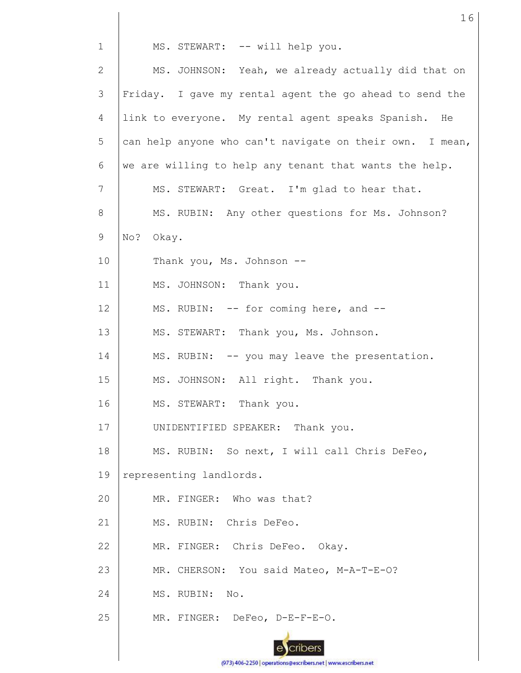| $\mathbf 1$    | MS. STEWART: -- will help you.                           |
|----------------|----------------------------------------------------------|
| $\overline{2}$ | MS. JOHNSON: Yeah, we already actually did that on       |
| 3              | Friday. I gave my rental agent the go ahead to send the  |
| 4              | link to everyone. My rental agent speaks Spanish. He     |
| 5              | can help anyone who can't navigate on their own. I mean, |
| 6              | we are willing to help any tenant that wants the help.   |
| 7              | MS. STEWART: Great. I'm glad to hear that.               |
| 8              | MS. RUBIN: Any other questions for Ms. Johnson?          |
| 9              | No?<br>Okay.                                             |
| 10             | Thank you, Ms. Johnson --                                |
| 11             | MS. JOHNSON: Thank you.                                  |
| 12             | MS. RUBIN: -- for coming here, and --                    |
| 13             | MS. STEWART: Thank you, Ms. Johnson.                     |
| 14             | MS. RUBIN: -- you may leave the presentation.            |
| 15             | MS. JOHNSON: All right. Thank you.                       |
| 16             | MS. STEWART: Thank you.                                  |
| 17             | UNIDENTIFIED SPEAKER: Thank you.                         |
| 18             | MS. RUBIN: So next, I will call Chris DeFeo,             |
| 19             | representing landlords.                                  |
| 20             | MR. FINGER: Who was that?                                |
| 21             | MS. RUBIN: Chris DeFeo.                                  |
| 22             | MR. FINGER: Chris DeFeo. Okay.                           |
| 23             | MR. CHERSON: You said Mateo, M-A-T-E-O?                  |
| 24             | MS. RUBIN:<br>No.                                        |
| 25             | MR. FINGER: DeFeo, D-E-F-E-O.                            |
|                |                                                          |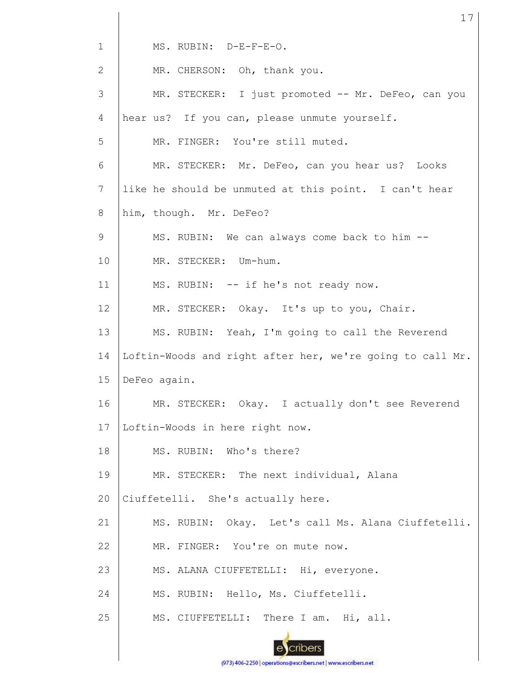1 MS. RUBIN: D-E-F-E-O. 2 MR. CHERSON: Oh, thank you. 3 MR. STECKER: I just promoted -- Mr. DeFeo, can you 4 hear us? If you can, please unmute yourself. 5 MR. FINGER: You're still muted. 6 MR. STECKER: Mr. DeFeo, can you hear us? Looks 7 like he should be unmuted at this point. I can't hear 8 him, though. Mr. DeFeo? 9 MS. RUBIN: We can always come back to him -- 10 MR. STECKER: Um-hum. 11 MS. RUBIN: -- if he's not ready now. 12 MR. STECKER: Okay. It's up to you, Chair. 13 MS. RUBIN: Yeah, I'm going to call the Reverend 14 Loftin-Woods and right after her, we're going to call Mr. 15 DeFeo again. 16 MR. STECKER: Okay. I actually don't see Reverend 17 Loftin-Woods in here right now. 18 MS. RUBIN: Who's there? 19 MR. STECKER: The next individual, Alana Ciuffetelli. She's actually here. 20 21 MS. RUBIN: Okay. Let's call Ms. Alana Ciuffetelli. MR. FINGER: You're on mute now. 22 23 MS. ALANA CIUFFETELLI: Hi, everyone. 24 MS. RUBIN: Hello, Ms. Ciuffetelli. 25 MS. CIUFFETELLI: There I am. Hi, all.cribers

17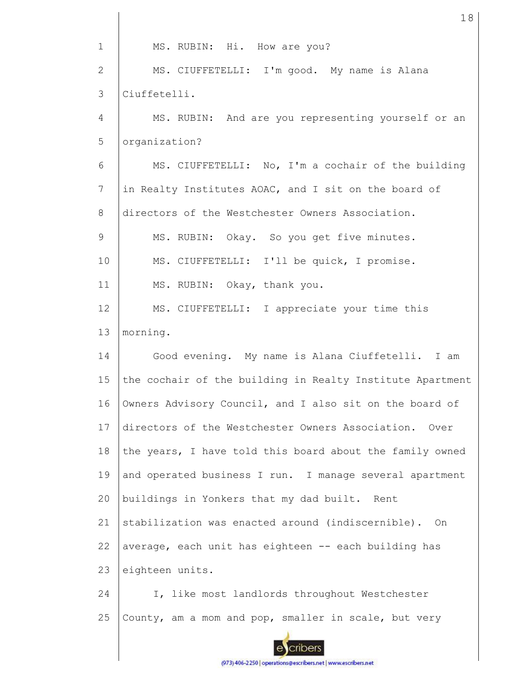1 2 3 4 5 6 7 8 9 10 11 12 13 14 15 16 17 18 19 20 21 22 23 24 25 MS. RUBIN: Hi. How are you? MS. CIUFFETELLI: I'm good. My name is Alana Ciuffetelli. MS. RUBIN: And are you representing yourself or an organization? MS. CIUFFETELLI: No, I'm a cochair of the building in Realty Institutes AOAC, and I sit on the board of directors of the Westchester Owners Association. MS. RUBIN: Okay. So you get five minutes. MS. CIUFFETELLI: I'll be quick, I promise. MS. RUBIN: Okay, thank you. MS. CIUFFETELLI: I appreciate your time this morning. Good evening. My name is Alana Ciuffetelli. I am the cochair of the building in Realty Institute Apartment Owners Advisory Council, and I also sit on the board of directors of the Westchester Owners Association. Over the years, I have told this board about the family owned and operated business I run. I manage several apartment buildings in Yonkers that my dad built. Rent stabilization was enacted around (indiscernible). On average, each unit has eighteen -- each building has eighteen units. I, like most landlords throughout Westchester County, am a mom and pop, smaller in scale, but very

18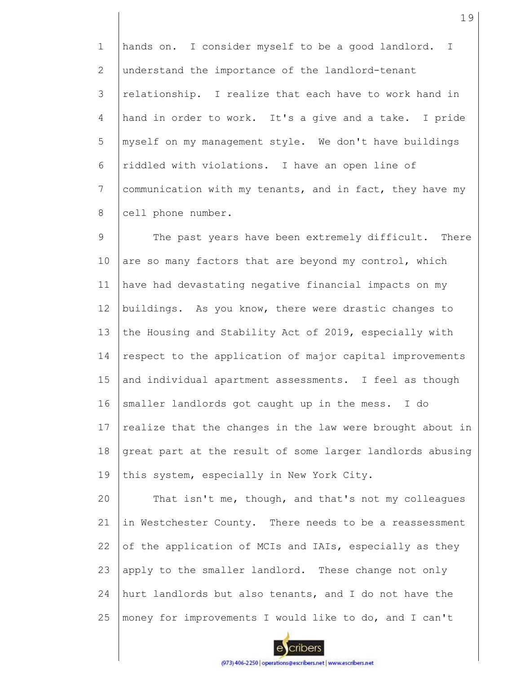1 2 3 4 5 6 7 8 hands on. I consider myself to be a good landlord. I understand the importance of the landlord-tenant relationship. I realize that each have to work hand in hand in order to work. It's a give and a take. I pride myself on my management style. We don't have buildings riddled with violations. I have an open line of communication with my tenants, and in fact, they have my cell phone number.

9 10 11 12 13 14 15 16 17 18 19 The past years have been extremely difficult. There are so many factors that are beyond my control, which have had devastating negative financial impacts on my buildings. As you know, there were drastic changes to the Housing and Stability Act of 2019, especially with respect to the application of major capital improvements and individual apartment assessments. I feel as though smaller landlords got caught up in the mess. I do realize that the changes in the law were brought about in great part at the result of some larger landlords abusing this system, especially in New York City.

20 21 22 23 24 25 That isn't me, though, and that's not my colleagues in Westchester County. There needs to be a reassessment of the application of MCIs and IAIs, especially as they apply to the smaller landlord. These change not only hurt landlords but also tenants, and I do not have the money for improvements I would like to do, and I can't

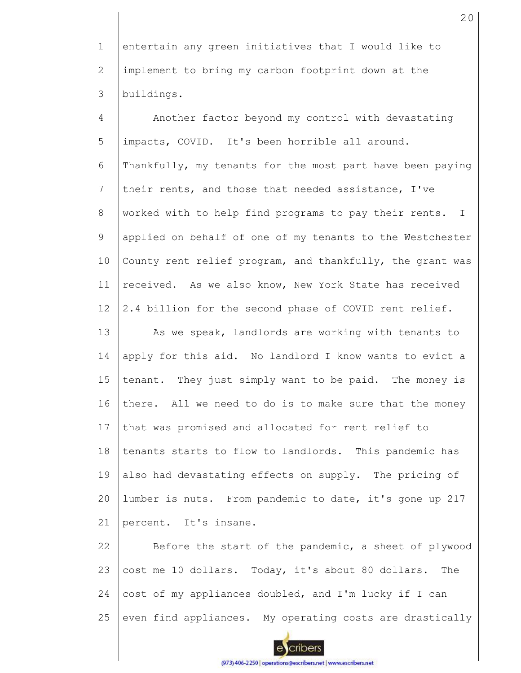1 2 3 entertain any green initiatives that I would like to implement to bring my carbon footprint down at the buildings.

4 5 6 7 8 9 10 11 12 13 14 15 16 17 18 19 20 21 22 Another factor beyond my control with devastating impacts, COVID. It's been horrible all around. Thankfully, my tenants for the most part have been paying their rents, and those that needed assistance, I've worked with to help find programs to pay their rents. I applied on behalf of one of my tenants to the Westchester County rent relief program, and thankfully, the grant was received. As we also know, New York State has received 2.4 billion for the second phase of COVID rent relief. As we speak, landlords are working with tenants to apply for this aid. No landlord I know wants to evict a tenant. They just simply want to be paid. The money is there. All we need to do is to make sure that the money that was promised and allocated for rent relief to tenants starts to flow to landlords. This pandemic has also had devastating effects on supply. The pricing of lumber is nuts. From pandemic to date, it's gone up 217 percent. It's insane. Before the start of the pandemic, a sheet of plywood

23 24 25 cost me 10 dollars. Today, it's about 80 dollars. The cost of my appliances doubled, and I'm lucky if I can even find appliances. My operating costs are drastically

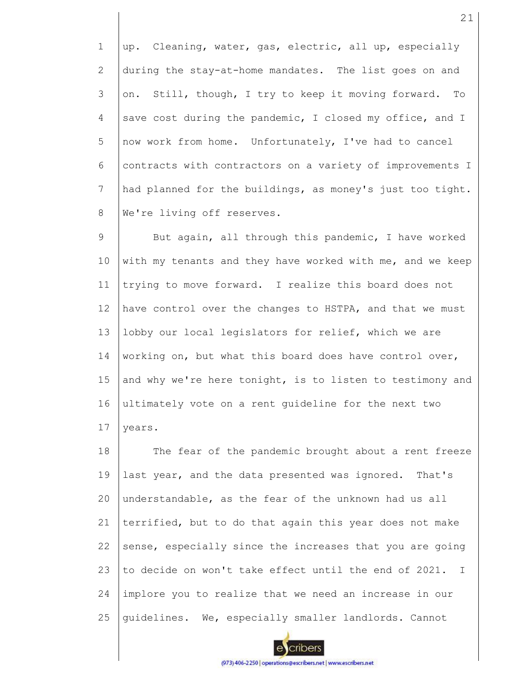1 2 3 4 5 6 7 8 up. Cleaning, water, gas, electric, all up, especially during the stay-at-home mandates. The list goes on and on. Still, though, I try to keep it moving forward. To save cost during the pandemic, I closed my office, and I now work from home. Unfortunately, I've had to cancel contracts with contractors on a variety of improvements I had planned for the buildings, as money's just too tight. We're living off reserves.

9 10 11 12 13 14 15 16 17 But again, all through this pandemic, I have worked with my tenants and they have worked with me, and we keep trying to move forward. I realize this board does not have control over the changes to HSTPA, and that we must lobby our local legislators for relief, which we are working on, but what this board does have control over, and why we're here tonight, is to listen to testimony and ultimately vote on a rent guideline for the next two years.

18 19 20 21 22 23 24 25 The fear of the pandemic brought about a rent freeze last year, and the data presented was ignored. That's understandable, as the fear of the unknown had us all terrified, but to do that again this year does not make sense, especially since the increases that you are going to decide on won't take effect until the end of 2021. I implore you to realize that we need an increase in our guidelines. We, especially smaller landlords. Cannot

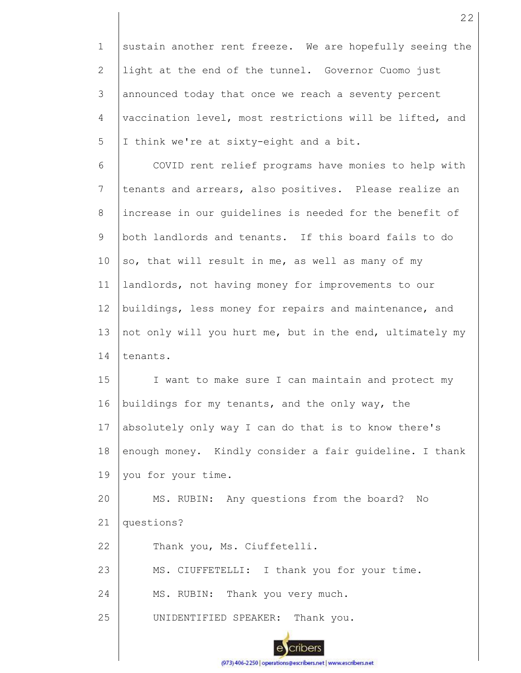1 2 3 4 5 sustain another rent freeze. We are hopefully seeing the light at the end of the tunnel. Governor Cuomo just announced today that once we reach a seventy percent vaccination level, most restrictions will be lifted, and I think we're at sixty-eight and a bit.

6 7 8 9 10 11 12 13 14 COVID rent relief programs have monies to help with tenants and arrears, also positives. Please realize an increase in our guidelines is needed for the benefit of both landlords and tenants. If this board fails to do so, that will result in me, as well as many of my landlords, not having money for improvements to our buildings, less money for repairs and maintenance, and not only will you hurt me, but in the end, ultimately my tenants.

15 16 17 18 19 I want to make sure I can maintain and protect my buildings for my tenants, and the only way, the absolutely only way I can do that is to know there's enough money. Kindly consider a fair guideline. I thank you for your time.

20 21 MS. RUBIN: Any questions from the board? No questions?

22 Thank you, Ms. Ciuffetelli.

23 MS. CIUFFETELLI: I thank you for your time.

24 MS. RUBIN: Thank you very much.

25 UNIDENTIFIED SPEAKER: Thank you.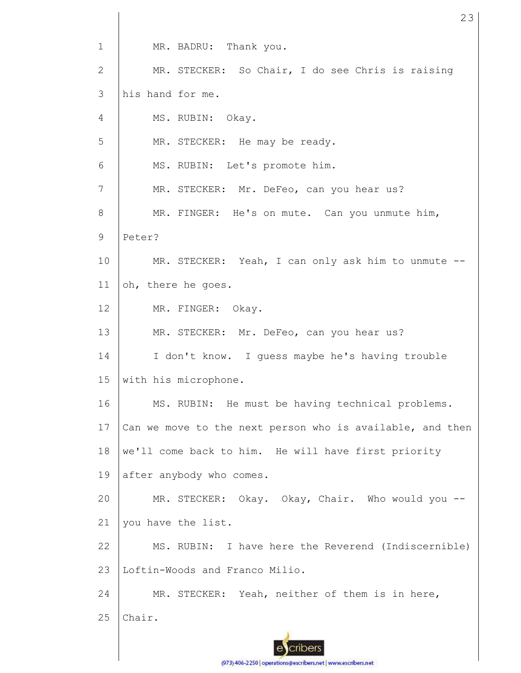1 2 3 4 5 6 7 8 9 10 11 12 13 14 15 16 17 18 19 20 21 22 23 24 25 MR. BADRU: Thank you. MR. STECKER: So Chair, I do see Chris is raising his hand for me. MS. RUBIN: Okay. MR. STECKER: He may be ready. MS. RUBIN: Let's promote him. MR. STECKER: Mr. DeFeo, can you hear us? MR. FINGER: He's on mute. Can you unmute him, Peter? MR. STECKER: Yeah, I can only ask him to unmute -oh, there he goes. MR. FINGER: Okay. MR. STECKER: Mr. DeFeo, can you hear us? I don't know. I guess maybe he's having trouble with his microphone. MS. RUBIN: He must be having technical problems. Can we move to the next person who is available, and then we'll come back to him. He will have first priority after anybody who comes. MR. STECKER: Okay. Okay, Chair. Who would you -you have the list. MS. RUBIN: I have here the Reverend (Indiscernible) Loftin-Woods and Franco Milio. MR. STECKER: Yeah, neither of them is in here, Chair.

23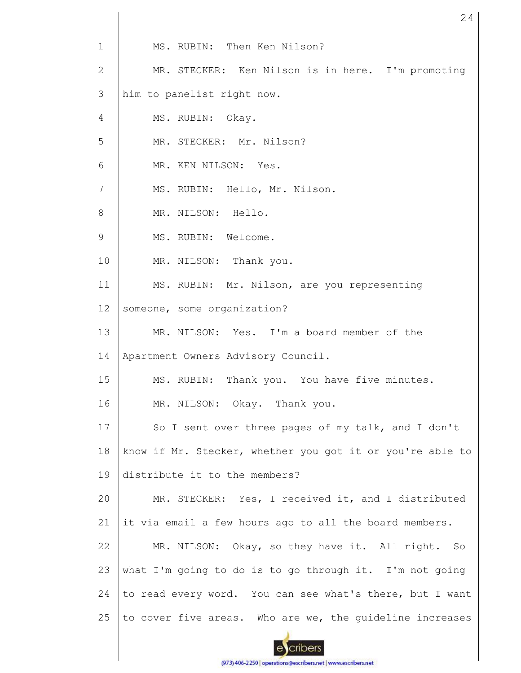| $\mathbf 1$ | MS. RUBIN: Then Ken Nilson?                               |
|-------------|-----------------------------------------------------------|
| 2           | MR. STECKER: Ken Nilson is in here. I'm promoting         |
| 3           | him to panelist right now.                                |
| 4           | MS. RUBIN: Okay.                                          |
| 5           | MR. STECKER: Mr. Nilson?                                  |
| 6           | MR. KEN NILSON: Yes.                                      |
| 7           | MS. RUBIN: Hello, Mr. Nilson.                             |
| 8           | MR. NILSON: Hello.                                        |
| 9           | MS. RUBIN: Welcome.                                       |
| 10          | MR. NILSON: Thank you.                                    |
| 11          | MS. RUBIN: Mr. Nilson, are you representing               |
| 12          | someone, some organization?                               |
| 13          | MR. NILSON: Yes. I'm a board member of the                |
| 14          | Apartment Owners Advisory Council.                        |
| 15          | MS. RUBIN: Thank you. You have five minutes.              |
| 16          | MR. NILSON: Okay. Thank you.                              |
| 17          | So I sent over three pages of my talk, and I don't        |
| 18          | know if Mr. Stecker, whether you got it or you're able to |
| 19          | distribute it to the members?                             |
| 20          | MR. STECKER: Yes, I received it, and I distributed        |
| 21          | it via email a few hours ago to all the board members.    |
| 22          | MR. NILSON: Okay, so they have it. All right. So          |
| 23          | what I'm going to do is to go through it. I'm not going   |
| 24          | to read every word. You can see what's there, but I want  |
| 25          | to cover five areas. Who are we, the quideline increases  |
|             |                                                           |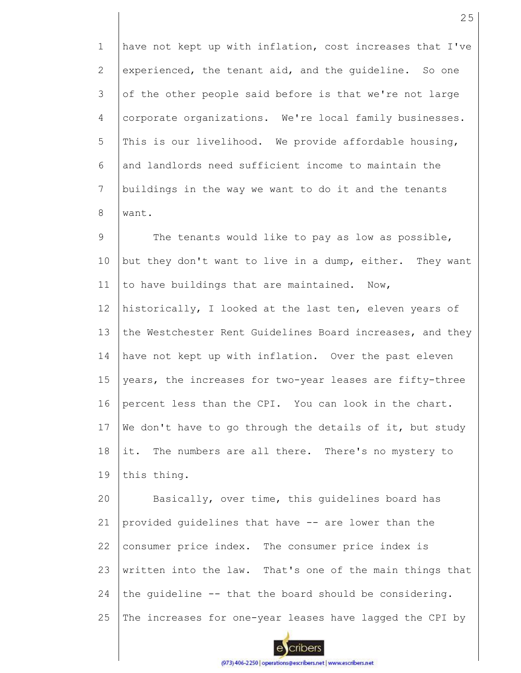1 2 3 4 5 6 7 8 have not kept up with inflation, cost increases that I've experienced, the tenant aid, and the guideline. So one of the other people said before is that we're not large corporate organizations. We're local family businesses. This is our livelihood. We provide affordable housing, and landlords need sufficient income to maintain the buildings in the way we want to do it and the tenants want.

9 10 11 12 13 14 15 16 The tenants would like to pay as low as possible, but they don't want to live in a dump, either. They want to have buildings that are maintained. Now, historically, I looked at the last ten, eleven years of the Westchester Rent Guidelines Board increases, and they have not kept up with inflation. Over the past eleven years, the increases for two-year leases are fifty-three percent less than the CPI. You can look in the chart.

17 18 We don't have to go through the details of it, but study it. The numbers are all there. There's no mystery to

19 this thing.

20 21 22 23 24 25 Basically, over time, this guidelines board has provided guidelines that have -- are lower than the consumer price index. The consumer price index is written into the law. That's one of the main things that the guideline -- that the board should be considering. The increases for one-year leases have lagged the CPI by

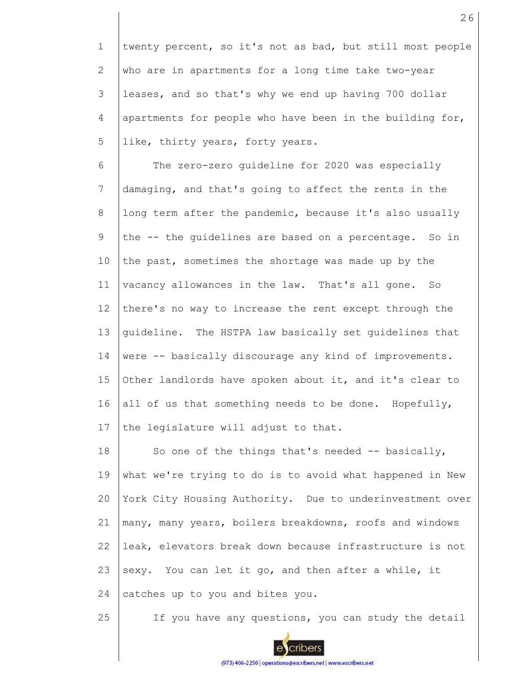1 2 3 4 5 twenty percent, so it's not as bad, but still most people who are in apartments for a long time take two-year leases, and so that's why we end up having 700 dollar apartments for people who have been in the building for, like, thirty years, forty years.

6 7 8 9 10 11 12 13 14 15 16 17 The zero-zero guideline for 2020 was especially damaging, and that's going to affect the rents in the long term after the pandemic, because it's also usually the -- the guidelines are based on a percentage. So in the past, sometimes the shortage was made up by the vacancy allowances in the law. That's all gone. So there's no way to increase the rent except through the guideline. The HSTPA law basically set guidelines that were -- basically discourage any kind of improvements. Other landlords have spoken about it, and it's clear to all of us that something needs to be done. Hopefully, the legislature will adjust to that.

18 19 20 21 22 23 24 So one of the things that's needed -- basically, what we're trying to do is to avoid what happened in New York City Housing Authority. Due to underinvestment over many, many years, boilers breakdowns, roofs and windows leak, elevators break down because infrastructure is not sexy. You can let it go, and then after a while, it catches up to you and bites you.

25 If you have any questions, you can study the detail



cribers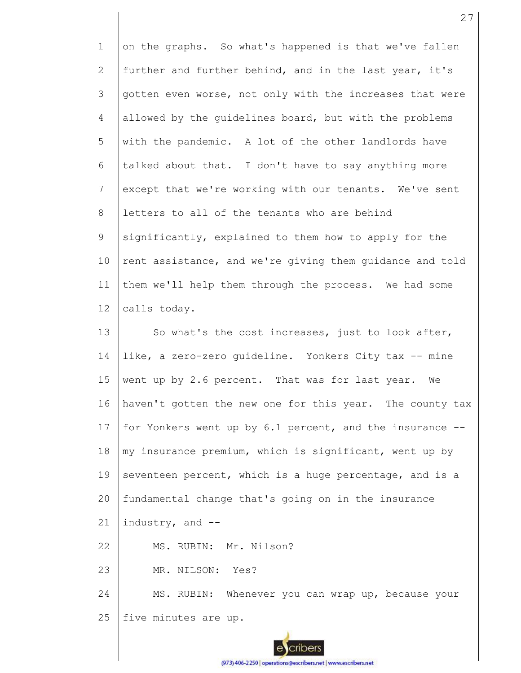1 2 3 4 5 6 7 8 9 10 11 12 13 14 15 16 17 18 19 20 21 22 23 24 25 on the graphs. So what's happened is that we've fallen further and further behind, and in the last year, it's gotten even worse, not only with the increases that were allowed by the guidelines board, but with the problems with the pandemic. A lot of the other landlords have talked about that. I don't have to say anything more except that we're working with our tenants. We've sent letters to all of the tenants who are behind significantly, explained to them how to apply for the rent assistance, and we're giving them guidance and told them we'll help them through the process. We had some calls today. So what's the cost increases, just to look after, like, a zero-zero guideline. Yonkers City tax -- mine went up by 2.6 percent. That was for last year. We haven't gotten the new one for this year. The county tax for Yonkers went up by 6.1 percent, and the insurance - my insurance premium, which is significant, went up by seventeen percent, which is a huge percentage, and is a fundamental change that's going on in the insurance industry, and -- MS. RUBIN: Mr. Nilson? MR. NILSON: Yes? MS. RUBIN: Whenever you can wrap up, because your five minutes are up.

27

(973) 406-2250 | operations@escribers.net | www.escribers.net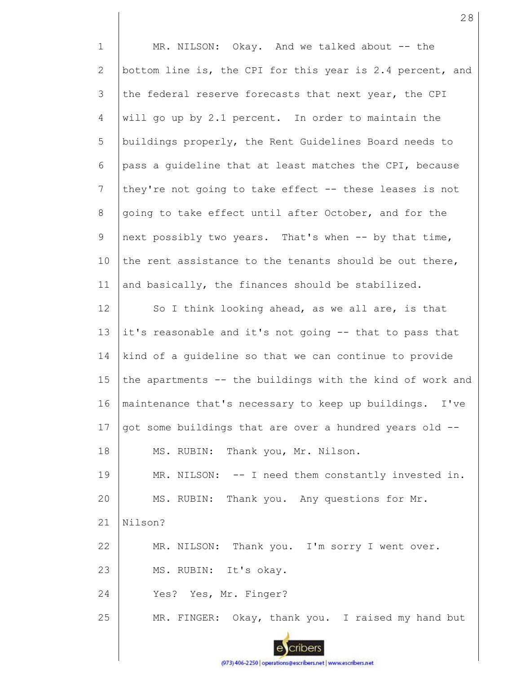1 2 3 4 5 6 7 8 9 10 11 12 13 14 15 16 17 18 19 20 21 22 23 24 25 MR. NILSON: Okay. And we talked about -- the bottom line is, the CPI for this year is 2.4 percent, and the federal reserve forecasts that next year, the CPI will go up by 2.1 percent. In order to maintain the buildings properly, the Rent Guidelines Board needs to pass a guideline that at least matches the CPI, because they're not going to take effect -- these leases is not going to take effect until after October, and for the next possibly two years. That's when -- by that time, the rent assistance to the tenants should be out there, and basically, the finances should be stabilized. So I think looking ahead, as we all are, is that it's reasonable and it's not going -- that to pass that kind of a guideline so that we can continue to provide the apartments -- the buildings with the kind of work and maintenance that's necessary to keep up buildings. I've got some buildings that are over a hundred years old -- MS. RUBIN: Thank you, Mr. Nilson. MR. NILSON: -- I need them constantly invested in. MS. RUBIN: Thank you. Any questions for Mr. Nilson? MR. NILSON: Thank you. I'm sorry I went over. MS. RUBIN: It's okay. Yes? Yes, Mr. Finger? MR. FINGER: Okay, thank you. I raised my hand but

28

(973) 406-2250 | operations@escribers.net | www.escribers.net

cribers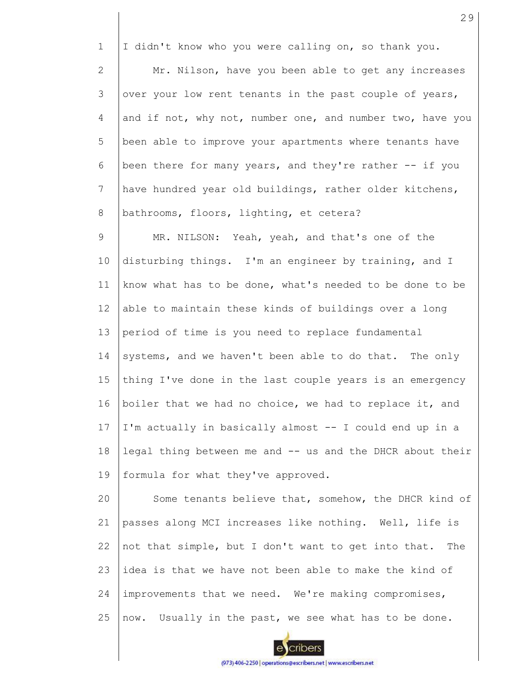1 I didn't know who you were calling on, so thank you.

2 3 4 5 6 7 8 Mr. Nilson, have you been able to get any increases over your low rent tenants in the past couple of years, and if not, why not, number one, and number two, have you been able to improve your apartments where tenants have been there for many years, and they're rather -- if you have hundred year old buildings, rather older kitchens, bathrooms, floors, lighting, et cetera?

9 10 11 12 13 14 15 16 17 18 19 MR. NILSON: Yeah, yeah, and that's one of the disturbing things. I'm an engineer by training, and I know what has to be done, what's needed to be done to be able to maintain these kinds of buildings over a long period of time is you need to replace fundamental systems, and we haven't been able to do that. The only thing I've done in the last couple years is an emergency boiler that we had no choice, we had to replace it, and I'm actually in basically almost -- I could end up in a legal thing between me and -- us and the DHCR about their formula for what they've approved.

20 21 22 23 24 25 Some tenants believe that, somehow, the DHCR kind of passes along MCI increases like nothing. Well, life is not that simple, but I don't want to get into that. The idea is that we have not been able to make the kind of improvements that we need. We're making compromises, now. Usually in the past, we see what has to be done.

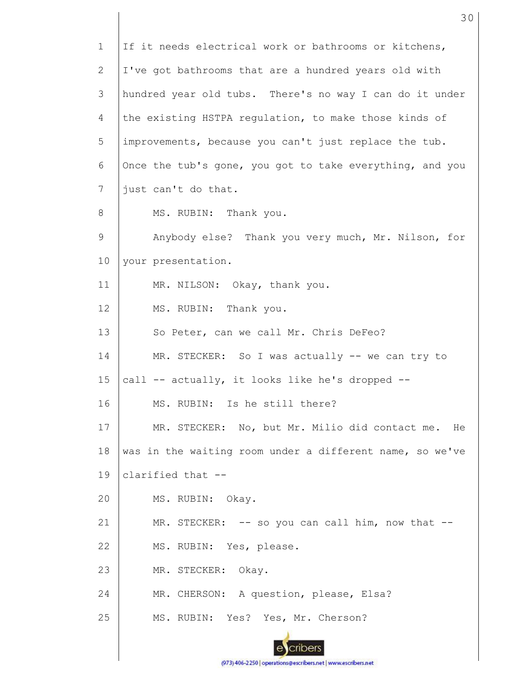1 2 3 4 5 6 7 8 9 10 11 12 13 14 15 16 17 18 19 20 21 22 23 24 25 If it needs electrical work or bathrooms or kitchens, I've got bathrooms that are a hundred years old with hundred year old tubs. There's no way I can do it under the existing HSTPA regulation, to make those kinds of improvements, because you can't just replace the tub. Once the tub's gone, you got to take everything, and you just can't do that. MS. RUBIN: Thank you. Anybody else? Thank you very much, Mr. Nilson, for your presentation. MR. NILSON: Okay, thank you. MS. RUBIN: Thank you. So Peter, can we call Mr. Chris DeFeo? MR. STECKER: So I was actually -- we can try to call -- actually, it looks like he's dropped -- MS. RUBIN: Is he still there? MR. STECKER: No, but Mr. Milio did contact me. He was in the waiting room under a different name, so we've clarified that -- MS. RUBIN: Okay. MR. STECKER: -- so you can call him, now that --MS. RUBIN: Yes, please. MR. STECKER: Okay. MR. CHERSON: A question, please, Elsa? MS. RUBIN: Yes? Yes, Mr. Cherson?

30

(973) 406-2250 | operations@escribers.net | www.escribers.net

cribers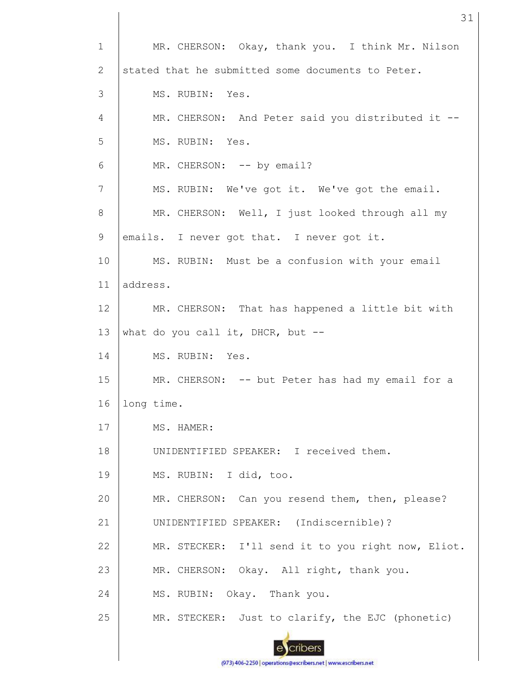1 2 3 4 5 6 7 8 9 10 11 12 13 14 15 16 17 18 19 20 21 22 23 24 25 MR. CHERSON: Okay, thank you. I think Mr. Nilson stated that he submitted some documents to Peter. MS. RUBIN: Yes. MR. CHERSON: And Peter said you distributed it --MS. RUBIN: Yes. MR. CHERSON: -- by email? MS. RUBIN: We've got it. We've got the email. MR. CHERSON: Well, I just looked through all my emails. I never got that. I never got it. MS. RUBIN: Must be a confusion with your email address. MR. CHERSON: That has happened a little bit with what do you call it, DHCR, but  $-$ -MS. RUBIN: Yes. MR. CHERSON: -- but Peter has had my email for a long time. MS. HAMER: UNIDENTIFIED SPEAKER: I received them. MS. RUBIN: I did, too. MR. CHERSON: Can you resend them, then, please? UNIDENTIFIED SPEAKER: (Indiscernible)? MR. STECKER: I'll send it to you right now, Eliot. MR. CHERSON: Okay. All right, thank you. MS. RUBIN: Okay. Thank you. MR. STECKER: Just to clarify, the EJC (phonetic)

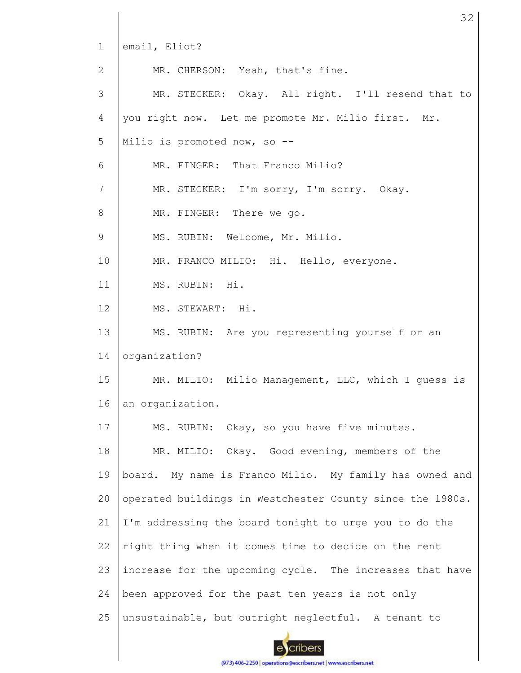1 2 3 4 5 6 7 8 9 10 11 12 13 14 15 16 17 18 19 20 21 22 23 24 25 email, Eliot? MR. CHERSON: Yeah, that's fine. MR. STECKER: Okay. All right. I'll resend that to you right now. Let me promote Mr. Milio first. Mr. Milio is promoted now, so -- MR. FINGER: That Franco Milio? MR. STECKER: I'm sorry, I'm sorry. Okay. MR. FINGER: There we go. MS. RUBIN: Welcome, Mr. Milio. MR. FRANCO MILIO: Hi. Hello, everyone. MS. RUBIN: Hi. MS. STEWART: Hi. MS. RUBIN: Are you representing yourself or an organization? MR. MILIO: Milio Management, LLC, which I guess is an organization. MS. RUBIN: Okay, so you have five minutes. MR. MILIO: Okay. Good evening, members of the board. My name is Franco Milio. My family has owned and operated buildings in Westchester County since the 1980s. I'm addressing the board tonight to urge you to do the right thing when it comes time to decide on the rent increase for the upcoming cycle. The increases that have been approved for the past ten years is not only unsustainable, but outright neglectful. A tenant to

32

cribers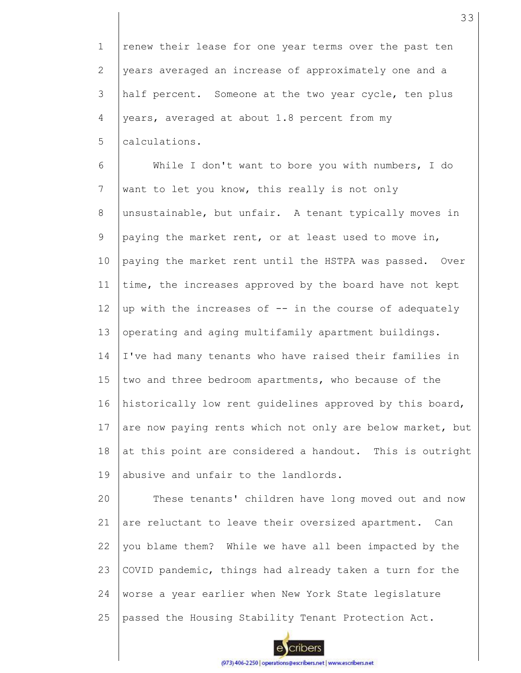1 2 3 4 5 renew their lease for one year terms over the past ten years averaged an increase of approximately one and a half percent. Someone at the two year cycle, ten plus years, averaged at about 1.8 percent from my calculations.

6 7 8 9 10 11 12 13 14 15 16 17 18 19 While I don't want to bore you with numbers, I do want to let you know, this really is not only unsustainable, but unfair. A tenant typically moves in paying the market rent, or at least used to move in, paying the market rent until the HSTPA was passed. Over time, the increases approved by the board have not kept up with the increases of -- in the course of adequately operating and aging multifamily apartment buildings. I've had many tenants who have raised their families in two and three bedroom apartments, who because of the historically low rent guidelines approved by this board, are now paying rents which not only are below market, but at this point are considered a handout. This is outright abusive and unfair to the landlords.

20 21 22 23 24 25 These tenants' children have long moved out and now are reluctant to leave their oversized apartment. Can you blame them? While we have all been impacted by the COVID pandemic, things had already taken a turn for the worse a year earlier when New York State legislature passed the Housing Stability Tenant Protection Act.

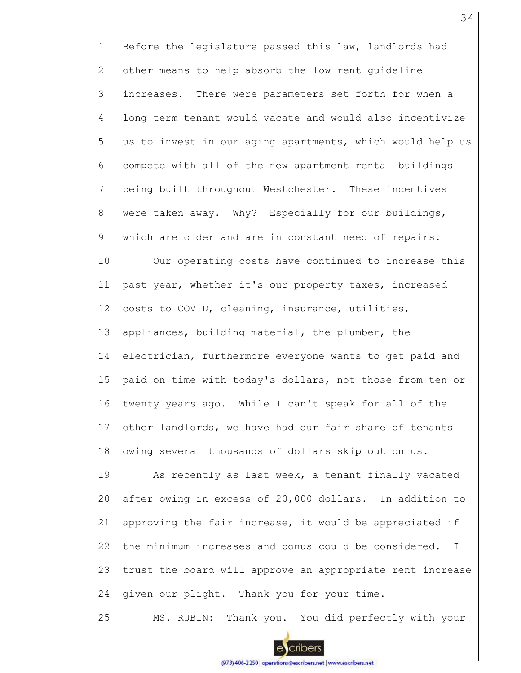1 2 3 4 5 6 7 8 9 10 11 12 13 14 15 16 17 18 19 20 21 22 23 24 Before the legislature passed this law, landlords had other means to help absorb the low rent guideline increases. There were parameters set forth for when a long term tenant would vacate and would also incentivize us to invest in our aging apartments, which would help us compete with all of the new apartment rental buildings being built throughout Westchester. These incentives were taken away. Why? Especially for our buildings, which are older and are in constant need of repairs. Our operating costs have continued to increase this past year, whether it's our property taxes, increased costs to COVID, cleaning, insurance, utilities, appliances, building material, the plumber, the electrician, furthermore everyone wants to get paid and paid on time with today's dollars, not those from ten or twenty years ago. While I can't speak for all of the other landlords, we have had our fair share of tenants owing several thousands of dollars skip out on us. As recently as last week, a tenant finally vacated after owing in excess of 20,000 dollars. In addition to approving the fair increase, it would be appreciated if the minimum increases and bonus could be considered. I trust the board will approve an appropriate rent increase given our plight. Thank you for your time.

25

cribers

MS. RUBIN: Thank you. You did perfectly with your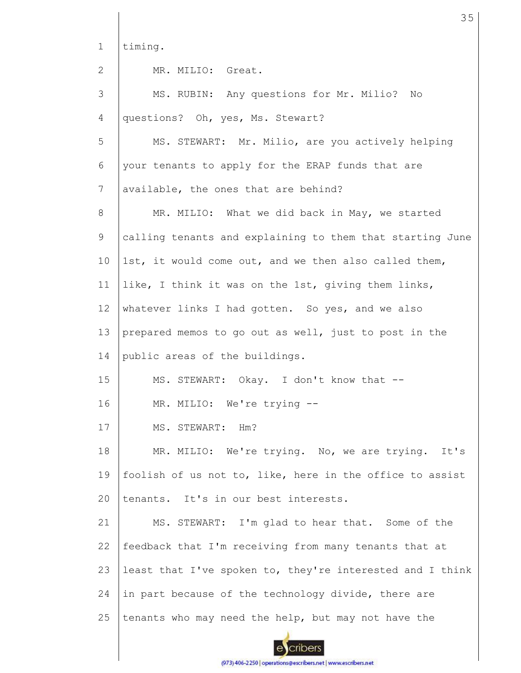1 timing.

2

MR. MILIO: Great.

3 4 5 6 7 8 9 10 11 12 13 14 15 16 17 18 19  $20$ 21 22 23 24 25 MS. RUBIN: Any questions for Mr. Milio? No questions? Oh, yes, Ms. Stewart? MS. STEWART: Mr. Milio, are you actively helping your tenants to apply for the ERAP funds that are available, the ones that are behind? MR. MILIO: What we did back in May, we started calling tenants and explaining to them that starting June 1st, it would come out, and we then also called them, like, I think it was on the 1st, giving them links, whatever links I had gotten. So yes, and we also prepared memos to go out as well, just to post in the public areas of the buildings. MS. STEWART: Okay. I don't know that -- MR. MILIO: We're trying -- MS. STEWART: Hm? MR. MILIO: We're trying. No, we are trying. It's foolish of us not to, like, here in the office to assist tenants. It's in our best interests. MS. STEWART: I'm glad to hear that. Some of the feedback that I'm receiving from many tenants that at least that I've spoken to, they're interested and I think in part because of the technology divide, there are tenants who may need the help, but may not have the

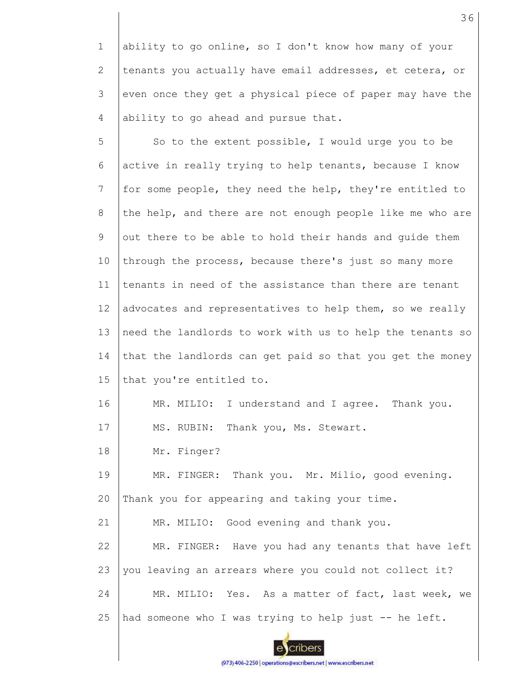1 2 3 4 ability to go online, so I don't know how many of your tenants you actually have email addresses, et cetera, or even once they get a physical piece of paper may have the ability to go ahead and pursue that.

5 6 7 8 9 10 11 12 13 14 15 16 17 18 So to the extent possible, I would urge you to be active in really trying to help tenants, because I know for some people, they need the help, they're entitled to the help, and there are not enough people like me who are out there to be able to hold their hands and guide them through the process, because there's just so many more tenants in need of the assistance than there are tenant advocates and representatives to help them, so we really need the landlords to work with us to help the tenants so that the landlords can get paid so that you get the money that you're entitled to. MR. MILIO: I understand and I agree. Thank you. MS. RUBIN: Thank you, Ms. Stewart. Mr. Finger?

19 20 MR. FINGER: Thank you. Mr. Milio, good evening. Thank you for appearing and taking your time.

21 MR. MILIO: Good evening and thank you.

22 23 24 MR. FINGER: Have you had any tenants that have left you leaving an arrears where you could not collect it? MR. MILIO: Yes. As a matter of fact, last week, we



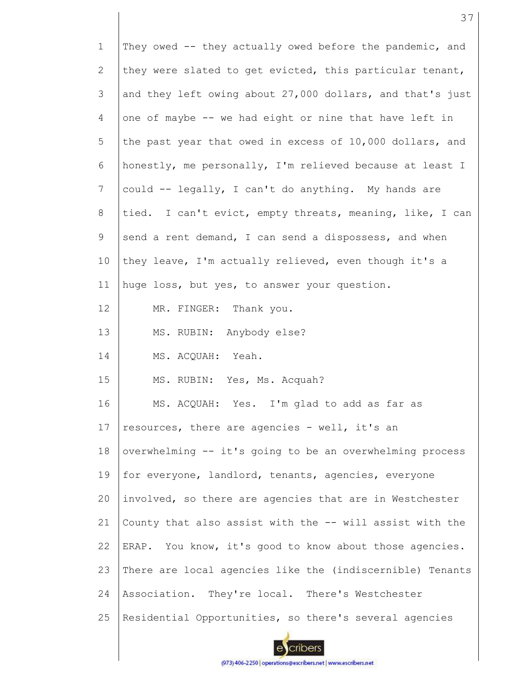| $\mathbf{1}$ | They owed -- they actually owed before the pandemic, and  |
|--------------|-----------------------------------------------------------|
| 2            | they were slated to get evicted, this particular tenant,  |
| 3            | and they left owing about 27,000 dollars, and that's just |
| 4            | one of maybe -- we had eight or nine that have left in    |
| 5            | the past year that owed in excess of 10,000 dollars, and  |
| 6            | honestly, me personally, I'm relieved because at least I  |
| 7            | could -- legally, I can't do anything. My hands are       |
| 8            | tied. I can't evict, empty threats, meaning, like, I can  |
| 9            | send a rent demand, I can send a dispossess, and when     |
| 10           | they leave, I'm actually relieved, even though it's a     |
| 11           | huge loss, but yes, to answer your question.              |
| 12           | MR. FINGER: Thank you.                                    |
| 13           | MS. RUBIN: Anybody else?                                  |
| 14           | MS. ACQUAH: Yeah.                                         |
| 15           | MS. RUBIN: Yes, Ms. Acquah?                               |
| 16           | MS. ACQUAH: Yes. I'm glad to add as far as                |
| 17           | resources, there are agencies - well, it's an             |
| 18           | overwhelming -- it's going to be an overwhelming process  |
| 19           | for everyone, landlord, tenants, agencies, everyone       |
| 20           | involved, so there are agencies that are in Westchester   |
| 21           | County that also assist with the -- will assist with the  |
| 22           | ERAP. You know, it's good to know about those agencies.   |
| 23           | There are local agencies like the (indiscernible) Tenants |
| 24           | Association. They're local. There's Westchester           |
| 25           | Residential Opportunities, so there's several agencies    |

ecribers (973) 406-2250 | operations@escribers.net | www.escribers.net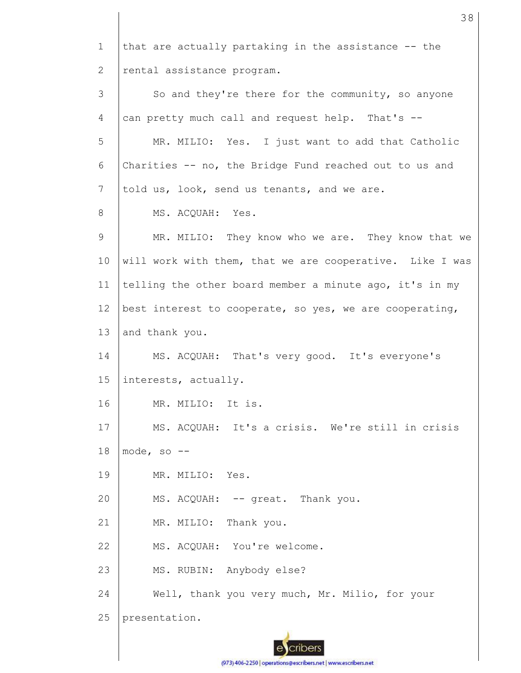1 2 3 4 5 6 7 8 9 10 11 12 13 14 15 16 17 18 19 20 21 22 23 24 25 that are actually partaking in the assistance -- the rental assistance program. So and they're there for the community, so anyone can pretty much call and request help. That's --MR. MILIO: Yes. I just want to add that Catholic Charities -- no, the Bridge Fund reached out to us and told us, look, send us tenants, and we are. MS. ACQUAH: Yes. MR. MILIO: They know who we are. They know that we will work with them, that we are cooperative. Like I was telling the other board member a minute ago, it's in my best interest to cooperate, so yes, we are cooperating, and thank you. MS. ACQUAH: That's very good. It's everyone's interests, actually. MR. MILIO: It is. MS. ACQUAH: It's a crisis. We're still in crisis mode, so -- MR. MILIO: Yes. MS. ACQUAH: -- great. Thank you. MR. MILIO: Thank you. MS. ACQUAH: You're welcome. MS. RUBIN: Anybody else? Well, thank you very much, Mr. Milio, for your presentation.

38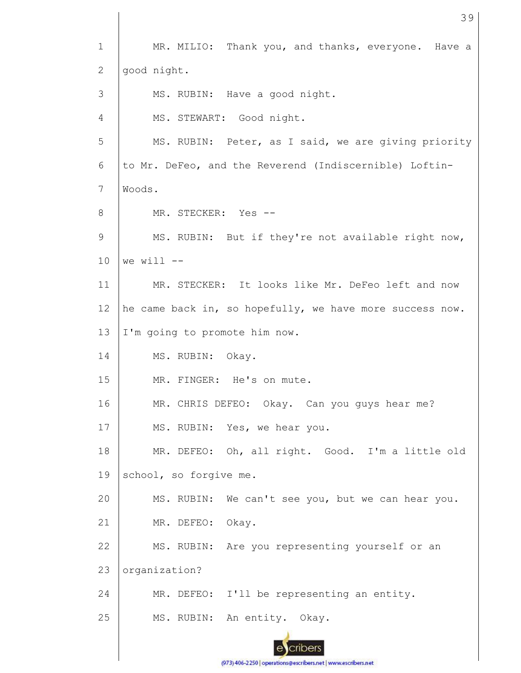1 2 3 4 5 6 7 8 9 10 11 12 13 14 15 16 17 18 19 20 21 22 23 24 25 MR. MILIO: Thank you, and thanks, everyone. Have a good night. MS. RUBIN: Have a good night. MS. STEWART: Good night. MS. RUBIN: Peter, as I said, we are giving priority to Mr. DeFeo, and the Reverend (Indiscernible) Loftin-Woods. MR. STECKER: Yes -- MS. RUBIN: But if they're not available right now, we will  $--$ MR. STECKER: It looks like Mr. DeFeo left and now he came back in, so hopefully, we have more success now. I'm going to promote him now. MS. RUBIN: Okay. MR. FINGER: He's on mute. MR. CHRIS DEFEO: Okay. Can you guys hear me? MS. RUBIN: Yes, we hear you. MR. DEFEO: Oh, all right. Good. I'm a little old school, so forgive me. MS. RUBIN: We can't see you, but we can hear you. MR. DEFEO: Okay. MS. RUBIN: Are you representing yourself or an organization? MR. DEFEO: I'll be representing an entity. MS. RUBIN: An entity. Okay.

39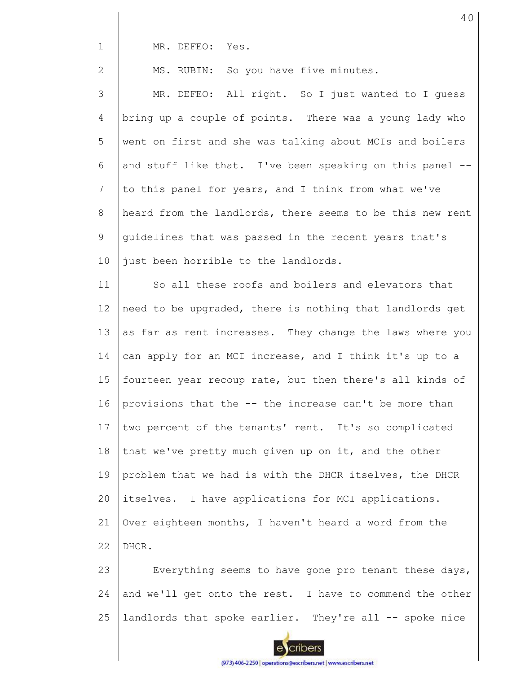1

2

MR. DEFEO: Yes.

MS. RUBIN: So you have five minutes.

3 4 5 6 7 8 9 10 MR. DEFEO: All right. So I just wanted to I guess bring up a couple of points. There was a young lady who went on first and she was talking about MCIs and boilers and stuff like that. I've been speaking on this panel - to this panel for years, and I think from what we've heard from the landlords, there seems to be this new rent guidelines that was passed in the recent years that's just been horrible to the landlords.

11 12 13 14 15 16 17 18 19 20 21 22 So all these roofs and boilers and elevators that need to be upgraded, there is nothing that landlords get as far as rent increases. They change the laws where you can apply for an MCI increase, and I think it's up to a fourteen year recoup rate, but then there's all kinds of provisions that the -- the increase can't be more than two percent of the tenants' rent. It's so complicated that we've pretty much given up on it, and the other problem that we had is with the DHCR itselves, the DHCR itselves. I have applications for MCI applications. Over eighteen months, I haven't heard a word from the DHCR.

23 24 25 Everything seems to have gone pro tenant these days, and we'll get onto the rest. I have to commend the other landlords that spoke earlier. They're all -- spoke nice

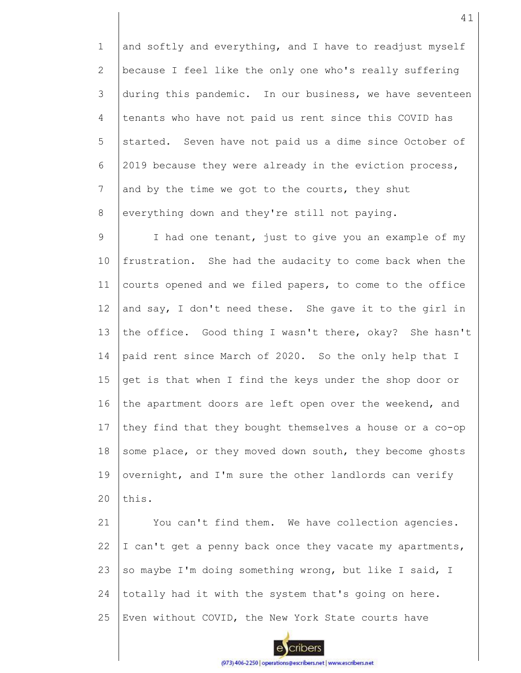1 2 3 4 5 6 7 8 and softly and everything, and I have to readjust myself because I feel like the only one who's really suffering during this pandemic. In our business, we have seventeen tenants who have not paid us rent since this COVID has started. Seven have not paid us a dime since October of 2019 because they were already in the eviction process, and by the time we got to the courts, they shut everything down and they're still not paying.

9 10 11 12 13 14 15 16 17 18 19  $20$ I had one tenant, just to give you an example of my frustration. She had the audacity to come back when the courts opened and we filed papers, to come to the office and say, I don't need these. She gave it to the girl in the office. Good thing I wasn't there, okay? She hasn't paid rent since March of 2020. So the only help that I get is that when I find the keys under the shop door or the apartment doors are left open over the weekend, and they find that they bought themselves a house or a co-op some place, or they moved down south, they become ghosts overnight, and I'm sure the other landlords can verify this.

21 22 23 24 25 You can't find them. We have collection agencies. I can't get a penny back once they vacate my apartments, so maybe I'm doing something wrong, but like I said, I totally had it with the system that's going on here. Even without COVID, the New York State courts have

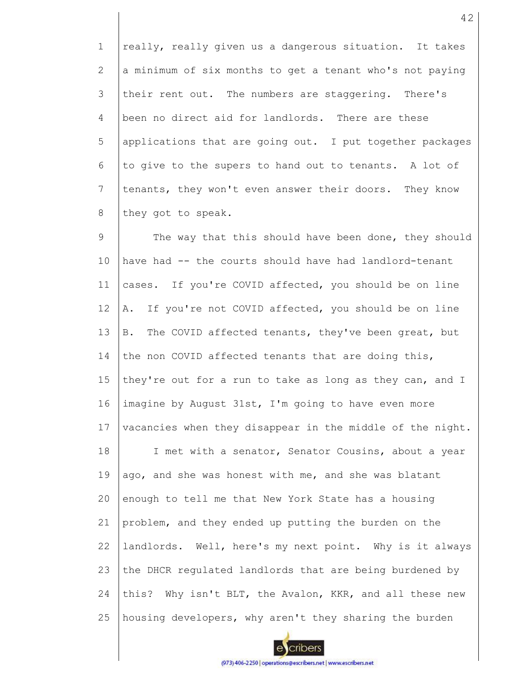1 2 3 4 5 6 7 8 really, really given us a dangerous situation. It takes a minimum of six months to get a tenant who's not paying their rent out. The numbers are staggering. There's been no direct aid for landlords. There are these applications that are going out. I put together packages to give to the supers to hand out to tenants. A lot of tenants, they won't even answer their doors. They know they got to speak.

9 10 11 12 13 14 15 16 17 18 19 20 21 22 23 24 25 The way that this should have been done, they should have had -- the courts should have had landlord-tenant cases. If you're COVID affected, you should be on line A. If you're not COVID affected, you should be on line B. The COVID affected tenants, they've been great, but the non COVID affected tenants that are doing this, they're out for a run to take as long as they can, and I imagine by August 31st, I'm going to have even more vacancies when they disappear in the middle of the night. I met with a senator, Senator Cousins, about a year ago, and she was honest with me, and she was blatant enough to tell me that New York State has a housing problem, and they ended up putting the burden on the landlords. Well, here's my next point. Why is it always the DHCR regulated landlords that are being burdened by this? Why isn't BLT, the Avalon, KKR, and all these new housing developers, why aren't they sharing the burden

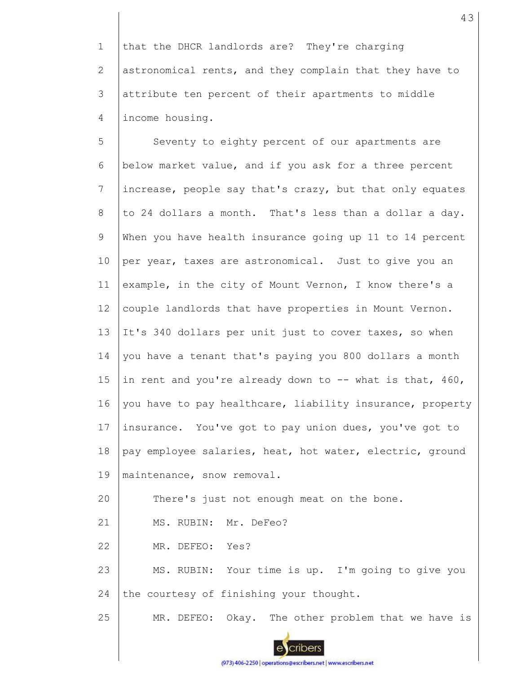1 2 3 4 that the DHCR landlords are? They're charging astronomical rents, and they complain that they have to attribute ten percent of their apartments to middle income housing.

5 6 7 8 9 10 11 12 13 14 15 16 17 18 19 20 21 22 23 24 Seventy to eighty percent of our apartments are below market value, and if you ask for a three percent increase, people say that's crazy, but that only equates to 24 dollars a month. That's less than a dollar a day. When you have health insurance going up 11 to 14 percent per year, taxes are astronomical. Just to give you an example, in the city of Mount Vernon, I know there's a couple landlords that have properties in Mount Vernon. It's 340 dollars per unit just to cover taxes, so when you have a tenant that's paying you 800 dollars a month in rent and you're already down to  $--$  what is that, 460, you have to pay healthcare, liability insurance, property insurance. You've got to pay union dues, you've got to pay employee salaries, heat, hot water, electric, ground maintenance, snow removal. There's just not enough meat on the bone. MS. RUBIN: Mr. DeFeo? MR. DEFEO: Yes? MS. RUBIN: Your time is up. I'm going to give you the courtesy of finishing your thought.

25 MR. DEFEO: Okay. The other problem that we have is

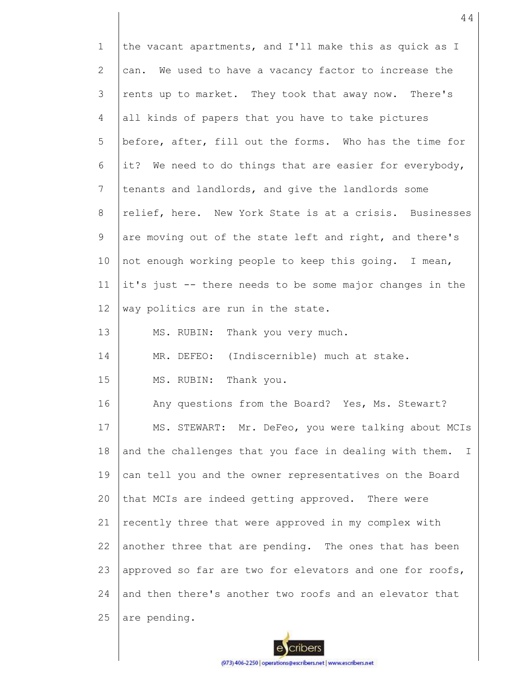| $\mathbf{1}$ | the vacant apartments, and I'll make this as quick as I  |
|--------------|----------------------------------------------------------|
| 2            | can. We used to have a vacancy factor to increase the    |
| 3            | rents up to market. They took that away now. There's     |
| 4            | all kinds of papers that you have to take pictures       |
| 5            | before, after, fill out the forms. Who has the time for  |
| 6            | it? We need to do things that are easier for everybody,  |
| 7            | tenants and landlords, and give the landlords some       |
| 8            | relief, here. New York State is at a crisis. Businesses  |
| 9            | are moving out of the state left and right, and there's  |
| 10           | not enough working people to keep this going. I mean,    |
| 11           | it's just -- there needs to be some major changes in the |
| 12           | way politics are run in the state.                       |
| 13           | MS. RUBIN: Thank you very much.                          |
| 14           | MR. DEFEO: (Indiscernible) much at stake.                |
| 15           | MS. RUBIN: Thank you.                                    |
| 16           | Any questions from the Board? Yes, Ms. Stewart?          |
| 17           | MS. STEWART: Mr. DeFeo, you were talking about MCIs      |
| 18           | and the challenges that you face in dealing with them. I |
| 19           | can tell you and the owner representatives on the Board  |
| 20           | that MCIs are indeed getting approved. There were        |
| 21           | recently three that were approved in my complex with     |
| 22           | another three that are pending. The ones that has been   |
| 23           | approved so far are two for elevators and one for roofs, |
| 24           | and then there's another two roofs and an elevator that  |
| 25           | are pending.                                             |

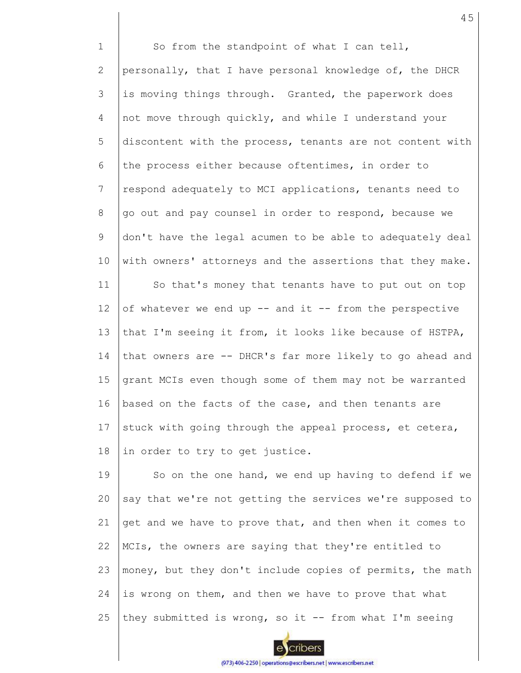1 2 3 4 5 6 7 8 9 10 11 12 13 14 15 16 17 18 So from the standpoint of what I can tell, personally, that I have personal knowledge of, the DHCR is moving things through. Granted, the paperwork does not move through quickly, and while I understand your discontent with the process, tenants are not content with the process either because oftentimes, in order to respond adequately to MCI applications, tenants need to go out and pay counsel in order to respond, because we don't have the legal acumen to be able to adequately deal with owners' attorneys and the assertions that they make. So that's money that tenants have to put out on top of whatever we end up -- and it -- from the perspective that I'm seeing it from, it looks like because of HSTPA, that owners are -- DHCR's far more likely to go ahead and grant MCIs even though some of them may not be warranted based on the facts of the case, and then tenants are stuck with going through the appeal process, et cetera, in order to try to get justice.

19 20 21 22 23 24 25 So on the one hand, we end up having to defend if we say that we're not getting the services we're supposed to get and we have to prove that, and then when it comes to MCIs, the owners are saying that they're entitled to money, but they don't include copies of permits, the math is wrong on them, and then we have to prove that what they submitted is wrong, so it  $-$ - from what I'm seeing

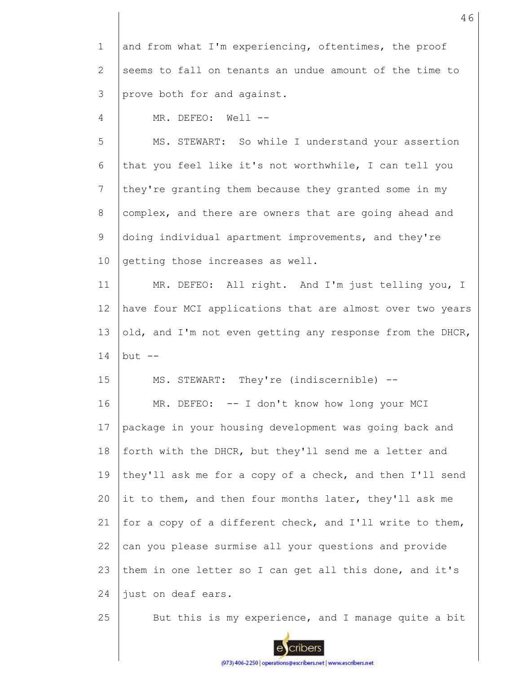| 1 and from what I'm experiencing, oftentimes, the proof   |
|-----------------------------------------------------------|
| 2 Seems to fall on tenants an undue amount of the time to |
| 3 $\parallel$ prove both for and against.                 |

4 MR. DEFEO: Well --

5 6 7 8 9 10 MS. STEWART: So while I understand your assertion that you feel like it's not worthwhile, I can tell you they're granting them because they granted some in my complex, and there are owners that are going ahead and doing individual apartment improvements, and they're getting those increases as well.

11 12 13 14 MR. DEFEO: All right. And I'm just telling you, I have four MCI applications that are almost over two years old, and I'm not even getting any response from the DHCR, but  $--$ 

15 MS. STEWART: They're (indiscernible) --

16 17 18 19  $20$ 21 22 23 24 MR. DEFEO: -- I don't know how long your MCI package in your housing development was going back and forth with the DHCR, but they'll send me a letter and they'll ask me for a copy of a check, and then I'll send it to them, and then four months later, they'll ask me for a copy of a different check, and I'll write to them, can you please surmise all your questions and provide them in one letter so I can get all this done, and it's just on deaf ears.

25

But this is my experience, and I manage quite a bit

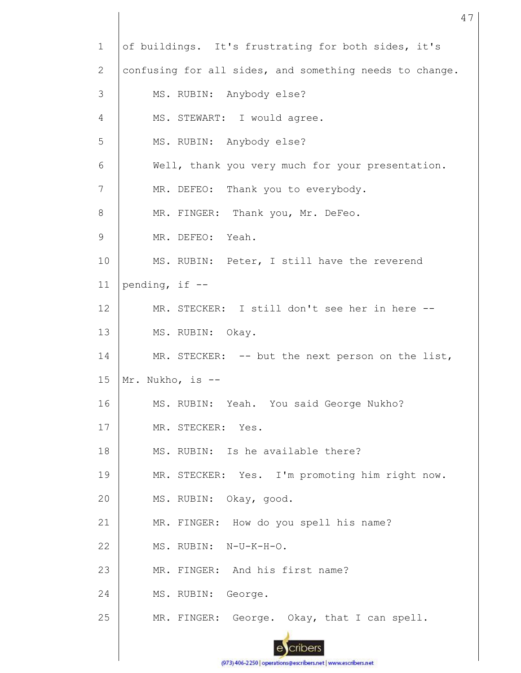| $\mathbf{1}$ | of buildings. It's frustrating for both sides, it's     |
|--------------|---------------------------------------------------------|
| $\mathbf{2}$ | confusing for all sides, and something needs to change. |
| 3            | MS. RUBIN: Anybody else?                                |
| 4            | MS. STEWART: I would agree.                             |
| 5            | MS. RUBIN: Anybody else?                                |
| 6            | Well, thank you very much for your presentation.        |
| 7            | MR. DEFEO: Thank you to everybody.                      |
| $8\,$        | MR. FINGER: Thank you, Mr. DeFeo.                       |
| 9            | MR. DEFEO: Yeah.                                        |
| 10           | MS. RUBIN: Peter, I still have the reverend             |
| 11           | pending, if $-$                                         |
| 12           | MR. STECKER: I still don't see her in here --           |
| 13           | MS. RUBIN: Okay.                                        |
| 14           | MR. STECKER: -- but the next person on the list,        |
| 15           | Mr. Nukho, is --                                        |
| 16           | MS. RUBIN: Yeah. You said George Nukho?                 |
| 17           | MR. STECKER: Yes.                                       |
| 18           |                                                         |
|              | MS. RUBIN: Is he available there?                       |
| 19           | MR. STECKER: Yes. I'm promoting him right now.          |
| 20           | MS. RUBIN: Okay, good.                                  |
| 21           | MR. FINGER: How do you spell his name?                  |
| 22           | MS. RUBIN: N-U-K-H-O.                                   |
| 23           | MR. FINGER: And his first name?                         |
| 24           | MS. RUBIN: George.                                      |
| 25           | MR. FINGER: George. Okay, that I can spell.             |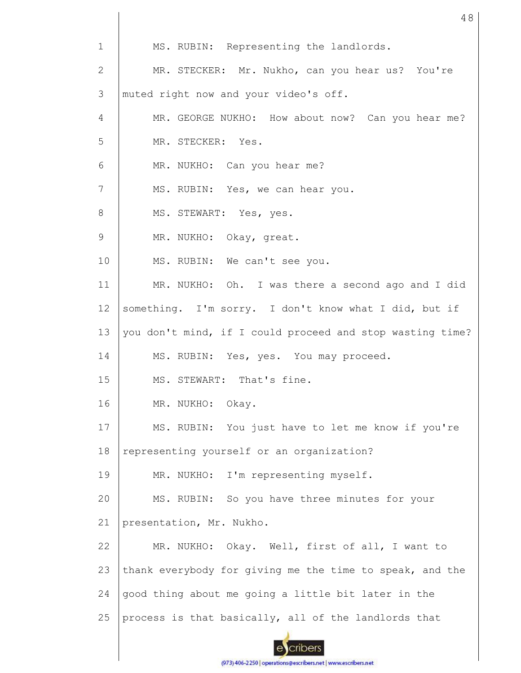| $\mathbf 1$     | MS. RUBIN: Representing the landlords.                    |
|-----------------|-----------------------------------------------------------|
| 2               | MR. STECKER: Mr. Nukho, can you hear us? You're           |
| 3               | muted right now and your video's off.                     |
| 4               | MR. GEORGE NUKHO: How about now? Can you hear me?         |
| 5               | MR. STECKER: Yes.                                         |
| 6               | MR. NUKHO: Can you hear me?                               |
| $7\phantom{.0}$ | MS. RUBIN: Yes, we can hear you.                          |
| 8               | MS. STEWART: Yes, yes.                                    |
| 9               | MR. NUKHO: Okay, great.                                   |
| 10              | MS. RUBIN: We can't see you.                              |
| 11              | MR. NUKHO: Oh. I was there a second ago and I did         |
| 12              | something. I'm sorry. I don't know what I did, but if     |
| 13              | you don't mind, if I could proceed and stop wasting time? |
| 14              | MS. RUBIN: Yes, yes. You may proceed.                     |
| 15              | MS. STEWART: That's fine.                                 |
| 16              | MR. NUKHO: Okay.                                          |
| 17              | MS. RUBIN: You just have to let me know if you're         |
| 18              | representing yourself or an organization?                 |
| 19              | MR. NUKHO: I'm representing myself.                       |
| 20              | MS. RUBIN: So you have three minutes for your             |
| 21              | presentation, Mr. Nukho.                                  |
| 22              | MR. NUKHO: Okay. Well, first of all, I want to            |
| 23              | thank everybody for giving me the time to speak, and the  |
| 24              | good thing about me going a little bit later in the       |
| 25              | process is that basically, all of the landlords that      |
|                 |                                                           |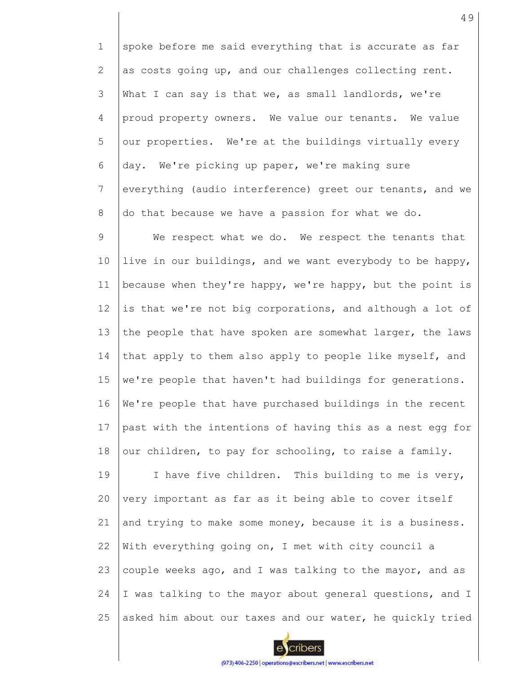1 2 3 4 5 6 7 8 spoke before me said everything that is accurate as far as costs going up, and our challenges collecting rent. What I can say is that we, as small landlords, we're proud property owners. We value our tenants. We value our properties. We're at the buildings virtually every day. We're picking up paper, we're making sure everything (audio interference) greet our tenants, and we do that because we have a passion for what we do.

9 10 11 12 13 14 15 16 17 18 We respect what we do. We respect the tenants that live in our buildings, and we want everybody to be happy, because when they're happy, we're happy, but the point is is that we're not big corporations, and although a lot of the people that have spoken are somewhat larger, the laws that apply to them also apply to people like myself, and we're people that haven't had buildings for generations. We're people that have purchased buildings in the recent past with the intentions of having this as a nest egg for our children, to pay for schooling, to raise a family.

19 20 21 22 23 24 25 I have five children. This building to me is very, very important as far as it being able to cover itself and trying to make some money, because it is a business. With everything going on, I met with city council a couple weeks ago, and I was talking to the mayor, and as I was talking to the mayor about general questions, and I asked him about our taxes and our water, he quickly tried

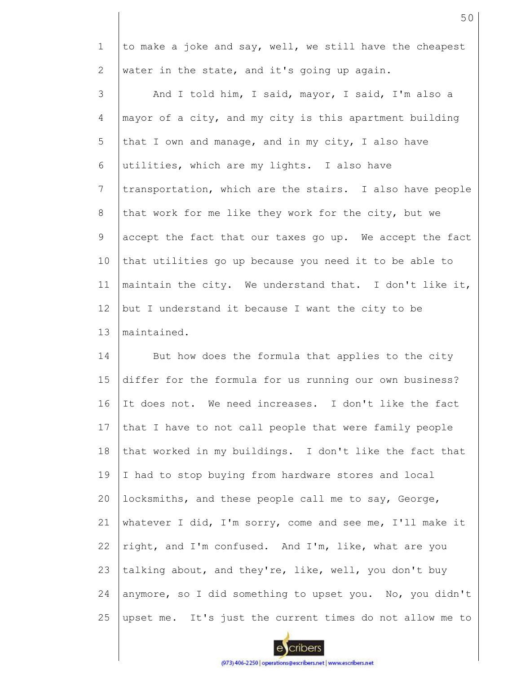1 2 3 4 5 6 7 8 9 10 11 12 13 14 15 16 17 18 19 20 21 22 23 24 to make a joke and say, well, we still have the cheapest water in the state, and it's going up again. And I told him, I said, mayor, I said, I'm also a mayor of a city, and my city is this apartment building that I own and manage, and in my city, I also have utilities, which are my lights. I also have transportation, which are the stairs. I also have people that work for me like they work for the city, but we accept the fact that our taxes go up. We accept the fact that utilities go up because you need it to be able to maintain the city. We understand that. I don't like it, but I understand it because I want the city to be maintained. But how does the formula that applies to the city differ for the formula for us running our own business? It does not. We need increases. I don't like the fact that I have to not call people that were family people that worked in my buildings. I don't like the fact that I had to stop buying from hardware stores and local locksmiths, and these people call me to say, George, whatever I did, I'm sorry, come and see me, I'll make it right, and I'm confused. And I'm, like, what are you talking about, and they're, like, well, you don't buy anymore, so I did something to upset you. No, you didn't



upset me. It's just the current times do not allow me to

25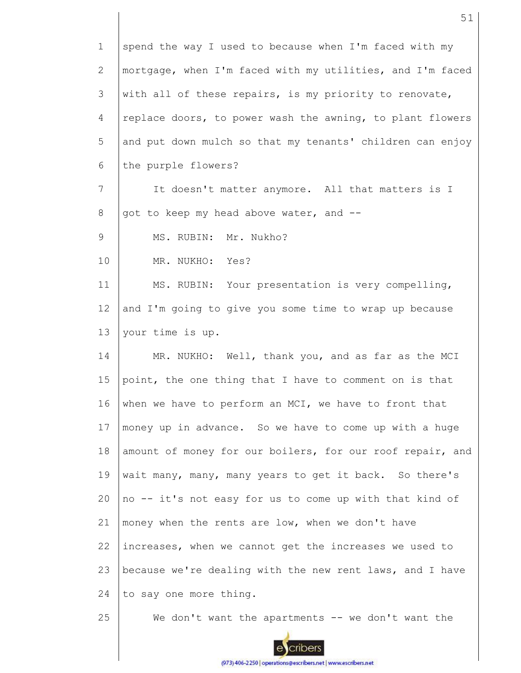1 2 3 4 5 6 7 8 9 10 11 12 13 14 15 16 17 18 19 20 21 22 23 24 25 spend the way I used to because when I'm faced with my mortgage, when I'm faced with my utilities, and I'm faced with all of these repairs, is my priority to renovate, replace doors, to power wash the awning, to plant flowers and put down mulch so that my tenants' children can enjoy the purple flowers? It doesn't matter anymore. All that matters is I got to keep my head above water, and -- MS. RUBIN: Mr. Nukho? MR. NUKHO: Yes? MS. RUBIN: Your presentation is very compelling, and I'm going to give you some time to wrap up because your time is up. MR. NUKHO: Well, thank you, and as far as the MCI point, the one thing that I have to comment on is that when we have to perform an MCI, we have to front that money up in advance. So we have to come up with a huge amount of money for our boilers, for our roof repair, and wait many, many, many years to get it back. So there's no -- it's not easy for us to come up with that kind of money when the rents are low, when we don't have increases, when we cannot get the increases we used to because we're dealing with the new rent laws, and I have to say one more thing. We don't want the apartments  $-$ - we don't want the

51

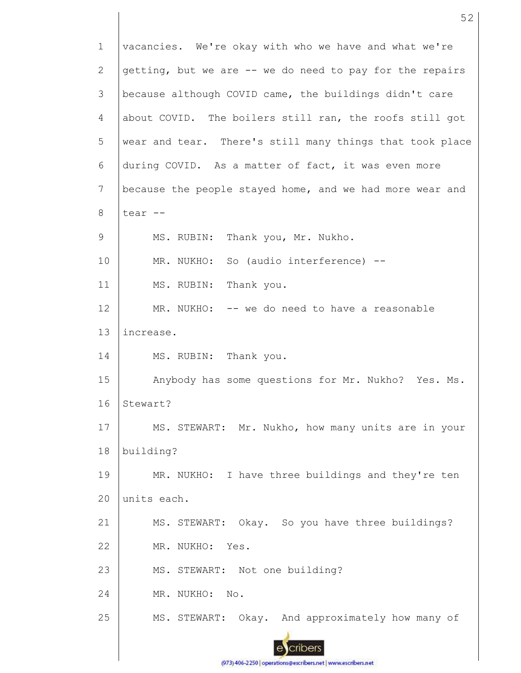1 2 3 4 5 6 7 8 9 10 11 12 13 14 15 16 17 18 19  $20$ 21 22 23 24 25 vacancies. We're okay with who we have and what we're getting, but we are -- we do need to pay for the repairs because although COVID came, the buildings didn't care about COVID. The boilers still ran, the roofs still got wear and tear. There's still many things that took place during COVID. As a matter of fact, it was even more because the people stayed home, and we had more wear and tear -- MS. RUBIN: Thank you, Mr. Nukho. MR. NUKHO: So (audio interference) --MS. RUBIN: Thank you. MR. NUKHO: -- we do need to have a reasonable increase. MS. RUBIN: Thank you. Anybody has some questions for Mr. Nukho? Yes. Ms. Stewart? MS. STEWART: Mr. Nukho, how many units are in your building? MR. NUKHO: I have three buildings and they're ten units each. MS. STEWART: Okay. So you have three buildings? MR. NUKHO: Yes. MS. STEWART: Not one building? MR. NUKHO: No. MS. STEWART: Okay. And approximately how many of

52

(973) 406-2250 | operations@escribers.net | www.escribers.net

cribers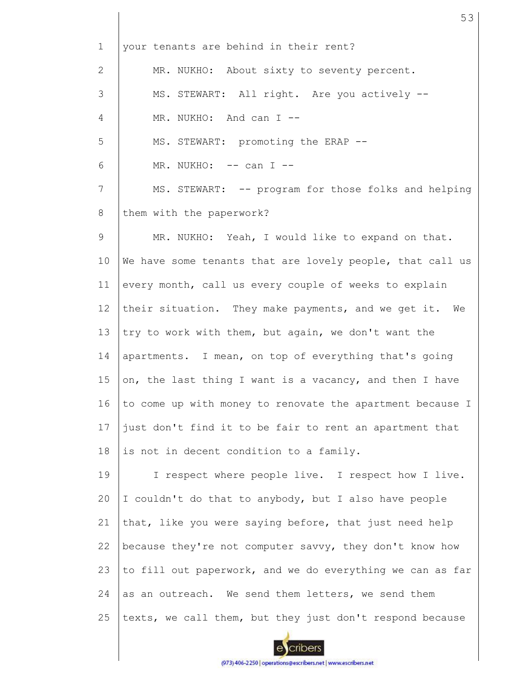1 2 3 4 5 6 7 8 9 10 11 12 13 14 15 16 17 18 19 20 21 22 23 24 25 your tenants are behind in their rent? MR. NUKHO: About sixty to seventy percent. MS. STEWART: All right. Are you actively -- MR. NUKHO: And can I --MS. STEWART: promoting the ERAP --  $MR. NUKHO: -- can I --$ MS. STEWART: -- program for those folks and helping them with the paperwork? MR. NUKHO: Yeah, I would like to expand on that. We have some tenants that are lovely people, that call us every month, call us every couple of weeks to explain their situation. They make payments, and we get it. We try to work with them, but again, we don't want the apartments. I mean, on top of everything that's going on, the last thing I want is a vacancy, and then I have to come up with money to renovate the apartment because I just don't find it to be fair to rent an apartment that is not in decent condition to a family. I respect where people live. I respect how I live. I couldn't do that to anybody, but I also have people that, like you were saying before, that just need help because they're not computer savvy, they don't know how to fill out paperwork, and we do everything we can as far as an outreach. We send them letters, we send them texts, we call them, but they just don't respond because

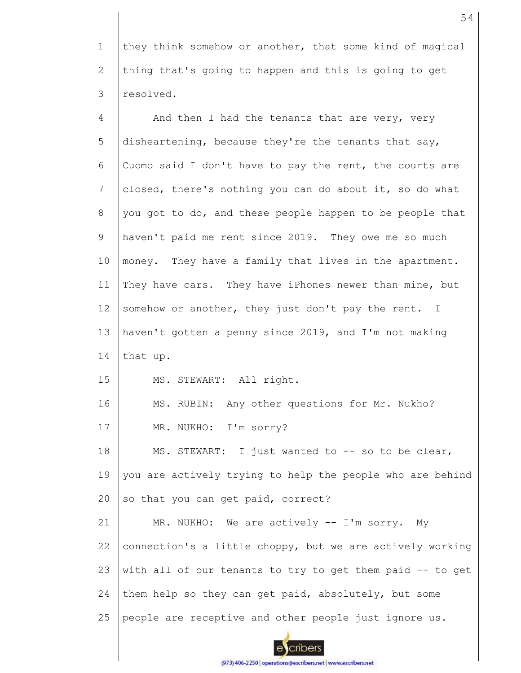1 2 3 they think somehow or another, that some kind of magical thing that's going to happen and this is going to get resolved.

| $\overline{4}$ | And then I had the tenants that are very, very            |
|----------------|-----------------------------------------------------------|
| 5              | disheartening, because they're the tenants that say,      |
| 6              | Cuomo said I don't have to pay the rent, the courts are   |
| 7              | closed, there's nothing you can do about it, so do what   |
| 8              | you got to do, and these people happen to be people that  |
| 9              | haven't paid me rent since 2019. They owe me so much      |
| 10             | money. They have a family that lives in the apartment.    |
| 11             | They have cars. They have iPhones newer than mine, but    |
| 12             | somehow or another, they just don't pay the rent. I       |
| 13             | haven't gotten a penny since 2019, and I'm not making     |
| 14             | that up.                                                  |
| 15             | MS. STEWART: All right.                                   |
| 16             | MS. RUBIN: Any other questions for Mr. Nukho?             |
| 17             | MR. NUKHO: I'm sorry?                                     |
| 18             | MS. STEWART: I just wanted to -- so to be clear,          |
| 19             | you are actively trying to help the people who are behind |
| 20             | so that you can get paid, correct?                        |
| 21             | MR. NUKHO: We are actively -- I'm sorry. My               |
| 22             | connection's a little choppy, but we are actively working |
| 23             | with all of our tenants to try to get them paid -- to get |
| 24             | them help so they can get paid, absolutely, but some      |
| 25             | people are receptive and other people just ignore us.     |

(973) 406-2250 | operations@escribers.net | www.escribers.net

eycribers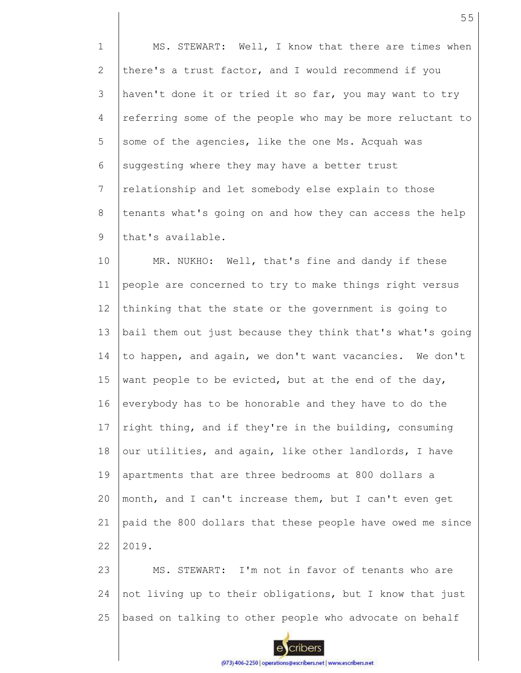1 2 3 4 5 6 7 8 9 MS. STEWART: Well, I know that there are times when there's a trust factor, and I would recommend if you haven't done it or tried it so far, you may want to try referring some of the people who may be more reluctant to some of the agencies, like the one Ms. Acquah was suggesting where they may have a better trust relationship and let somebody else explain to those tenants what's going on and how they can access the help that's available.

10 11 12 13 14 15 16 17 18 19 20 21 22 MR. NUKHO: Well, that's fine and dandy if these people are concerned to try to make things right versus thinking that the state or the government is going to bail them out just because they think that's what's going to happen, and again, we don't want vacancies. We don't want people to be evicted, but at the end of the day, everybody has to be honorable and they have to do the right thing, and if they're in the building, consuming our utilities, and again, like other landlords, I have apartments that are three bedrooms at 800 dollars a month, and I can't increase them, but I can't even get paid the 800 dollars that these people have owed me since 2019.

23 24 25 MS. STEWART: I'm not in favor of tenants who are not living up to their obligations, but I know that just based on talking to other people who advocate on behalf

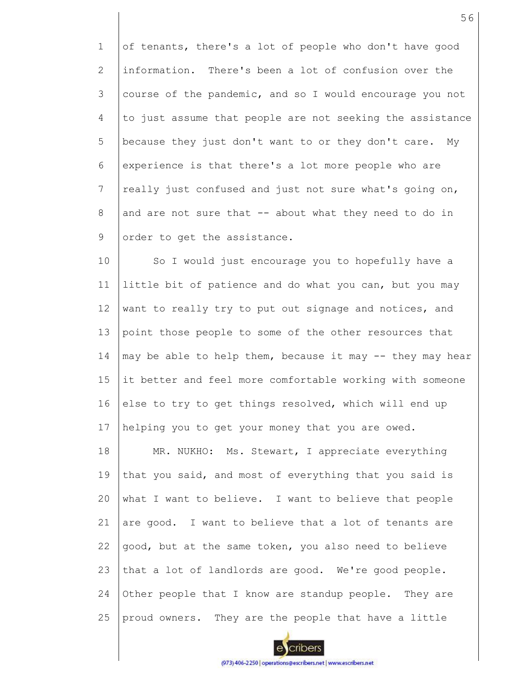1 2 3 4 5 6 7 8 9 of tenants, there's a lot of people who don't have good information. There's been a lot of confusion over the course of the pandemic, and so I would encourage you not to just assume that people are not seeking the assistance because they just don't want to or they don't care. My experience is that there's a lot more people who are really just confused and just not sure what's going on, and are not sure that -- about what they need to do in order to get the assistance.

10 11 12 13 14 15 16 17 So I would just encourage you to hopefully have a little bit of patience and do what you can, but you may want to really try to put out signage and notices, and point those people to some of the other resources that may be able to help them, because it may -- they may hear it better and feel more comfortable working with someone else to try to get things resolved, which will end up helping you to get your money that you are owed.

18 19 20 21 22 23 24 25 MR. NUKHO: Ms. Stewart, I appreciate everything that you said, and most of everything that you said is what I want to believe. I want to believe that people are good. I want to believe that a lot of tenants are good, but at the same token, you also need to believe that a lot of landlords are good. We're good people. Other people that I know are standup people. They are proud owners. They are the people that have a little

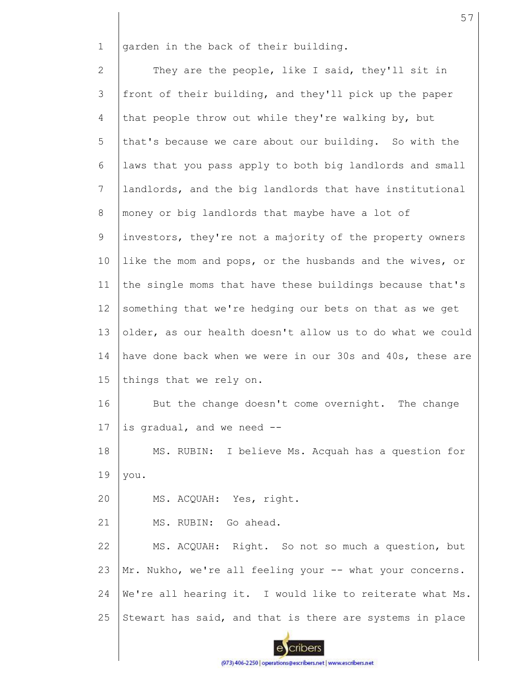1 garden in the back of their building.

2 3 4 5 6 7 8 9 10 11 12 13 14 15 16 17 18 19 20 21 22 23 24 25 They are the people, like I said, they'll sit in front of their building, and they'll pick up the paper that people throw out while they're walking by, but that's because we care about our building. So with the laws that you pass apply to both big landlords and small landlords, and the big landlords that have institutional money or big landlords that maybe have a lot of investors, they're not a majority of the property owners like the mom and pops, or the husbands and the wives, or the single moms that have these buildings because that's something that we're hedging our bets on that as we get older, as our health doesn't allow us to do what we could have done back when we were in our 30s and 40s, these are things that we rely on. But the change doesn't come overnight. The change is gradual, and we need -- MS. RUBIN: I believe Ms. Acquah has a question for you. MS. ACQUAH: Yes, right. MS. RUBIN: Go ahead. MS. ACQUAH: Right. So not so much a question, but Mr. Nukho, we're all feeling your -- what your concerns. We're all hearing it. I would like to reiterate what Ms. Stewart has said, and that is there are systems in place

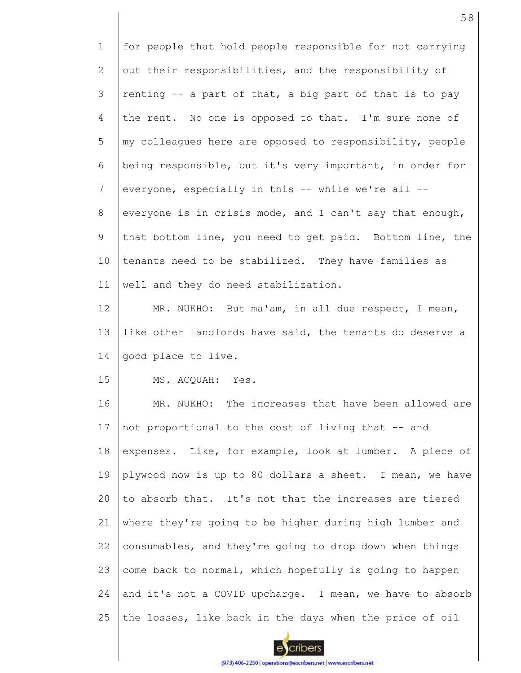1 2 3 4 5 6 7 8 9 10 11 12 13 14 15 16 for people that hold people responsible for not carrying out their responsibilities, and the responsibility of renting -- a part of that, a big part of that is to pay the rent. No one is opposed to that. I'm sure none of my colleagues here are opposed to responsibility, people being responsible, but it's very important, in order for everyone, especially in this -- while we're all - everyone is in crisis mode, and I can't say that enough, that bottom line, you need to get paid. Bottom line, the tenants need to be stabilized. They have families as well and they do need stabilization. MR. NUKHO: But ma'am, in all due respect, I mean, like other landlords have said, the tenants do deserve a good place to live. MS. ACQUAH: Yes. MR. NUKHO: The increases that have been allowed are

17 18 19 20 21 22 23 24 25 not proportional to the cost of living that -- and expenses. Like, for example, look at lumber. A piece of plywood now is up to 80 dollars a sheet. I mean, we have to absorb that. It's not that the increases are tiered where they're going to be higher during high lumber and consumables, and they're going to drop down when things come back to normal, which hopefully is going to happen and it's not a COVID upcharge. I mean, we have to absorb the losses, like back in the days when the price of oil

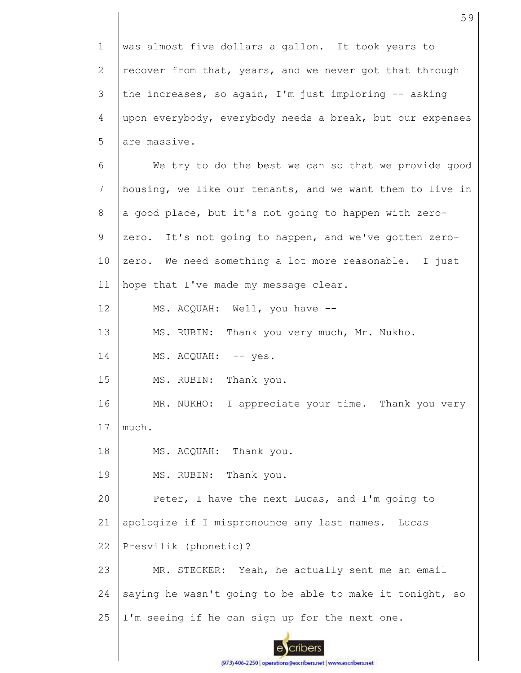| $\mathbf 1$ | was almost five dollars a gallon. It took years to        |
|-------------|-----------------------------------------------------------|
| 2           | recover from that, years, and we never got that through   |
| 3           | the increases, so again, I'm just imploring -- asking     |
| 4           | upon everybody, everybody needs a break, but our expenses |
| 5           | are massive.                                              |
| 6           | We try to do the best we can so that we provide good      |
| 7           | housing, we like our tenants, and we want them to live in |
| 8           | a good place, but it's not going to happen with zero-     |
| 9           | zero. It's not going to happen, and we've gotten zero-    |
| 10          | zero. We need something a lot more reasonable. I just     |
| 11          | hope that I've made my message clear.                     |
| 12          | MS. ACQUAH: Well, you have --                             |
| 13          | MS. RUBIN: Thank you very much, Mr. Nukho.                |
| 14          | MS. ACQUAH: -- yes.                                       |
| 15          | MS. RUBIN: Thank you.                                     |
| 16          | MR. NUKHO: I appreciate your time. Thank you very         |
| 17          | much.                                                     |
| 18          | MS. ACQUAH: Thank you.                                    |
| 19          | MS. RUBIN: Thank you.                                     |
| 20          | Peter, I have the next Lucas, and I'm going to            |
| 21          | apologize if I mispronounce any last names. Lucas         |
| 22          | Presvilik (phonetic)?                                     |
| 23          | MR. STECKER: Yeah, he actually sent me an email           |
| 24          | saying he wasn't going to be able to make it tonight, so  |
| 25          | I'm seeing if he can sign up for the next one.            |
|             |                                                           |

59

escribers (973) 406-2250 | operations@escribers.net | www.escribers.net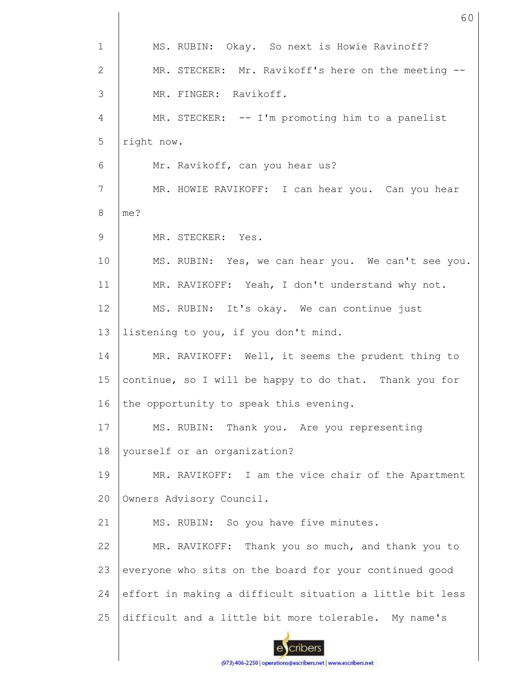| $\mathbf 1$ | MS. RUBIN: Okay. So next is Howie Ravinoff?              |
|-------------|----------------------------------------------------------|
| 2           | MR. STECKER: Mr. Ravikoff's here on the meeting --       |
| 3           | MR. FINGER: Ravikoff.                                    |
| 4           | MR. STECKER: -- I'm promoting him to a panelist          |
| 5           | right now.                                               |
| 6           | Mr. Ravikoff, can you hear us?                           |
| 7           | MR. HOWIE RAVIKOFF: I can hear you. Can you hear         |
| 8           | me?                                                      |
| 9           | MR. STECKER: Yes.                                        |
| 10          | MS. RUBIN: Yes, we can hear you. We can't see you.       |
| 11          | MR. RAVIKOFF: Yeah, I don't understand why not.          |
| 12          | MS. RUBIN: It's okay. We can continue just               |
| 13          | listening to you, if you don't mind.                     |
| 14          | MR. RAVIKOFF: Well, it seems the prudent thing to        |
| 15          | continue, so I will be happy to do that. Thank you for   |
| 16          | the opportunity to speak this evening.                   |
| 17          | MS. RUBIN: Thank you. Are you representing               |
| 18          | yourself or an organization?                             |
| 19          | MR. RAVIKOFF: I am the vice chair of the Apartment       |
| 20          | Owners Advisory Council.                                 |
| 21          | MS. RUBIN: So you have five minutes.                     |
| 22          | MR. RAVIKOFF: Thank you so much, and thank you to        |
| 23          | everyone who sits on the board for your continued good   |
| 24          | effort in making a difficult situation a little bit less |
| 25          | difficult and a little bit more tolerable. My name's     |
|             |                                                          |

60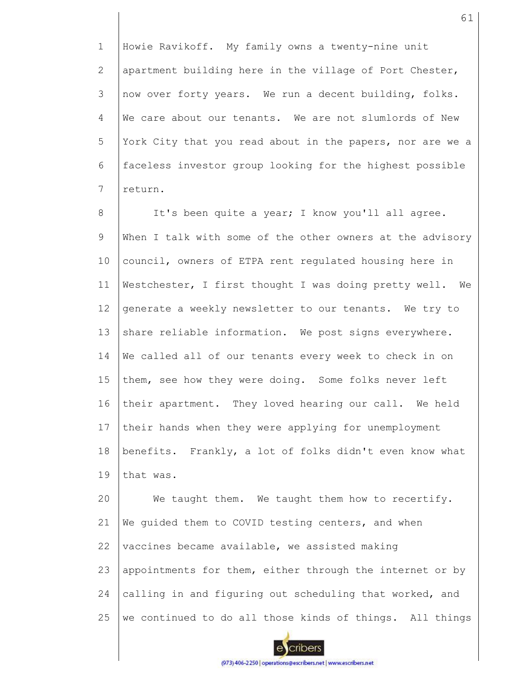1 2 3 4 5 6 7 Howie Ravikoff. My family owns a twenty-nine unit apartment building here in the village of Port Chester, now over forty years. We run a decent building, folks. We care about our tenants. We are not slumlords of New York City that you read about in the papers, nor are we a faceless investor group looking for the highest possible return.

8 9 10 11 12 13 14 15 16 17 18 19 20 It's been quite a year; I know you'll all agree. When I talk with some of the other owners at the advisory council, owners of ETPA rent regulated housing here in Westchester, I first thought I was doing pretty well. We generate a weekly newsletter to our tenants. We try to share reliable information. We post signs everywhere. We called all of our tenants every week to check in on them, see how they were doing. Some folks never left their apartment. They loved hearing our call. We held their hands when they were applying for unemployment benefits. Frankly, a lot of folks didn't even know what that was. We taught them. We taught them how to recertify.

21 22 23 24 25 We quided them to COVID testing centers, and when vaccines became available, we assisted making appointments for them, either through the internet or by calling in and figuring out scheduling that worked, and we continued to do all those kinds of things. All things

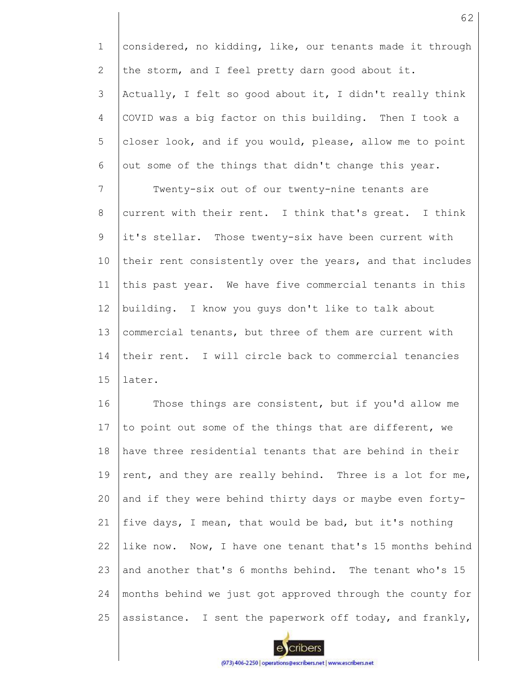1 2 considered, no kidding, like, our tenants made it through the storm, and I feel pretty darn good about it.

3 4 5 6 Actually, I felt so good about it, I didn't really think COVID was a big factor on this building. Then I took a closer look, and if you would, please, allow me to point out some of the things that didn't change this year.

7 8 9 10 11 12 13 14 15 Twenty-six out of our twenty-nine tenants are current with their rent. I think that's great. I think it's stellar. Those twenty-six have been current with their rent consistently over the years, and that includes this past year. We have five commercial tenants in this building. I know you guys don't like to talk about commercial tenants, but three of them are current with their rent. I will circle back to commercial tenancies later.

16 17 18 19 20 21 22 23 24 25 Those things are consistent, but if you'd allow me to point out some of the things that are different, we have three residential tenants that are behind in their rent, and they are really behind. Three is a lot for me, and if they were behind thirty days or maybe even fortyfive days, I mean, that would be bad, but it's nothing like now. Now, I have one tenant that's 15 months behind and another that's 6 months behind. The tenant who's 15 months behind we just got approved through the county for assistance. I sent the paperwork off today, and frankly,

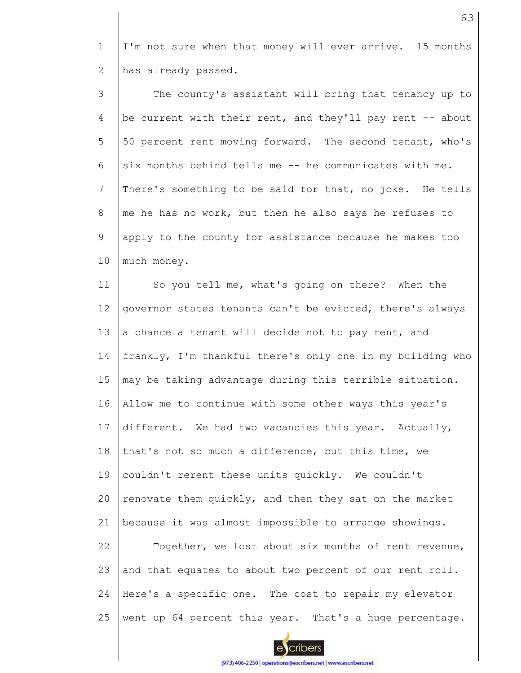1 2 I'm not sure when that money will ever arrive. 15 months has already passed.

3 4 5 6 7 8 9 10 The county's assistant will bring that tenancy up to be current with their rent, and they'll pay rent -- about 50 percent rent moving forward. The second tenant, who's six months behind tells me -- he communicates with me. There's something to be said for that, no joke. He tells me he has no work, but then he also says he refuses to apply to the county for assistance because he makes too much money.

11 12 13 14 15 16 17 18 19 20 21 22 23 24 25 So you tell me, what's going on there? When the governor states tenants can't be evicted, there's always a chance a tenant will decide not to pay rent, and frankly, I'm thankful there's only one in my building who may be taking advantage during this terrible situation. Allow me to continue with some other ways this year's different. We had two vacancies this year. Actually, that's not so much a difference, but this time, we couldn't rerent these units quickly. We couldn't renovate them quickly, and then they sat on the market because it was almost impossible to arrange showings. Together, we lost about six months of rent revenue, and that equates to about two percent of our rent roll. Here's a specific one. The cost to repair my elevator went up 64 percent this year. That's a huge percentage.

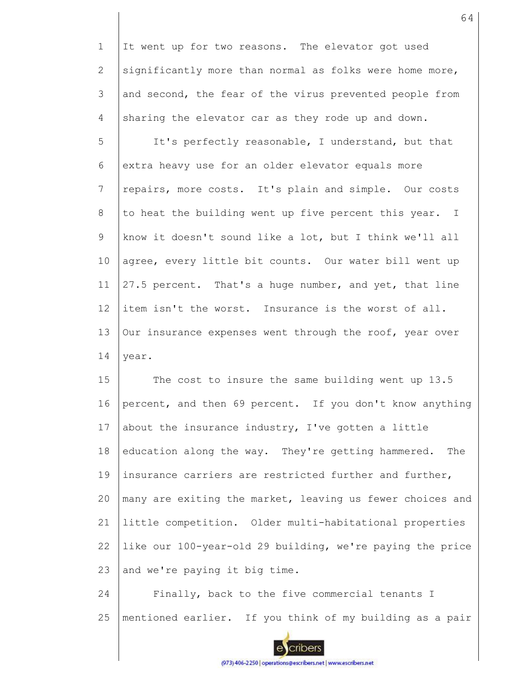1 2 3 4 It went up for two reasons. The elevator got used significantly more than normal as folks were home more, and second, the fear of the virus prevented people from sharing the elevator car as they rode up and down.

5 6 7 8 9 10 11 12 13 14 It's perfectly reasonable, I understand, but that extra heavy use for an older elevator equals more repairs, more costs. It's plain and simple. Our costs to heat the building went up five percent this year. I know it doesn't sound like a lot, but I think we'll all agree, every little bit counts. Our water bill went up 27.5 percent. That's a huge number, and yet, that line item isn't the worst. Insurance is the worst of all. Our insurance expenses went through the roof, year over year.

15 16 17 18 19 20 21 22 23 The cost to insure the same building went up 13.5 percent, and then 69 percent. If you don't know anything about the insurance industry, I've gotten a little education along the way. They're getting hammered. The insurance carriers are restricted further and further, many are exiting the market, leaving us fewer choices and little competition. Older multi-habitational properties like our 100-year-old 29 building, we're paying the price and we're paying it big time.

24 25 Finally, back to the five commercial tenants I mentioned earlier. If you think of my building as a pair



cribers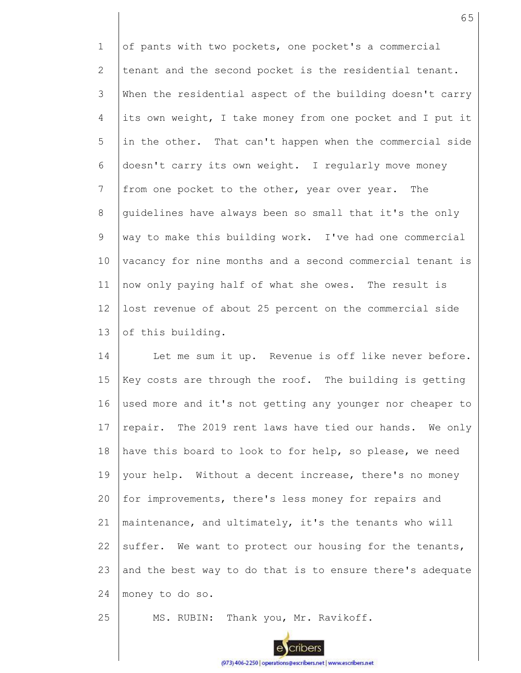1 2 3 4 5 6 7 8 9 10 11 12 13 of pants with two pockets, one pocket's a commercial tenant and the second pocket is the residential tenant. When the residential aspect of the building doesn't carry its own weight, I take money from one pocket and I put it in the other. That can't happen when the commercial side doesn't carry its own weight. I regularly move money from one pocket to the other, year over year. The guidelines have always been so small that it's the only way to make this building work. I've had one commercial vacancy for nine months and a second commercial tenant is now only paying half of what she owes. The result is lost revenue of about 25 percent on the commercial side of this building.

14 15 16 17 18 19 20 21 22 23 24 Let me sum it up. Revenue is off like never before. Key costs are through the roof. The building is getting used more and it's not getting any younger nor cheaper to repair. The 2019 rent laws have tied our hands. We only have this board to look to for help, so please, we need your help. Without a decent increase, there's no money for improvements, there's less money for repairs and maintenance, and ultimately, it's the tenants who will suffer. We want to protect our housing for the tenants, and the best way to do that is to ensure there's adequate money to do so.

25 MS. RUBIN: Thank you, Mr. Ravikoff.

cribers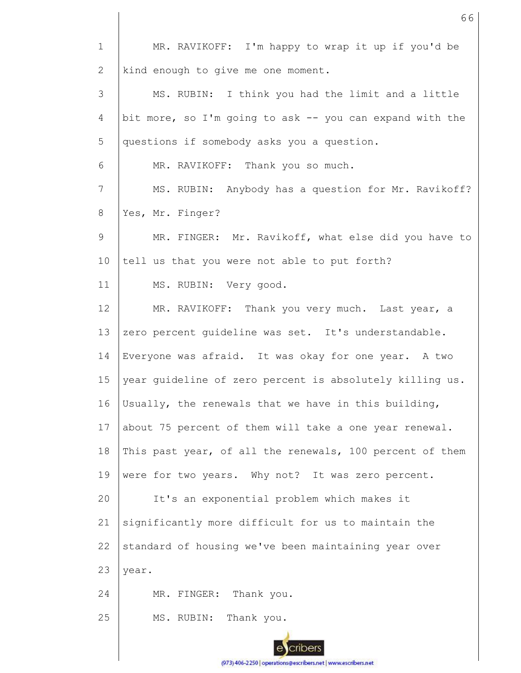| $\mathbf 1$               | MR. RAVIKOFF: I'm happy to wrap it up if you'd be        |
|---------------------------|----------------------------------------------------------|
| $\mathbf{2}^{\mathsf{I}}$ | kind enough to give me one moment.                       |
| 3                         | MS. RUBIN: I think you had the limit and a little        |
| 4                         | bit more, so I'm going to ask -- you can expand with the |
| 5                         | questions if somebody asks you a question.               |
| 6                         | MR. RAVIKOFF: Thank you so much.                         |
| 7                         | MS. RUBIN: Anybody has a question for Mr. Ravikoff?      |
| 8                         | Yes, Mr. Finger?                                         |
| 9                         | MR. FINGER: Mr. Ravikoff, what else did you have to      |
| 10                        | tell us that you were not able to put forth?             |
| 11                        | MS. RUBIN: Very good.                                    |
| 12                        | MR. RAVIKOFF: Thank you very much. Last year, a          |
| 13                        | zero percent guideline was set. It's understandable.     |
| 14                        | Everyone was afraid. It was okay for one year. A two     |
| 15                        | year guideline of zero percent is absolutely killing us. |
| 16                        | Usually, the renewals that we have in this building,     |
| 17                        | about 75 percent of them will take a one year renewal.   |
| 18                        | This past year, of all the renewals, 100 percent of them |
| 19                        | were for two years. Why not? It was zero percent.        |
| 20                        | It's an exponential problem which makes it               |
| 21                        | significantly more difficult for us to maintain the      |
| 22                        | standard of housing we've been maintaining year over     |
| 23                        | year.                                                    |
| 24                        | MR. FINGER: Thank you.                                   |
| 25                        | Thank you.<br>MS. RUBIN:                                 |
|                           |                                                          |

66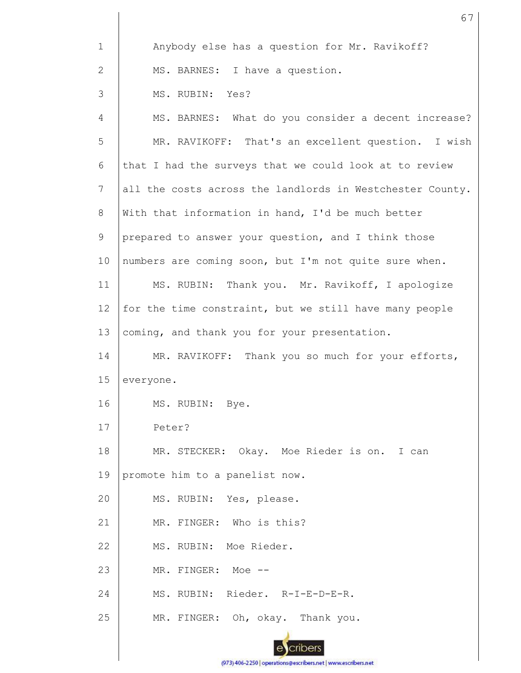| $\mathbf{1}$    | Anybody else has a question for Mr. Ravikoff?             |
|-----------------|-----------------------------------------------------------|
| 2               | MS. BARNES: I have a question.                            |
| 3               | MS. RUBIN: Yes?                                           |
| 4               | MS. BARNES: What do you consider a decent increase?       |
| 5               | MR. RAVIKOFF: That's an excellent question. I wish        |
| 6               | that I had the surveys that we could look at to review    |
| $\overline{7}$  | all the costs across the landlords in Westchester County. |
| 8               | With that information in hand, I'd be much better         |
| 9               | prepared to answer your question, and I think those       |
| 10              | numbers are coming soon, but I'm not quite sure when.     |
| 11              | MS. RUBIN: Thank you. Mr. Ravikoff, I apologize           |
| 12 <sup>°</sup> | for the time constraint, but we still have many people    |
| 13              | coming, and thank you for your presentation.              |
| 14              | MR. RAVIKOFF: Thank you so much for your efforts,         |
| 15              | everyone.                                                 |
| 16              | MS. RUBIN: Bye.                                           |
| 17              | Peter?                                                    |
| 18              | MR. STECKER: Okay. Moe Rieder is on. I can                |
| 19              | promote him to a panelist now.                            |
| 20              | MS. RUBIN: Yes, please.                                   |
| 21              | MR. FINGER: Who is this?                                  |
| 22              | MS. RUBIN: Moe Rieder.                                    |
| 23              | MR. FINGER: Moe --                                        |
| 24              | MS. RUBIN: Rieder. R-I-E-D-E-R.                           |
| 25              | MR. FINGER: Oh, okay. Thank you.                          |
|                 |                                                           |

ecribers (973) 406-2250 | operations@escribers.net | www.escribers.net 67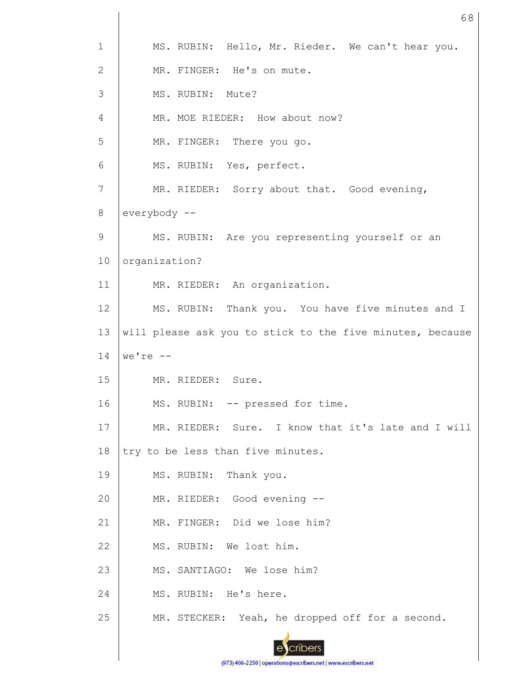| $\mathbf 1$  | MS. RUBIN: Hello, Mr. Rieder. We can't hear you.          |
|--------------|-----------------------------------------------------------|
| $\mathbf{2}$ | MR. FINGER: He's on mute.                                 |
| 3            | MS. RUBIN: Mute?                                          |
| 4            | MR. MOE RIEDER: How about now?                            |
| 5            | MR. FINGER: There you go.                                 |
| 6            | MS. RUBIN: Yes, perfect.                                  |
| 7            | MR. RIEDER: Sorry about that. Good evening,               |
| $8\,$        | everybody --                                              |
| 9            | MS. RUBIN: Are you representing yourself or an            |
| 10           | organization?                                             |
| 11           | MR. RIEDER: An organization.                              |
| 12           | MS. RUBIN: Thank you. You have five minutes and I         |
| 13           | will please ask you to stick to the five minutes, because |
| 14           | $we're --$                                                |
| 15           | MR. RIEDER: Sure.                                         |
|              |                                                           |
| 16           | MS. RUBIN: -- pressed for time.                           |
| 17           | MR. RIEDER: Sure. I know that it's late and I will        |
| 18           | try to be less than five minutes.                         |
| 19           | MS. RUBIN: Thank you.                                     |
| 20           | MR. RIEDER: Good evening --                               |
| 21           | MR. FINGER: Did we lose him?                              |
| 22           | MS. RUBIN: We lost him.                                   |
| 23           | MS. SANTIAGO: We lose him?                                |
| 24           | MS. RUBIN: He's here.                                     |
| 25           | MR. STECKER: Yeah, he dropped off for a second.           |

68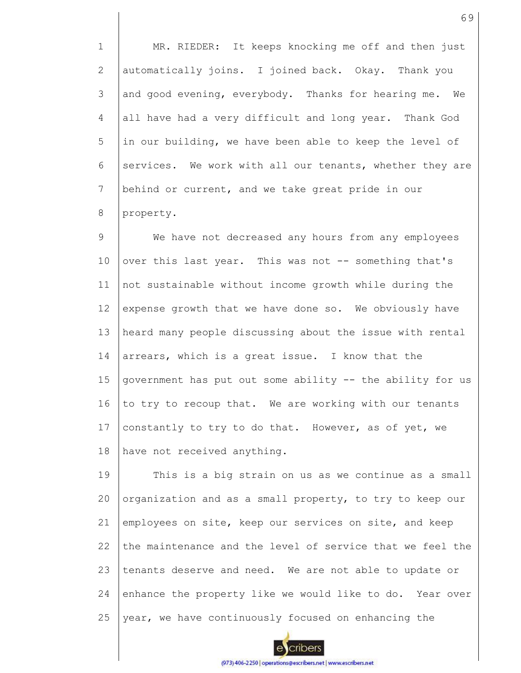1 2 3 4 5 6 7 8 MR. RIEDER: It keeps knocking me off and then just automatically joins. I joined back. Okay. Thank you and good evening, everybody. Thanks for hearing me. We all have had a very difficult and long year. Thank God in our building, we have been able to keep the level of services. We work with all our tenants, whether they are behind or current, and we take great pride in our property.

9 10 11 12 13 14 15 16 17 18 We have not decreased any hours from any employees over this last year. This was not -- something that's not sustainable without income growth while during the expense growth that we have done so. We obviously have heard many people discussing about the issue with rental arrears, which is a great issue. I know that the government has put out some ability -- the ability for us to try to recoup that. We are working with our tenants constantly to try to do that. However, as of yet, we have not received anything.

19 20 21 22 23 24 25 This is a big strain on us as we continue as a small organization and as a small property, to try to keep our employees on site, keep our services on site, and keep the maintenance and the level of service that we feel the tenants deserve and need. We are not able to update or enhance the property like we would like to do. Year over year, we have continuously focused on enhancing the

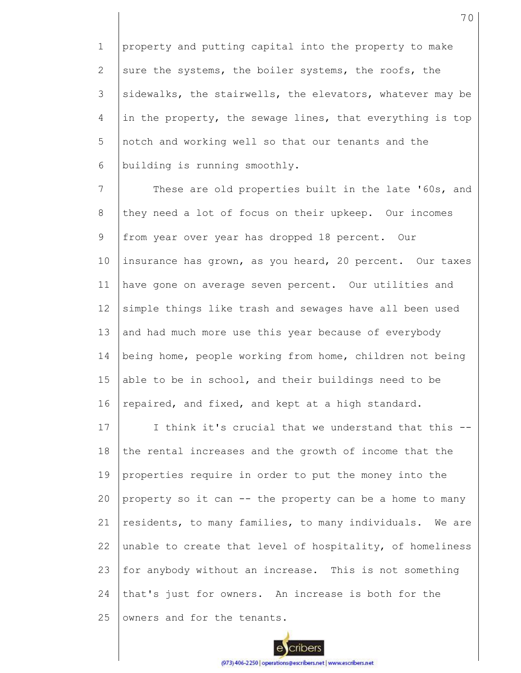1 2 3 4 5 6 property and putting capital into the property to make sure the systems, the boiler systems, the roofs, the sidewalks, the stairwells, the elevators, whatever may be in the property, the sewage lines, that everything is top notch and working well so that our tenants and the building is running smoothly.

7 8 9 10 11 12 13 14 15 16 These are old properties built in the late '60s, and they need a lot of focus on their upkeep. Our incomes from year over year has dropped 18 percent. Our insurance has grown, as you heard, 20 percent. Our taxes have gone on average seven percent. Our utilities and simple things like trash and sewages have all been used and had much more use this year because of everybody being home, people working from home, children not being able to be in school, and their buildings need to be repaired, and fixed, and kept at a high standard.

17 18 19 20 21 22 23 24 25 I think it's crucial that we understand that this - the rental increases and the growth of income that the properties require in order to put the money into the property so it can -- the property can be a home to many residents, to many families, to many individuals. We are unable to create that level of hospitality, of homeliness for anybody without an increase. This is not something that's just for owners. An increase is both for the owners and for the tenants.

70

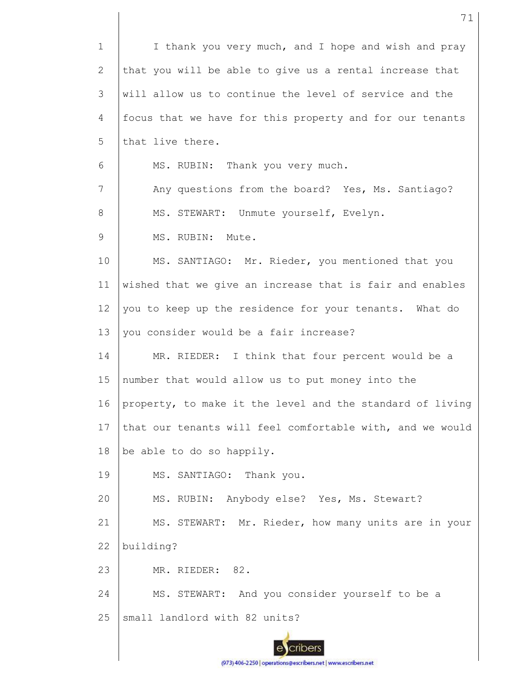1 2 3 4 5 6 7 8 9 10 11 12 13 14 15 16 17 18 19 20 21 22 23 24 25 I thank you very much, and I hope and wish and pray that you will be able to give us a rental increase that will allow us to continue the level of service and the focus that we have for this property and for our tenants that live there. MS. RUBIN: Thank you very much. Any questions from the board? Yes, Ms. Santiago? MS. STEWART: Unmute yourself, Evelyn. MS. RUBIN: Mute. MS. SANTIAGO: Mr. Rieder, you mentioned that you wished that we give an increase that is fair and enables you to keep up the residence for your tenants. What do you consider would be a fair increase? MR. RIEDER: I think that four percent would be a number that would allow us to put money into the property, to make it the level and the standard of living that our tenants will feel comfortable with, and we would be able to do so happily. MS. SANTIAGO: Thank you. MS. RUBIN: Anybody else? Yes, Ms. Stewart? MS. STEWART: Mr. Rieder, how many units are in your building? MR. RIEDER: 82. MS. STEWART: And you consider yourself to be a small landlord with 82 units?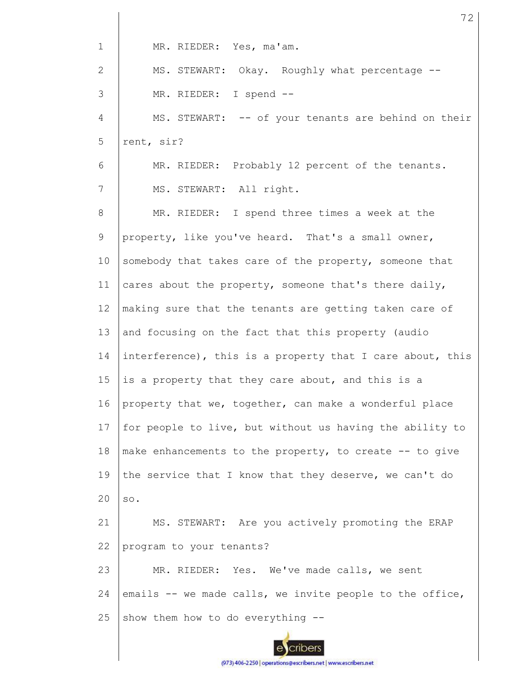| $\mathbf 1$  | MR. RIEDER: Yes, ma'am.                                   |
|--------------|-----------------------------------------------------------|
| $\mathbf{2}$ | MS. STEWART: Okay. Roughly what percentage --             |
| 3            | MR. RIEDER: I spend --                                    |
| 4            | MS. STEWART: -- of your tenants are behind on their       |
| 5            | rent, sir?                                                |
| 6            | MR. RIEDER: Probably 12 percent of the tenants.           |
| 7            | MS. STEWART: All right.                                   |
| 8            | MR. RIEDER: I spend three times a week at the             |
| 9            | property, like you've heard. That's a small owner,        |
| 10           | somebody that takes care of the property, someone that    |
| 11           | cares about the property, someone that's there daily,     |
| 12           | making sure that the tenants are getting taken care of    |
| 13           | and focusing on the fact that this property (audio        |
| 14           | interference), this is a property that I care about, this |
| 15           | is a property that they care about, and this is a         |
| 16           | property that we, together, can make a wonderful place    |
| 17           | for people to live, but without us having the ability to  |
| 18           | make enhancements to the property, to create -- to give   |
| 19           | the service that I know that they deserve, we can't do    |
| 20           | SO.                                                       |
| 21           | MS. STEWART: Are you actively promoting the ERAP          |
| 22           | program to your tenants?                                  |
| 23           | MR. RIEDER: Yes. We've made calls, we sent                |
| 24           | emails -- we made calls, we invite people to the office,  |
| 25           | show them how to do everything --                         |
|              |                                                           |

72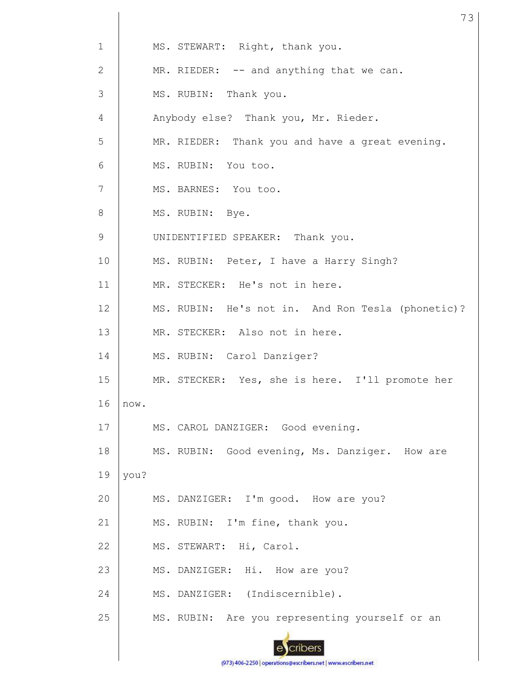| $\mathbf{1}$    |      | MS. STEWART: Right, thank you.                    |
|-----------------|------|---------------------------------------------------|
| 2               |      | MR. RIEDER: -- and anything that we can.          |
| 3               |      | MS. RUBIN: Thank you.                             |
| 4               |      | Anybody else? Thank you, Mr. Rieder.              |
| 5               |      | MR. RIEDER: Thank you and have a great evening.   |
| 6               |      | MS. RUBIN: You too.                               |
| $7\phantom{.0}$ |      | MS. BARNES: You too.                              |
| 8               |      | MS. RUBIN: Bye.                                   |
| 9               |      | UNIDENTIFIED SPEAKER: Thank you.                  |
| 10              |      | MS. RUBIN: Peter, I have a Harry Singh?           |
| 11              |      | MR. STECKER: He's not in here.                    |
| 12              |      | MS. RUBIN: He's not in. And Ron Tesla (phonetic)? |
| 13              |      | MR. STECKER: Also not in here.                    |
| 14              |      | MS. RUBIN: Carol Danziger?                        |
| 15              |      | MR. STECKER: Yes, she is here. I'll promote her   |
| 16              | now. |                                                   |
| 17              |      | MS. CAROL DANZIGER: Good evening.                 |
| 18              |      | MS. RUBIN: Good evening, Ms. Danziger. How are    |
| 19              | you? |                                                   |
| 20              |      | MS. DANZIGER: I'm good. How are you?              |
| 21              |      | MS. RUBIN: I'm fine, thank you.                   |
| 22              |      | MS. STEWART: Hi, Carol.                           |
| 23              |      | MS. DANZIGER: Hi. How are you?                    |
| 24              |      | MS. DANZIGER: (Indiscernible).                    |
| 25              |      | MS. RUBIN: Are you representing yourself or an    |

73

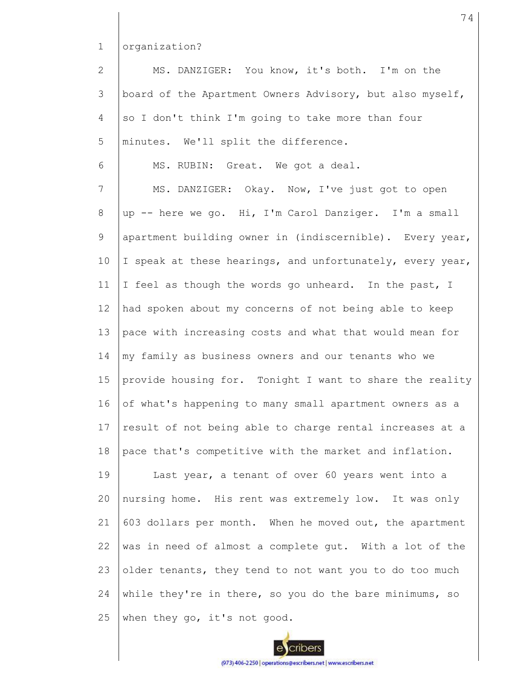1 organization?

2 3 4 5 6 MS. DANZIGER: You know, it's both. I'm on the board of the Apartment Owners Advisory, but also myself, so I don't think I'm going to take more than four minutes. We'll split the difference. MS. RUBIN: Great. We got a deal.

7 8 9 10 11 12 13 14 15 16 17 18 MS. DANZIGER: Okay. Now, I've just got to open up -- here we go. Hi, I'm Carol Danziger. I'm a small apartment building owner in (indiscernible). Every year, I speak at these hearings, and unfortunately, every year, I feel as though the words go unheard. In the past, I had spoken about my concerns of not being able to keep pace with increasing costs and what that would mean for my family as business owners and our tenants who we provide housing for. Tonight I want to share the reality of what's happening to many small apartment owners as a result of not being able to charge rental increases at a pace that's competitive with the market and inflation.

19 20 21 22 23 24 25 Last year, a tenant of over 60 years went into a nursing home. His rent was extremely low. It was only 603 dollars per month. When he moved out, the apartment was in need of almost a complete gut. With a lot of the older tenants, they tend to not want you to do too much while they're in there, so you do the bare minimums, so when they go, it's not good.

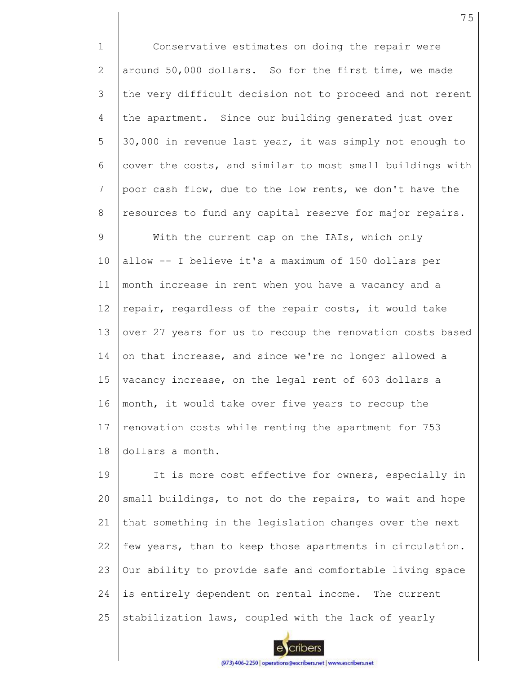1 2 3 4 5 6 7 8 9 10 11 12 13 14 15 16 17 18 Conservative estimates on doing the repair were around 50,000 dollars. So for the first time, we made the very difficult decision not to proceed and not rerent the apartment. Since our building generated just over 30,000 in revenue last year, it was simply not enough to cover the costs, and similar to most small buildings with poor cash flow, due to the low rents, we don't have the resources to fund any capital reserve for major repairs. With the current cap on the IAIs, which only allow -- I believe it's a maximum of 150 dollars per month increase in rent when you have a vacancy and a repair, regardless of the repair costs, it would take over 27 years for us to recoup the renovation costs based on that increase, and since we're no longer allowed a vacancy increase, on the legal rent of 603 dollars a month, it would take over five years to recoup the renovation costs while renting the apartment for 753 dollars a month.

19 20 21 22 23 24 25 It is more cost effective for owners, especially in small buildings, to not do the repairs, to wait and hope that something in the legislation changes over the next few years, than to keep those apartments in circulation. Our ability to provide safe and comfortable living space is entirely dependent on rental income. The current stabilization laws, coupled with the lack of yearly

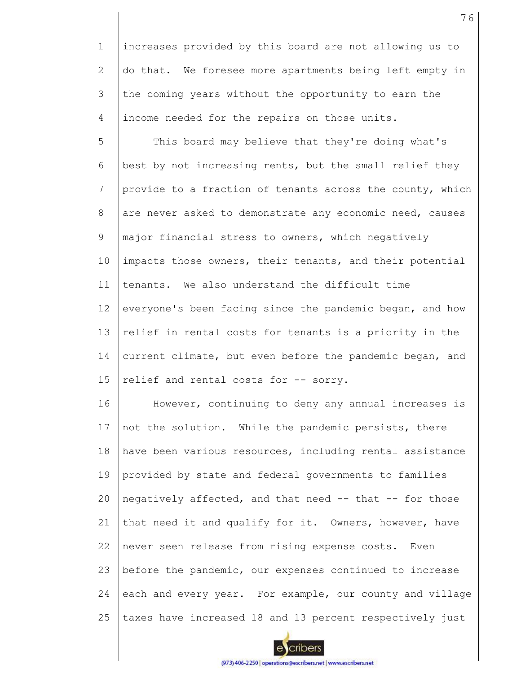1 2 3 4 increases provided by this board are not allowing us to do that. We foresee more apartments being left empty in the coming years without the opportunity to earn the income needed for the repairs on those units.

5 6 7 8 9 10 11 12 13 14 15 This board may believe that they're doing what's best by not increasing rents, but the small relief they provide to a fraction of tenants across the county, which are never asked to demonstrate any economic need, causes major financial stress to owners, which negatively impacts those owners, their tenants, and their potential tenants. We also understand the difficult time everyone's been facing since the pandemic began, and how relief in rental costs for tenants is a priority in the current climate, but even before the pandemic began, and relief and rental costs for -- sorry.

16 17 18 19 20 21 22 23 24 25 However, continuing to deny any annual increases is not the solution. While the pandemic persists, there have been various resources, including rental assistance provided by state and federal governments to families negatively affected, and that need -- that -- for those that need it and qualify for it. Owners, however, have never seen release from rising expense costs. Even before the pandemic, our expenses continued to increase each and every year. For example, our county and village taxes have increased 18 and 13 percent respectively just

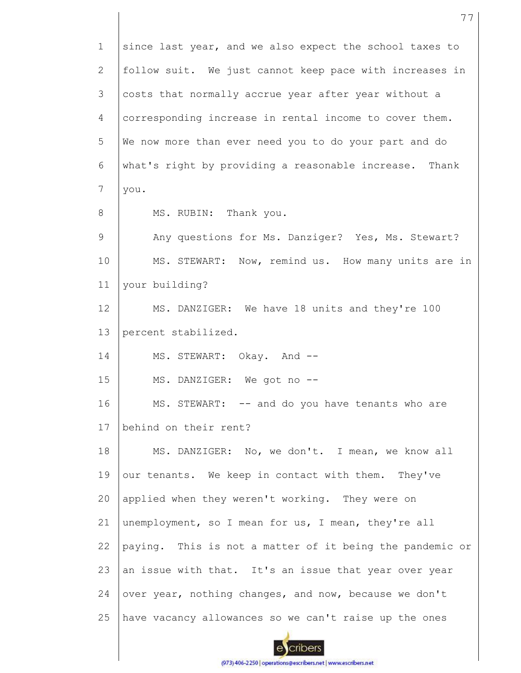1 2 3 4 5 6 7 8 9 10 11 12 13 14 15 16 17 18 19 20 21 22 23 24 25 since last year, and we also expect the school taxes to follow suit. We just cannot keep pace with increases in costs that normally accrue year after year without a corresponding increase in rental income to cover them. We now more than ever need you to do your part and do what's right by providing a reasonable increase. Thank you. MS. RUBIN: Thank you. Any questions for Ms. Danziger? Yes, Ms. Stewart? MS. STEWART: Now, remind us. How many units are in your building? MS. DANZIGER: We have 18 units and they're 100 percent stabilized. MS. STEWART: Okay. And -- MS. DANZIGER: We got no --MS. STEWART: -- and do you have tenants who are behind on their rent? MS. DANZIGER: No, we don't. I mean, we know all our tenants. We keep in contact with them. They've applied when they weren't working. They were on unemployment, so I mean for us, I mean, they're all paying. This is not a matter of it being the pandemic or an issue with that. It's an issue that year over year over year, nothing changes, and now, because we don't have vacancy allowances so we can't raise up the ones

77

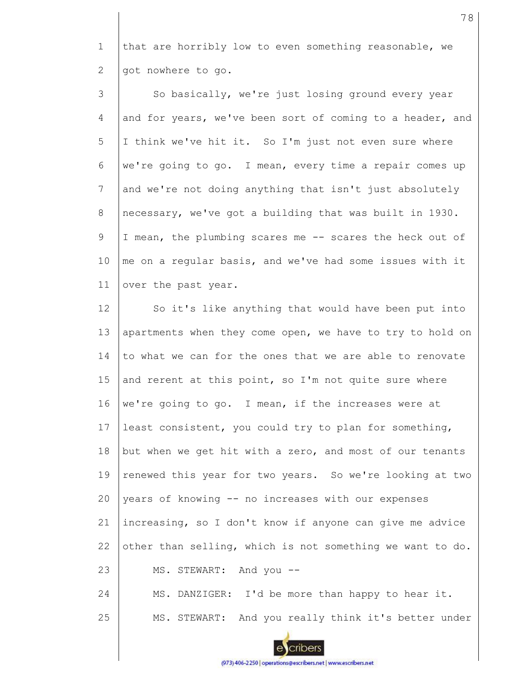1 2 that are horribly low to even something reasonable, we got nowhere to go.

3 4 5 6 7 8 9 10 11 So basically, we're just losing ground every year and for years, we've been sort of coming to a header, and I think we've hit it. So I'm just not even sure where we're going to go. I mean, every time a repair comes up and we're not doing anything that isn't just absolutely necessary, we've got a building that was built in 1930. I mean, the plumbing scares me -- scares the heck out of me on a regular basis, and we've had some issues with it over the past year.

12 13 14 15 16 17 18 19 20 21 22 23 24 So it's like anything that would have been put into apartments when they come open, we have to try to hold on to what we can for the ones that we are able to renovate and rerent at this point, so I'm not quite sure where we're going to go. I mean, if the increases were at least consistent, you could try to plan for something, but when we get hit with a zero, and most of our tenants renewed this year for two years. So we're looking at two years of knowing -- no increases with our expenses increasing, so I don't know if anyone can give me advice other than selling, which is not something we want to do. MS. STEWART: And you -- MS. DANZIGER: I'd be more than happy to hear it.

25 MS. STEWART: And you really think it's better under

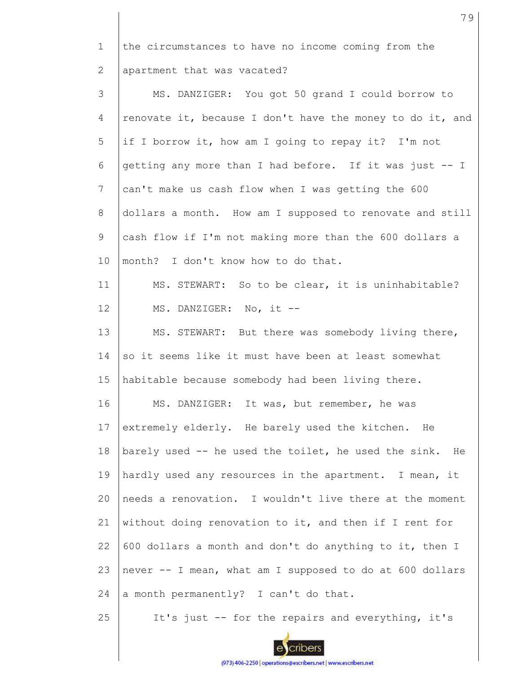1 2 3 4 5 6 7 8 9 10 11 12 13 14 15 16 17 18 19  $20$ 21 22 23 24 25 the circumstances to have no income coming from the apartment that was vacated? MS. DANZIGER: You got 50 grand I could borrow to renovate it, because I don't have the money to do it, and if I borrow it, how am I going to repay it? I'm not getting any more than I had before. If it was just -- I can't make us cash flow when I was getting the 600 dollars a month. How am I supposed to renovate and still cash flow if I'm not making more than the 600 dollars a month? I don't know how to do that. MS. STEWART: So to be clear, it is uninhabitable? MS. DANZIGER: No, it -- MS. STEWART: But there was somebody living there, so it seems like it must have been at least somewhat habitable because somebody had been living there. MS. DANZIGER: It was, but remember, he was extremely elderly. He barely used the kitchen. He barely used -- he used the toilet, he used the sink. He hardly used any resources in the apartment. I mean, it needs a renovation. I wouldn't live there at the moment without doing renovation to it, and then if I rent for 600 dollars a month and don't do anything to it, then I never -- I mean, what am I supposed to do at 600 dollars a month permanently? I can't do that. It's just -- for the repairs and everything, it's

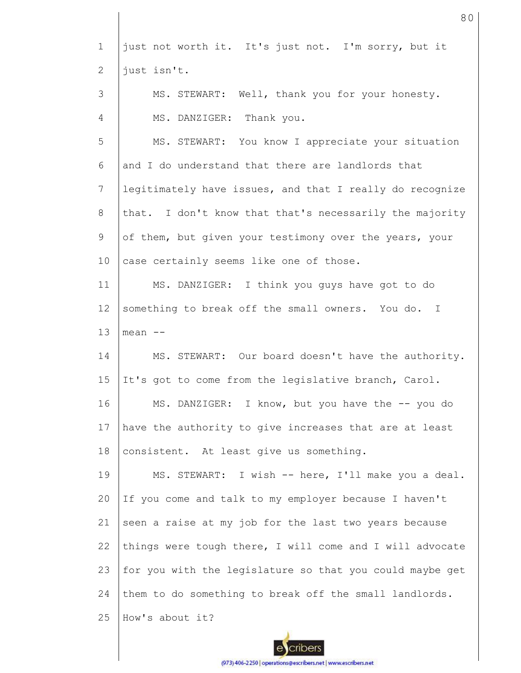| $\mathbf 1$    | just not worth it. It's just not. I'm sorry, but it      |
|----------------|----------------------------------------------------------|
| $\overline{2}$ | just isn't.                                              |
| 3              | MS. STEWART: Well, thank you for your honesty.           |
| 4              | MS. DANZIGER: Thank you.                                 |
| 5              | MS. STEWART: You know I appreciate your situation        |
| 6              | and I do understand that there are landlords that        |
| 7              | legitimately have issues, and that I really do recognize |
| 8              | that. I don't know that that's necessarily the majority  |
| 9              | of them, but given your testimony over the years, your   |
| 10             | case certainly seems like one of those.                  |
| 11             | MS. DANZIGER: I think you guys have got to do            |
| 12             | something to break off the small owners. You do. I       |
| 13             | $mean$ $--$                                              |
| 14             | MS. STEWART: Our board doesn't have the authority.       |
| 15             | It's got to come from the legislative branch, Carol.     |
| 16             | MS. DANZIGER: I know, but you have the -- you do         |
| 17             | have the authority to give increases that are at least   |
| 18             | consistent. At least give us something.                  |
| 19             | MS. STEWART: I wish -- here, I'll make you a deal.       |
| 20             | If you come and talk to my employer because I haven't    |
| 21             | seen a raise at my job for the last two years because    |
| 22             | things were tough there, I will come and I will advocate |
| 23             | for you with the legislature so that you could maybe get |
| 24             | them to do something to break off the small landlords.   |
| 25             | How's about it?                                          |

80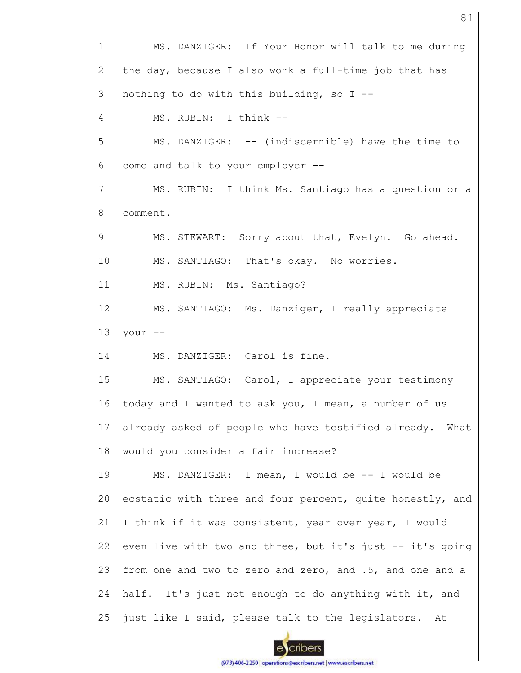| $\mathbf{1}$ | MS. DANZIGER: If Your Honor will talk to me during        |
|--------------|-----------------------------------------------------------|
| 2            | the day, because I also work a full-time job that has     |
| 3            | nothing to do with this building, so I --                 |
| 4            | MS. RUBIN: I think --                                     |
| 5            | MS. DANZIGER: -- (indiscernible) have the time to         |
| 6            | come and talk to your employer --                         |
| 7            | MS. RUBIN: I think Ms. Santiago has a question or a       |
| 8            | comment.                                                  |
| 9            | MS. STEWART: Sorry about that, Evelyn. Go ahead.          |
| 10           | MS. SANTIAGO: That's okay. No worries.                    |
| 11           | MS. RUBIN: Ms. Santiago?                                  |
| 12           | MS. SANTIAGO: Ms. Danziger, I really appreciate           |
| 13           | your --                                                   |
| 14           | MS. DANZIGER: Carol is fine.                              |
| 15           | MS. SANTIAGO: Carol, I appreciate your testimony          |
| 16           | today and I wanted to ask you, I mean, a number of us     |
| 17           | already asked of people who have testified already. What  |
| 18           | would you consider a fair increase?                       |
| 19           | MS. DANZIGER: I mean, I would be -- I would be            |
| 20           | ecstatic with three and four percent, quite honestly, and |
| 21           | I think if it was consistent, year over year, I would     |
| 22           | even live with two and three, but it's just -- it's going |
| 23           | from one and two to zero and zero, and .5, and one and a  |
| 24           | half. It's just not enough to do anything with it, and    |
| 25           | just like I said, please talk to the legislators. At      |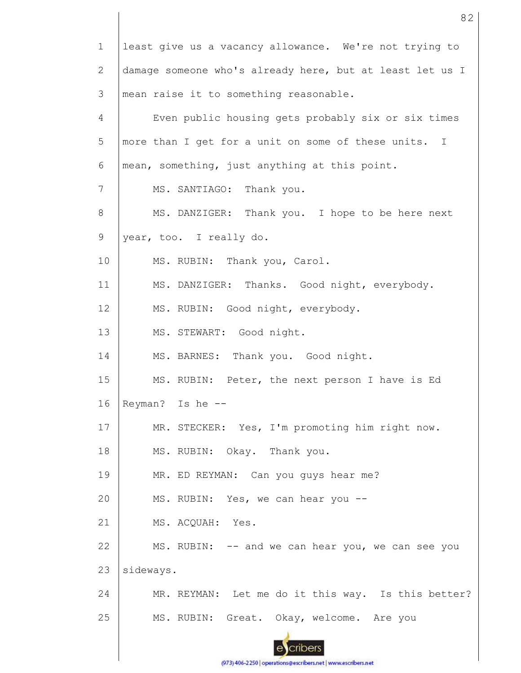1 least give us a vacancy allowance. We're not trying to damage someone who's already here, but at least let us I 2 3 mean raise it to something reasonable. 4 Even public housing gets probably six or six times 5 more than I get for a unit on some of these units. I 6 mean, something, just anything at this point. 7 MS. SANTIAGO: Thank you. MS. DANZIGER: Thank you. I hope to be here next 8 9 year, too. I really do. 10 MS. RUBIN: Thank you, Carol. 11 MS. DANZIGER: Thanks. Good night, everybody. 12 MS. RUBIN: Good night, everybody. 13 MS. STEWART: Good night. 14 MS. BARNES: Thank you. Good night. 15 MS. RUBIN: Peter, the next person I have is Ed 16 Reyman? Is he -- MR. STECKER: Yes, I'm promoting him right now. 17 18 MS. RUBIN: Okay. Thank you. 19 MR. ED REYMAN: Can you guys hear me? MS. RUBIN: Yes, we can hear you -- 20 21 MS. ACQUAH: Yes. 22 MS. RUBIN: -- and we can hear you, we can see you 23 sideways. 24 MR. REYMAN: Let me do it this way. Is this better? 25 MS. RUBIN: Great. Okay, welcome. Are you cribers

(973) 406-2250 | operations@escribers.net | www.escribers.net

82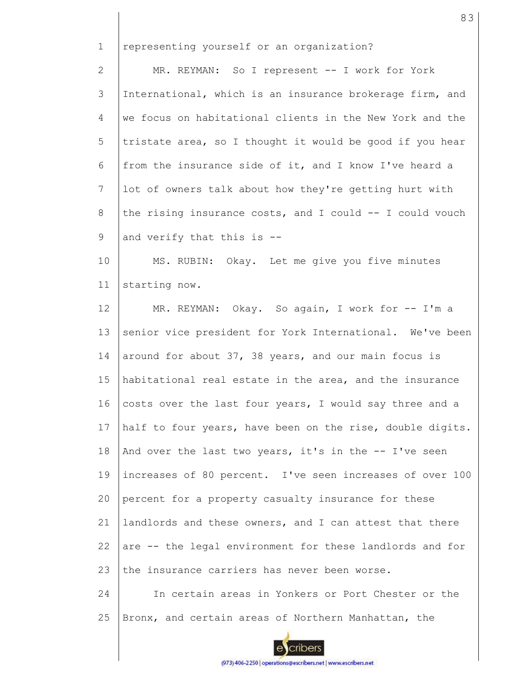1 representing yourself or an organization?

2 3 4 5 6 7 8 9 MR. REYMAN: So I represent -- I work for York International, which is an insurance brokerage firm, and we focus on habitational clients in the New York and the tristate area, so I thought it would be good if you hear from the insurance side of it, and I know I've heard a lot of owners talk about how they're getting hurt with the rising insurance costs, and I could  $--$  I could vouch and verify that this is --

10 11 MS. RUBIN: Okay. Let me give you five minutes starting now.

12 13 14 15 16 17 18 19 20 21 22 23 MR. REYMAN: Okay. So again, I work for -- I'm a senior vice president for York International. We've been around for about 37, 38 years, and our main focus is habitational real estate in the area, and the insurance costs over the last four years, I would say three and a half to four years, have been on the rise, double digits. And over the last two years, it's in the -- I've seen increases of 80 percent. I've seen increases of over 100 percent for a property casualty insurance for these landlords and these owners, and I can attest that there are -- the legal environment for these landlords and for the insurance carriers has never been worse.

24 25 In certain areas in Yonkers or Port Chester or the Bronx, and certain areas of Northern Manhattan, the



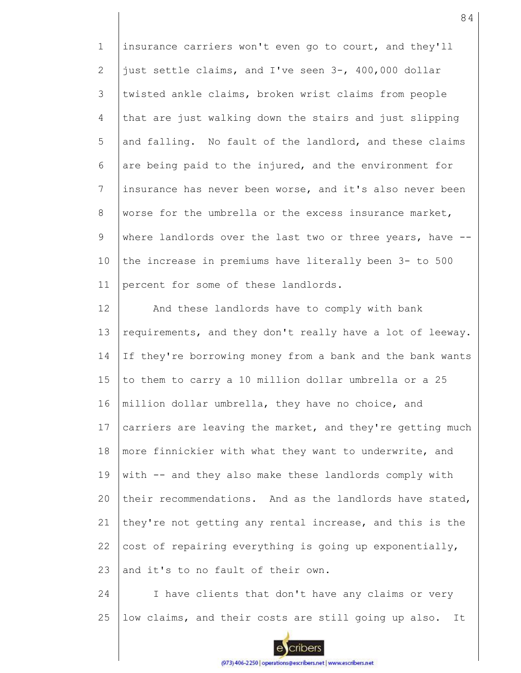1 2 3 4 5 6 7 8 9 10 11 insurance carriers won't even go to court, and they'll just settle claims, and I've seen 3-, 400,000 dollar twisted ankle claims, broken wrist claims from people that are just walking down the stairs and just slipping and falling. No fault of the landlord, and these claims are being paid to the injured, and the environment for insurance has never been worse, and it's also never been worse for the umbrella or the excess insurance market, where landlords over the last two or three years, have -the increase in premiums have literally been 3- to 500 percent for some of these landlords.

12 13 14 15 16 17 18 19 20 21 22 23 And these landlords have to comply with bank requirements, and they don't really have a lot of leeway. If they're borrowing money from a bank and the bank wants to them to carry a 10 million dollar umbrella or a 25 million dollar umbrella, they have no choice, and carriers are leaving the market, and they're getting much more finnickier with what they want to underwrite, and with -- and they also make these landlords comply with their recommendations. And as the landlords have stated, they're not getting any rental increase, and this is the cost of repairing everything is going up exponentially, and it's to no fault of their own.

24 25 I have clients that don't have any claims or very low claims, and their costs are still going up also. It



cribers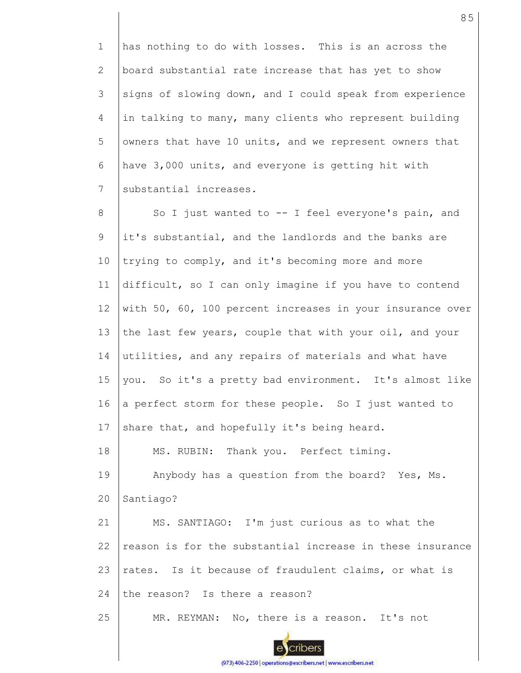1 2 3 4 5 6 7 has nothing to do with losses. This is an across the board substantial rate increase that has yet to show signs of slowing down, and I could speak from experience in talking to many, many clients who represent building owners that have 10 units, and we represent owners that have 3,000 units, and everyone is getting hit with substantial increases.

8 9 10 11 12 13 14 15 16 17 18 19 20 21 22 23 24 25 So I just wanted to -- I feel everyone's pain, and it's substantial, and the landlords and the banks are trying to comply, and it's becoming more and more difficult, so I can only imagine if you have to contend with 50, 60, 100 percent increases in your insurance over the last few years, couple that with your oil, and your utilities, and any repairs of materials and what have you. So it's a pretty bad environment. It's almost like a perfect storm for these people. So I just wanted to share that, and hopefully it's being heard. MS. RUBIN: Thank you. Perfect timing. Anybody has a question from the board? Yes, Ms. Santiago? MS. SANTIAGO: I'm just curious as to what the reason is for the substantial increase in these insurance rates. Is it because of fraudulent claims, or what is the reason? Is there a reason? MR. REYMAN: No, there is a reason. It's not

85

(973) 406-2250 | operations@escribers.net | www.escribers.net

cribers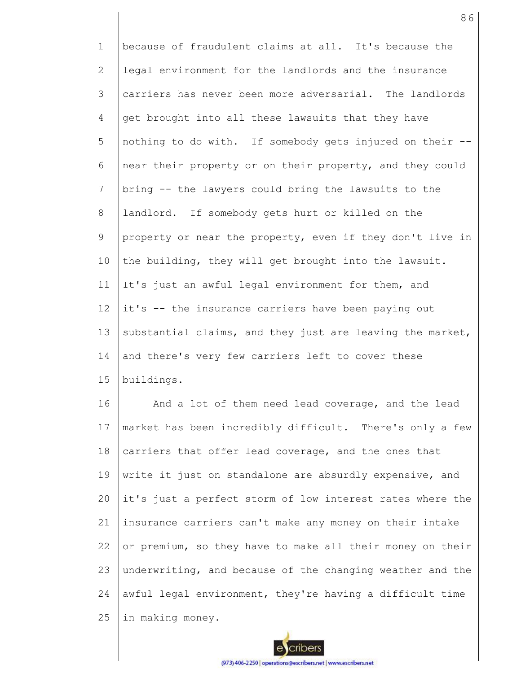1 2 3 4 5 6 7 8 9 10 11 12 13 14 15 because of fraudulent claims at all. It's because the legal environment for the landlords and the insurance carriers has never been more adversarial. The landlords get brought into all these lawsuits that they have nothing to do with. If somebody gets injured on their - near their property or on their property, and they could bring -- the lawyers could bring the lawsuits to the landlord. If somebody gets hurt or killed on the property or near the property, even if they don't live in the building, they will get brought into the lawsuit. It's just an awful legal environment for them, and it's -- the insurance carriers have been paying out substantial claims, and they just are leaving the market, and there's very few carriers left to cover these buildings.

16 17 18 19 20 21 22 23 24 25 And a lot of them need lead coverage, and the lead market has been incredibly difficult. There's only a few carriers that offer lead coverage, and the ones that write it just on standalone are absurdly expensive, and it's just a perfect storm of low interest rates where the insurance carriers can't make any money on their intake or premium, so they have to make all their money on their underwriting, and because of the changing weather and the awful legal environment, they're having a difficult time in making money.



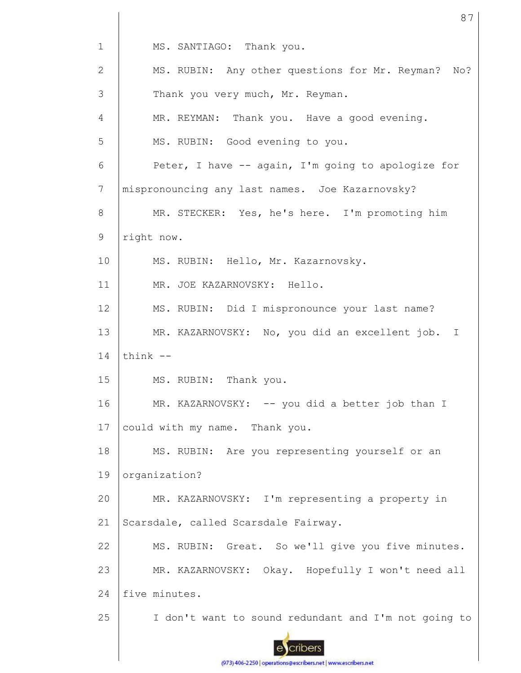1 2 3 4 5 6 7 8 9 10 11 12 13 14 15 16 17 18 19 20 21 22 23 24 25 MS. SANTIAGO: Thank you. MS. RUBIN: Any other questions for Mr. Reyman? No? Thank you very much, Mr. Reyman. MR. REYMAN: Thank you. Have a good evening. MS. RUBIN: Good evening to you. Peter, I have -- again, I'm going to apologize for mispronouncing any last names. Joe Kazarnovsky? MR. STECKER: Yes, he's here. I'm promoting him right now. MS. RUBIN: Hello, Mr. Kazarnovsky. MR. JOE KAZARNOVSKY: Hello. MS. RUBIN: Did I mispronounce your last name? MR. KAZARNOVSKY: No, you did an excellent job. I think -- MS. RUBIN: Thank you. MR. KAZARNOVSKY: -- you did a better job than I could with my name. Thank you. MS. RUBIN: Are you representing yourself or an organization? MR. KAZARNOVSKY: I'm representing a property in Scarsdale, called Scarsdale Fairway. MS. RUBIN: Great. So we'll give you five minutes. MR. KAZARNOVSKY: Okay. Hopefully I won't need all five minutes. I don't want to sound redundant and I'm not going to

87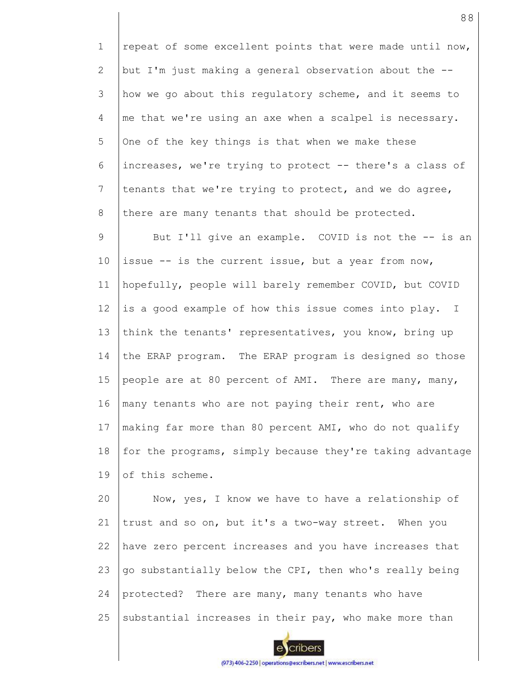1 2 3 4 5 6 7 8 9 10 11 12 13 14 15 16 17 18 19 20 repeat of some excellent points that were made until now, but I'm just making a general observation about the - how we go about this regulatory scheme, and it seems to me that we're using an axe when a scalpel is necessary. One of the key things is that when we make these increases, we're trying to protect -- there's a class of tenants that we're trying to protect, and we do agree, there are many tenants that should be protected. But I'll give an example. COVID is not the -- is an issue -- is the current issue, but a year from now, hopefully, people will barely remember COVID, but COVID is a good example of how this issue comes into play. I think the tenants' representatives, you know, bring up the ERAP program. The ERAP program is designed so those people are at 80 percent of AMI. There are many, many, many tenants who are not paying their rent, who are making far more than 80 percent AMI, who do not qualify for the programs, simply because they're taking advantage of this scheme. Now, yes, I know we have to have a relationship of

21 22 23 24 25 trust and so on, but it's a two-way street. When you have zero percent increases and you have increases that go substantially below the CPI, then who's really being protected? There are many, many tenants who have substantial increases in their pay, who make more than

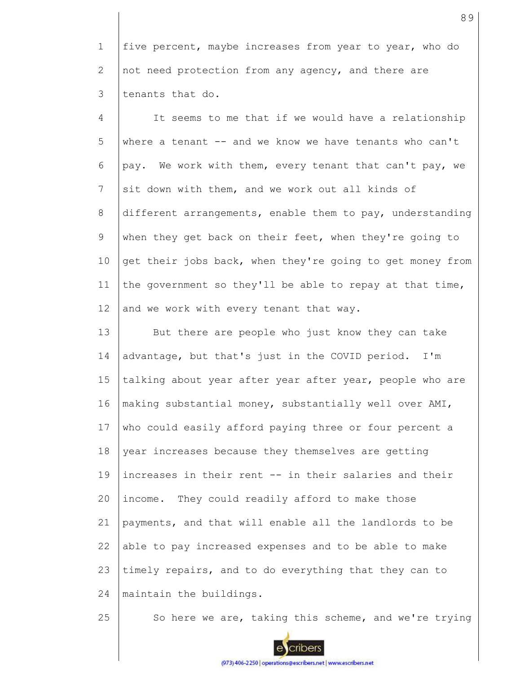1 2 3 five percent, maybe increases from year to year, who do not need protection from any agency, and there are tenants that do.

4 5 6 7 8 9 10 11 12 It seems to me that if we would have a relationship where a tenant  $--$  and we know we have tenants who can't pay. We work with them, every tenant that can't pay, we sit down with them, and we work out all kinds of different arrangements, enable them to pay, understanding when they get back on their feet, when they're going to get their jobs back, when they're going to get money from the government so they'll be able to repay at that time, and we work with every tenant that way.

13 14 15 16 17 18 19 20 21 22 23 24 But there are people who just know they can take advantage, but that's just in the COVID period. I'm talking about year after year after year, people who are making substantial money, substantially well over AMI, who could easily afford paying three or four percent a year increases because they themselves are getting increases in their rent -- in their salaries and their income. They could readily afford to make those payments, and that will enable all the landlords to be able to pay increased expenses and to be able to make timely repairs, and to do everything that they can to maintain the buildings.

25

So here we are, taking this scheme, and we're trying

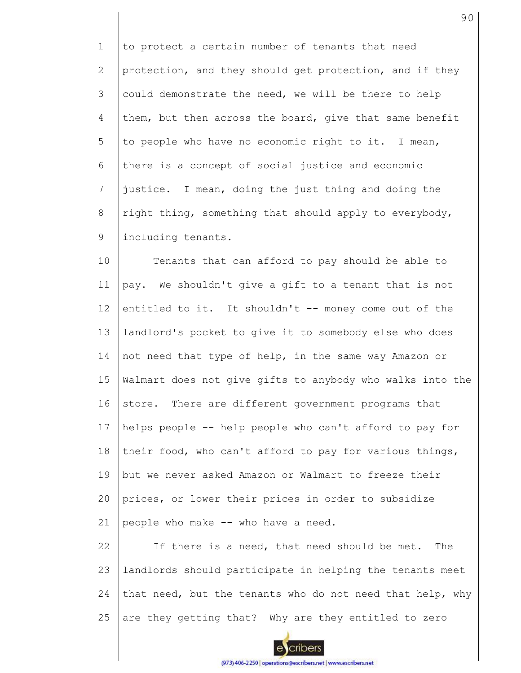1 2 3 4 5 6 7 8 9 to protect a certain number of tenants that need protection, and they should get protection, and if they could demonstrate the need, we will be there to help them, but then across the board, give that same benefit to people who have no economic right to it. I mean, there is a concept of social justice and economic justice. I mean, doing the just thing and doing the right thing, something that should apply to everybody, including tenants.

10 11 12 13 14 15 16 17 18 19 20 21 Tenants that can afford to pay should be able to pay. We shouldn't give a gift to a tenant that is not entitled to it. It shouldn't -- money come out of the landlord's pocket to give it to somebody else who does not need that type of help, in the same way Amazon or Walmart does not give gifts to anybody who walks into the store. There are different government programs that helps people -- help people who can't afford to pay for their food, who can't afford to pay for various things, but we never asked Amazon or Walmart to freeze their prices, or lower their prices in order to subsidize people who make -- who have a need.

22 23 24 25 If there is a need, that need should be met. The landlords should participate in helping the tenants meet that need, but the tenants who do not need that help, why are they getting that? Why are they entitled to zero

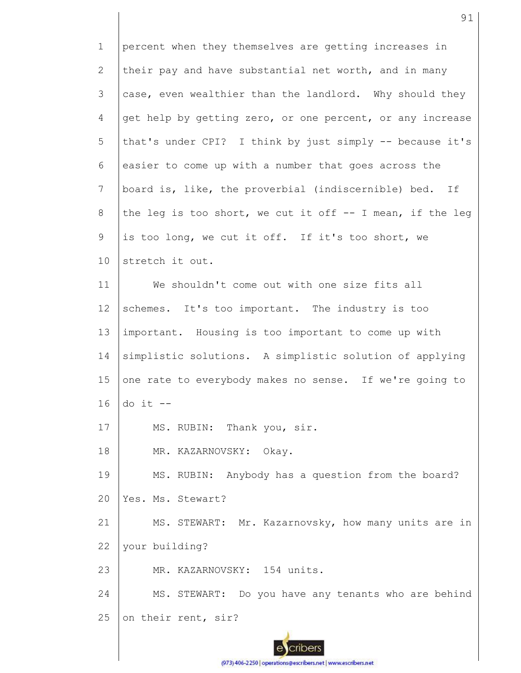1 2 3 4 5 6 7 8 9 10 11 12 13 14 15 16 17 18 19  $20$ 21 22 23 24 25 percent when they themselves are getting increases in their pay and have substantial net worth, and in many case, even wealthier than the landlord. Why should they get help by getting zero, or one percent, or any increase that's under CPI? I think by just simply -- because it's easier to come up with a number that goes across the board is, like, the proverbial (indiscernible) bed. If the leg is too short, we cut it off -- I mean, if the leg is too long, we cut it off. If it's too short, we stretch it out. We shouldn't come out with one size fits all schemes. It's too important. The industry is too important. Housing is too important to come up with simplistic solutions. A simplistic solution of applying one rate to everybody makes no sense. If we're going to do it -- MS. RUBIN: Thank you, sir. MR. KAZARNOVSKY: Okay. MS. RUBIN: Anybody has a question from the board? Yes. Ms. Stewart? MS. STEWART: Mr. Kazarnovsky, how many units are in your building? MR. KAZARNOVSKY: 154 units. MS. STEWART: Do you have any tenants who are behind on their rent, sir?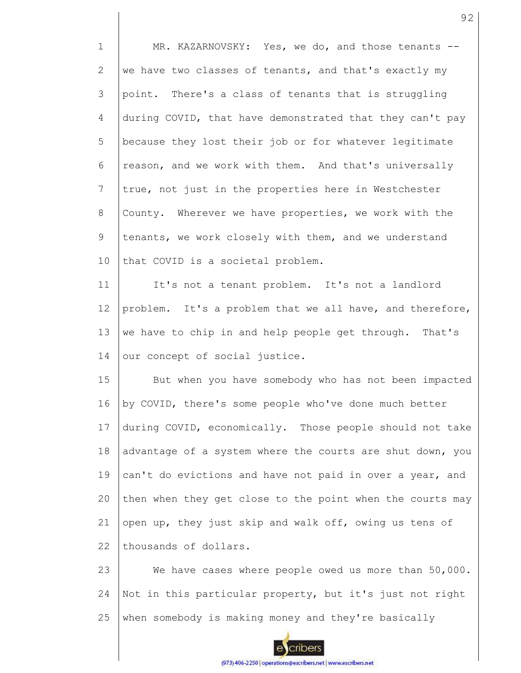1 2 3 4 5 6 7 8 9 10 11 12 13 14 15 16 17 18 19 20 21 22 23 24 MR. KAZARNOVSKY: Yes, we do, and those tenants -we have two classes of tenants, and that's exactly my point. There's a class of tenants that is struggling during COVID, that have demonstrated that they can't pay because they lost their job or for whatever legitimate reason, and we work with them. And that's universally true, not just in the properties here in Westchester County. Wherever we have properties, we work with the tenants, we work closely with them, and we understand that COVID is a societal problem. It's not a tenant problem. It's not a landlord problem. It's a problem that we all have, and therefore, we have to chip in and help people get through. That's our concept of social justice. But when you have somebody who has not been impacted by COVID, there's some people who've done much better during COVID, economically. Those people should not take advantage of a system where the courts are shut down, you can't do evictions and have not paid in over a year, and then when they get close to the point when the courts may open up, they just skip and walk off, owing us tens of thousands of dollars. We have cases where people owed us more than 50,000. Not in this particular property, but it's just not right

25 when somebody is making money and they're basically

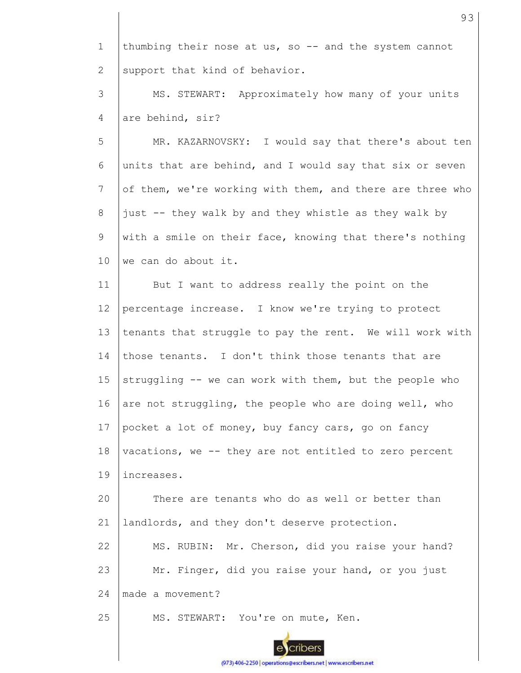1 2 thumbing their nose at us, so -- and the system cannot support that kind of behavior.

3 4 MS. STEWART: Approximately how many of your units are behind, sir?

5 6 7 8 9 10 MR. KAZARNOVSKY: I would say that there's about ten units that are behind, and I would say that six or seven of them, we're working with them, and there are three who just -- they walk by and they whistle as they walk by with a smile on their face, knowing that there's nothing we can do about it.

11 12 13 14 15 16 17 18 19 20 21 22 23 24 But I want to address really the point on the percentage increase. I know we're trying to protect tenants that struggle to pay the rent. We will work with those tenants. I don't think those tenants that are struggling -- we can work with them, but the people who are not struggling, the people who are doing well, who pocket a lot of money, buy fancy cars, go on fancy vacations, we -- they are not entitled to zero percent increases. There are tenants who do as well or better than landlords, and they don't deserve protection. MS. RUBIN: Mr. Cherson, did you raise your hand? Mr. Finger, did you raise your hand, or you just made a movement?

25 MS. STEWART: You're on mute, Ken. 93

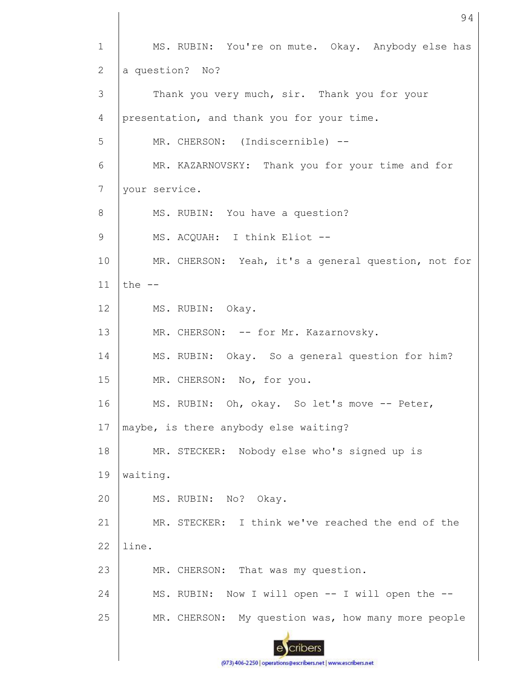1 MS. RUBIN: You're on mute. Okay. Anybody else has a question? No? 2 3 Thank you very much, sir. Thank you for your 4 presentation, and thank you for your time. 5 MR. CHERSON: (Indiscernible) --6 MR. KAZARNOVSKY: Thank you for your time and for 7 your service. MS. RUBIN: You have a question? 8 9 MS. ACQUAH: I think Eliot -- 10 MR. CHERSON: Yeah, it's a general question, not for 11 the -- 12 MS. RUBIN: Okay. 13 MR. CHERSON: -- for Mr. Kazarnovsky. MS. RUBIN: Okay. So a general question for him? 14 15 MR. CHERSON: No, for you. 16 MS. RUBIN: Oh, okay. So let's move -- Peter, 17 maybe, is there anybody else waiting? 18 MR. STECKER: Nobody else who's signed up is 19 waiting. 20 MS. RUBIN: No? Okay. 21 MR. STECKER: I think we've reached the end of the 22 line. 23 MR. CHERSON: That was my question. 24 MS. RUBIN: Now I will open -- I will open the -- 25 MR. CHERSON: My question was, how many more people cribers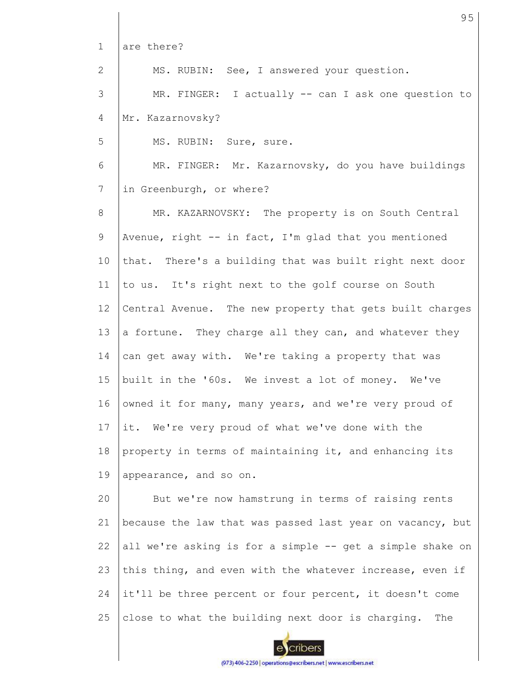1 2 3 4 5 6 7 8 9 10 11 12 13 14 15 16 17 18 19 20 21 22 23 24 25 are there? MS. RUBIN: See, I answered your question. MR. FINGER: I actually -- can I ask one question to Mr. Kazarnovsky? MS. RUBIN: Sure, sure. MR. FINGER: Mr. Kazarnovsky, do you have buildings in Greenburgh, or where? MR. KAZARNOVSKY: The property is on South Central Avenue, right  $-$  in fact, I'm glad that you mentioned that. There's a building that was built right next door to us. It's right next to the golf course on South Central Avenue. The new property that gets built charges a fortune. They charge all they can, and whatever they can get away with. We're taking a property that was built in the '60s. We invest a lot of money. We've owned it for many, many years, and we're very proud of it. We're very proud of what we've done with the property in terms of maintaining it, and enhancing its appearance, and so on. But we're now hamstrung in terms of raising rents because the law that was passed last year on vacancy, but all we're asking is for a simple -- get a simple shake on this thing, and even with the whatever increase, even if it'll be three percent or four percent, it doesn't come close to what the building next door is charging. The

95

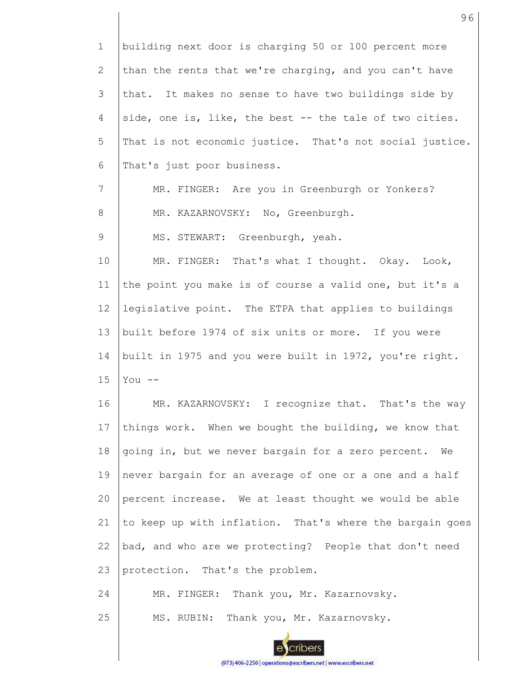| $\mathbf 1$    | building next door is charging 50 or 100 percent more    |
|----------------|----------------------------------------------------------|
| $\overline{2}$ | than the rents that we're charging, and you can't have   |
| 3              | that. It makes no sense to have two buildings side by    |
| 4              | side, one is, like, the best -- the tale of two cities.  |
| 5              | That is not economic justice. That's not social justice. |
| 6              | That's just poor business.                               |
| 7              | MR. FINGER: Are you in Greenburgh or Yonkers?            |
| 8              | MR. KAZARNOVSKY: No, Greenburgh.                         |
| 9              | MS. STEWART: Greenburgh, yeah.                           |
| 10             | MR. FINGER: That's what I thought. Okay.<br>Look,        |
| 11             | the point you make is of course a valid one, but it's a  |
| 12             | legislative point. The ETPA that applies to buildings    |
| 13             | built before 1974 of six units or more. If you were      |
| 14             | built in 1975 and you were built in 1972, you're right.  |
| 15             | You $--$                                                 |
| 16             | MR. KAZARNOVSKY: I recognize that. That's the way        |
| 17             | things work. When we bought the building, we know that   |
| 18             | going in, but we never bargain for a zero percent.<br>We |
| 19             | never bargain for an average of one or a one and a half  |
| 20             | percent increase. We at least thought we would be able   |
| 21             | to keep up with inflation. That's where the bargain goes |
| 22             | bad, and who are we protecting? People that don't need   |
| 23             | protection. That's the problem.                          |
| 24             | MR. FINGER: Thank you, Mr. Kazarnovsky.                  |
| 25             | Thank you, Mr. Kazarnovsky.<br>MS. RUBIN:                |

ecribers (973) 406-2250 | operations@escribers.net | www.escribers.net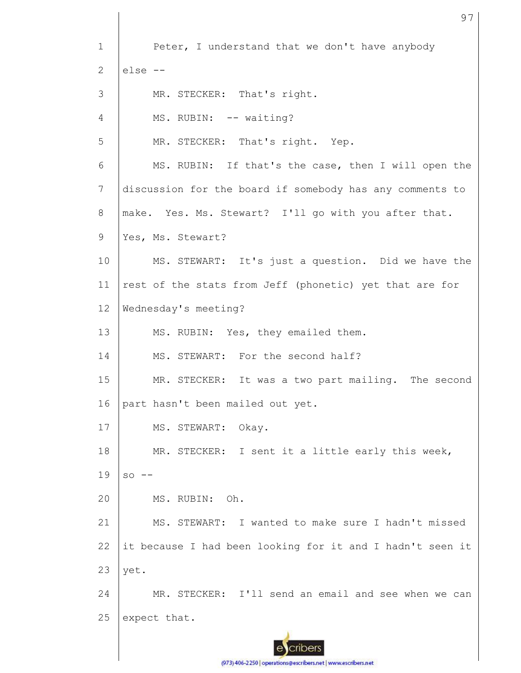1 2 3 4 5 6 7 8 9 10 11 12 13 14 15 16 17 18 19 20 21 22 23 24 25 Peter, I understand that we don't have anybody else -- MR. STECKER: That's right. MS. RUBIN: -- waiting? MR. STECKER: That's right. Yep. MS. RUBIN: If that's the case, then I will open the discussion for the board if somebody has any comments to make. Yes. Ms. Stewart? I'll go with you after that. Yes, Ms. Stewart? MS. STEWART: It's just a question. Did we have the rest of the stats from Jeff (phonetic) yet that are for Wednesday's meeting? MS. RUBIN: Yes, they emailed them. MS. STEWART: For the second half? MR. STECKER: It was a two part mailing. The second part hasn't been mailed out yet. MS. STEWART: Okay. MR. STECKER: I sent it a little early this week,  $SO = -$ MS. RUBIN: Oh. MS. STEWART: I wanted to make sure I hadn't missed it because I had been looking for it and I hadn't seen it yet. MR. STECKER: I'll send an email and see when we can expect that.

97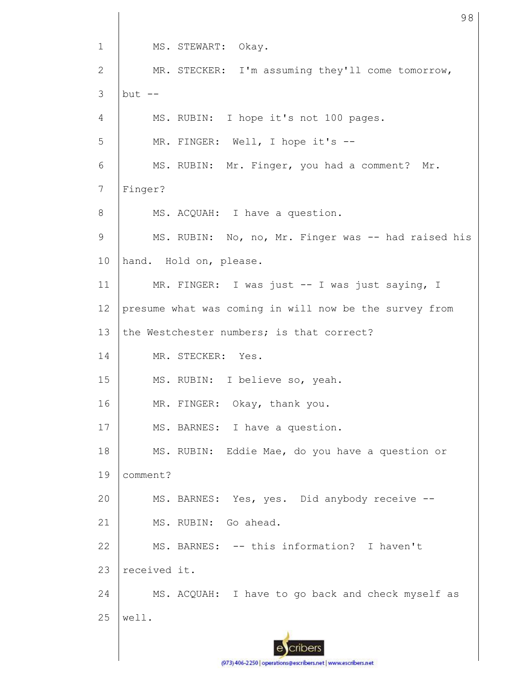1 2 3 4 5 6 7 8 9 10 11 12 13 14 15 16 17 18 19 20 21 22 23 24 25 MS. STEWART: Okay. MR. STECKER: I'm assuming they'll come tomorrow, but  $--$ MS. RUBIN: I hope it's not 100 pages. MR. FINGER: Well, I hope it's --MS. RUBIN: Mr. Finger, you had a comment? Mr. Finger? MS. ACQUAH: I have a question. MS. RUBIN: No, no, Mr. Finger was -- had raised his hand. Hold on, please. MR. FINGER: I was just -- I was just saying, I presume what was coming in will now be the survey from the Westchester numbers; is that correct? MR. STECKER: Yes. MS. RUBIN: I believe so, yeah. MR. FINGER: Okay, thank you. MS. BARNES: I have a question. MS. RUBIN: Eddie Mae, do you have a question or comment? MS. BARNES: Yes, yes. Did anybody receive --MS. RUBIN: Go ahead. MS. BARNES: -- this information? I haven't received it. MS. ACQUAH: I have to go back and check myself as well.

98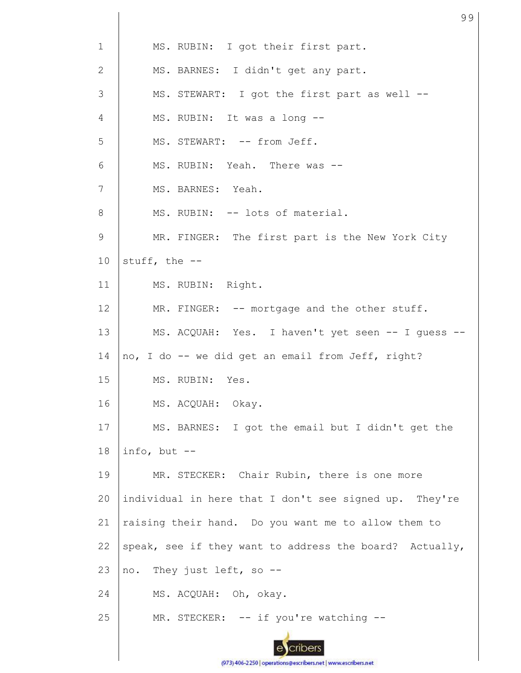| $\mathbf{1}$   | MS. RUBIN: I got their first part.                      |
|----------------|---------------------------------------------------------|
| 2              | MS. BARNES: I didn't get any part.                      |
| 3              | MS. STEWART: I got the first part as well --            |
| 4              | MS. RUBIN: It was a long --                             |
| 5              | MS. STEWART: -- from Jeff.                              |
| 6              | MS. RUBIN: Yeah. There was --                           |
| $\overline{7}$ | MS. BARNES: Yeah.                                       |
| 8              | MS. RUBIN: -- lots of material.                         |
| $\mathsf 9$    | MR. FINGER: The first part is the New York City         |
| 10             | stuff, the --                                           |
| 11             | MS. RUBIN: Right.                                       |
| 12             | MR. FINGER: -- mortgage and the other stuff.            |
| 13             | MS. ACQUAH: Yes. I haven't yet seen -- I guess --       |
| 14             | no, I do -- we did get an email from Jeff, right?       |
| 15             | MS. RUBIN: Yes.                                         |
| 16             | MS. ACQUAH: Okay.                                       |
| 17             | MS. BARNES: I got the email but I didn't get the        |
| 18             | info, but $--$                                          |
| 19             | MR. STECKER: Chair Rubin, there is one more             |
| 20             | individual in here that I don't see signed up. They're  |
| 21             | raising their hand. Do you want me to allow them to     |
| 22             | speak, see if they want to address the board? Actually, |
| 23             | They just left, so --<br>no.                            |
| 24             | MS. ACQUAH: Oh, okay.                                   |
| 25             | MR. STECKER: -- if you're watching --                   |
|                |                                                         |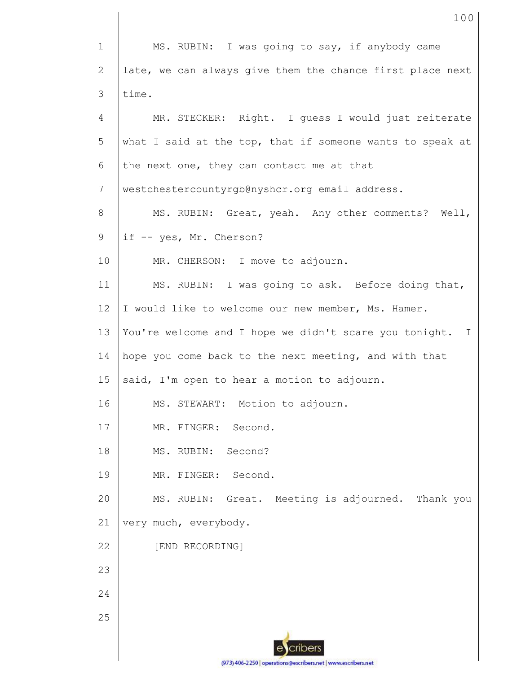1 2 3 4 5 6 7 8 9 10 11 12 13 14 15 16 17 18 19 20 21 22 23 24 25 MS. RUBIN: I was going to say, if anybody came late, we can always give them the chance first place next time. MR. STECKER: Right. I guess I would just reiterate what I said at the top, that if someone wants to speak at the next one, they can contact me at that westchestercountyrgb@nyshcr.org email address. MS. RUBIN: Great, yeah. Any other comments? Well, if -- yes, Mr. Cherson? MR. CHERSON: I move to adjourn. MS. RUBIN: I was going to ask. Before doing that, I would like to welcome our new member, Ms. Hamer. You're welcome and I hope we didn't scare you tonight. I hope you come back to the next meeting, and with that said, I'm open to hear a motion to adjourn. MS. STEWART: Motion to adjourn. MR. FINGER: Second. MS. RUBIN: Second? MR. FINGER: Second. MS. RUBIN: Great. Meeting is adjourned. Thank you very much, everybody. [END RECORDING]

100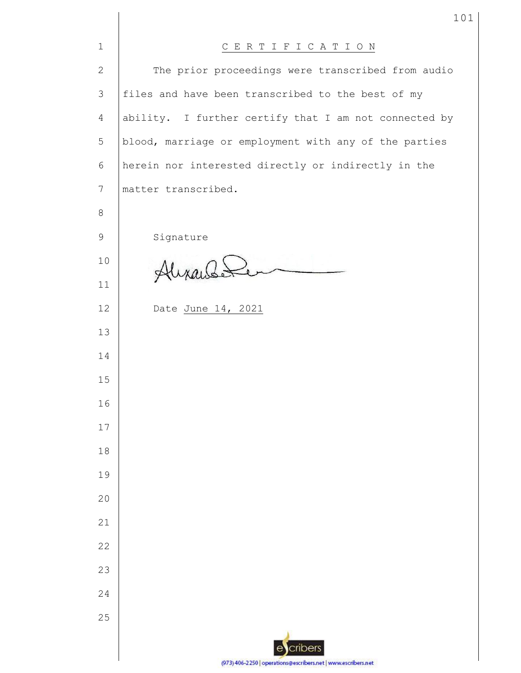| $\mathbf 1$     | CERTIFICATION                                                 |
|-----------------|---------------------------------------------------------------|
| $\mathbf{2}$    | The prior proceedings were transcribed from audio             |
| 3               | files and have been transcribed to the best of my             |
| $\overline{4}$  | ability. I further certify that I am not connected by         |
| 5               | blood, marriage or employment with any of the parties         |
| 6               | herein nor interested directly or indirectly in the           |
| $7\phantom{.0}$ | matter transcribed.                                           |
| 8               |                                                               |
| 9               | Signature                                                     |
| 10              | Alixandé                                                      |
| 11              |                                                               |
| 12              | Date June 14, 2021                                            |
| 13              |                                                               |
| 14              |                                                               |
| 15              |                                                               |
| 16              |                                                               |
| 17              |                                                               |
| 18              |                                                               |
| 19              |                                                               |
| 20              |                                                               |
| 21              |                                                               |
| 22              |                                                               |
| 23              |                                                               |
| 24              |                                                               |
| 25              |                                                               |
|                 | cribers<br>$\epsilon$                                         |
|                 | (973) 406-2250   operations@escribers.net   www.escribers.net |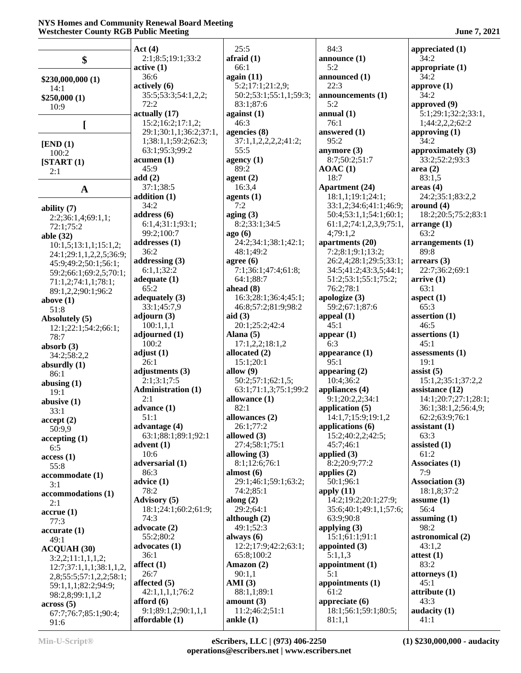#### **NYS Homes and Community Renewal Board Meeting Westchester County RGB Public Meeting June 7, 2021**

|                         | Act(4)                         | 25:5                           | 84:3                                 | appreciated (1)        |
|-------------------------|--------------------------------|--------------------------------|--------------------------------------|------------------------|
| \$                      | 2:1;8:5;19:1;33:2              | $a$ fraid $(1)$                | announce $(1)$                       | 34:2                   |
|                         | active(1)                      | 66:1                           | 5:2                                  | appropriate (1)        |
| \$230,000,000 (1)       | 36:6                           | again (11)                     | announced (1)                        | 34:2                   |
| 14:1                    | actively (6)                   | 5:2;17:1;21:2,9;               | 22:3                                 | approve $(1)$          |
| \$250,000(1)            | 35:5;53:3;54:1,2,2;            | 50:2;53:1;55:1,1;59:3;         | announcements (1)                    | 34:2                   |
| 10:9                    | 72:2                           | 83:1;87:6                      | 5:2                                  | approved (9)           |
|                         | actually (17)                  | against $(1)$                  | annual(1)                            | 5:1;29:1;32:2;33:1,    |
|                         | 15:2;16:2;17:1,2;              | 46:3                           | 76:1                                 | 1;44:2,2,2;62:2        |
|                         | 29:1;30:1,1;36:2;37:1,         | agencies (8)                   | answered (1)                         | approving $(1)$        |
| [END (1)]               | 1;38:1,1;59:2;62:3;            | 37:1,1,2,2,2,2;41:2;           | 95:2                                 | 34:2                   |
| 100:2                   | 63:1;95:3;99:2                 | 55:5                           | anymore $(3)$                        | approximately (3)      |
| [START(1)]              | acumen(1)                      | agency $(1)$                   | 8:7:50:2:51:7                        | 33:2;52:2;93:3         |
| 2:1                     | 45:9                           | 89:2                           | AOAC(1)                              | area(2)                |
|                         | add(2)                         | agent $(2)$                    | 18:7                                 | 83:1,5                 |
| $\mathbf{A}$            | 37:1;38:5                      | 16:3,4                         | <b>Apartment</b> (24)                | area <sub>4</sub>      |
|                         | addition (1)                   | agents $(1)$                   | 18:1,1;19:1;24:1;                    | 24:2;35:1;83:2,2       |
| ability $(7)$           | 34:2                           | 7:2                            | 33:1,2;34:6;41:1;46:9;               | around (4)             |
| 2:2;36:1,4;69:1,1;      | address(6)                     | aging $(3)$<br>8:2;33:1;34:5   | 50:4;53:1,1;54:1;60:1;               | 18:2;20:5;75:2;83:1    |
| 72:1;75:2               | 6:1,4;31:1;93:1;<br>99:2;100:7 |                                | 61:1,2;74:1,2,3,9;75:1,<br>4:79:1,2  | arrange(1)<br>63:2     |
| able (32)               |                                | ago(6)<br>24:2;34:1;38:1;42:1; |                                      | arrangements (1)       |
| 10:1,5;13:1,1;15:1,2;   | addresses $(1)$<br>36:2        | 48:1;49:2                      | apartments (20)<br>7:2;8:1;9:1;13:2; | 89:8                   |
| 24:1;29:1,1,2,2,5;36:9; | addressing $(3)$               | agree $(6)$                    | 26:2,4;28:1;29:5;33:1;               | $\arrears(3)$          |
| 45:9;49:2;50:1;56:1;    | 6:1,1;32:2                     | 7:1:36:1:47:4:61:8:            | 34:5;41:2;43:3,5;44:1;               | 22:7;36:2;69:1         |
| 59:2;66:1;69:2,5;70:1;  | adequate $(1)$                 | 64:1;88:7                      | 51:2;53:1;55:1;75:2;                 | arrive(1)              |
| 71:1,2;74:1,1;78:1;     | 65:2                           | ahead $(8)$                    | 76:2;78:1                            | 63:1                   |
| 89:1,2,2;90:1;96:2      | adequately $(3)$               | 16:3;28:1;36:4;45:1;           | apologize (3)                        | aspect $(1)$           |
| above $(1)$             | 33:1;45:7,9                    | 46:8;57:2;81:9;98:2            | 59:2;67:1;87:6                       | 65:3                   |
| 51:8                    | adjourn $(3)$                  | aid $(3)$                      | appeal $(1)$                         | assertion $(1)$        |
| Absolutely (5)          | 100:1,1,1                      | 20:1;25:2;42:4                 | 45:1                                 | 46:5                   |
| 12:1;22:1;54:2;66:1;    | adjourned $(1)$                | Alana $(5)$                    | appear $(1)$                         | assertions (1)         |
| 78:7                    | 100:2                          | 17:1,2,2;18:1,2                | 6:3                                  | 45:1                   |
| absorb $(3)$            | adjust $(1)$                   | allocated (2)                  | appearance $(1)$                     | assessments $(1)$      |
| 34:2;58:2,2             | 26:1                           | 15:1;20:1                      | 95:1                                 | 19:1                   |
| absurdly $(1)$          | adjustments (3)                | allow $(9)$                    | appearing $(2)$                      | assist $(5)$           |
| 86:1                    | 2:1;3:1;7:5                    | 50:2;57:1;62:1,5;              | 10:4;36:2                            | 15:1,2;35:1;37:2,2     |
| abusing $(1)$<br>19:1   | <b>Administration (1)</b>      | 63:1;71:1,3;75:1;99:2          | appliances (4)                       | assistance (12)        |
| abusive $(1)$           | 2:1                            | allowance (1)                  | 9:1;20:2,2;34:1                      | 14:1;20:7;27:1;28:1;   |
| 33:1                    | advance $(1)$                  | 82:1                           | application $(5)$                    | 36:1;38:1,2;56:4,9;    |
| accept(2)               | 51:1                           | allowances (2)                 | 14:1,7;15:9;19:1,2                   | 62:2;63:9;76:1         |
| 50:9,9                  | advantage $(4)$                | 26:1;77:2                      | applications $(6)$                   | assistant $(1)$        |
| accepting(1)            | 63:1;88:1;89:1;92:1            | allowed (3)                    | 15:2;40:2,2;42:5;                    | 63:3                   |
| 6:5                     | advent $(1)$                   | 27:4;58:1;75:1                 | 45:7:46:1                            | assisted $(1)$         |
| access(1)               | 10:6                           | allowing $(3)$                 | applied $(3)$                        | 61:2                   |
| 55:8                    | adversarial (1)                | 8:1;12:6;76:1                  | 8:2;20:9;77:2                        | Associates (1)         |
| accommodate (1)         | 86:3                           | almost $(6)$                   | applies $(2)$                        | 7:9                    |
| 3:1                     | advice (1)                     | 29:1;46:1;59:1;63:2;           | 50:1;96:1                            | <b>Association (3)</b> |
| accommodations (1)      | 78:2                           | 74:2;85:1                      | apply $(11)$                         | 18:1,8;37:2            |
| 2:1                     | <b>Advisory</b> (5)            | along $(2)$                    | 14:2;19:2;20:1;27:9;                 | assume $(1)$           |
| accrue(1)               | 18:1;24:1;60:2;61:9;           | 29:2;64:1                      | 35:6;40:1;49:1,1;57:6;               | 56:4                   |
| 77:3                    | 74:3                           | although $(2)$                 | 63:9;90:8                            | assuming $(1)$         |
| accurate(1)             | advocate (2)                   | 49:1;52:3                      | applying $(3)$                       | 98:2                   |
| 49:1                    | 55:2;80:2                      | always $(6)$                   | 15:1;61:1;91:1                       | astronomical (2)       |
| <b>ACQUAH (30)</b>      | advocates $(1)$                | 12:2;17:9;42:2;63:1;           | appointed $(3)$                      | 43:1,2                 |
| 3:2,2;11:1,1,1,2;       | 36:1                           | 65:8;100:2                     | 5:1,1,3                              | attest $(1)$           |
| 12:7;37:1,1,1;38:1,1,2, | affect $(1)$                   | Amazon $(2)$                   | appointment $(1)$                    | 83:2                   |
| 2,8;55:5;57:1,2,2;58:1; | 26:7                           | 90:1,1                         | 5:1                                  | attorneys (1)          |
| 59:1,1,1;82:2;94:9;     | affected $(5)$                 | AMI(3)                         | appointments $(1)$                   | 45:1                   |
| 98:2,8;99:1,1,2         | 42:1,1,1,1;76:2                | 88:1,1;89:1                    | 61:2                                 | attribute(1)           |
| $\arccos(5)$            | afford $(6)$                   | amount $(3)$                   | appreciate $(6)$                     | 43:3                   |
| 67:7;76:7;85:1;90:4;    | 9:1;89:1,2;90:1,1,1            | 11:2;46:2;51:1                 | 18:1;56:1;59:1;80:5;                 | audacity $(1)$         |
| 91:6                    | affordable $(1)$               | ankle $(1)$                    | 81:1,1                               | 41:1                   |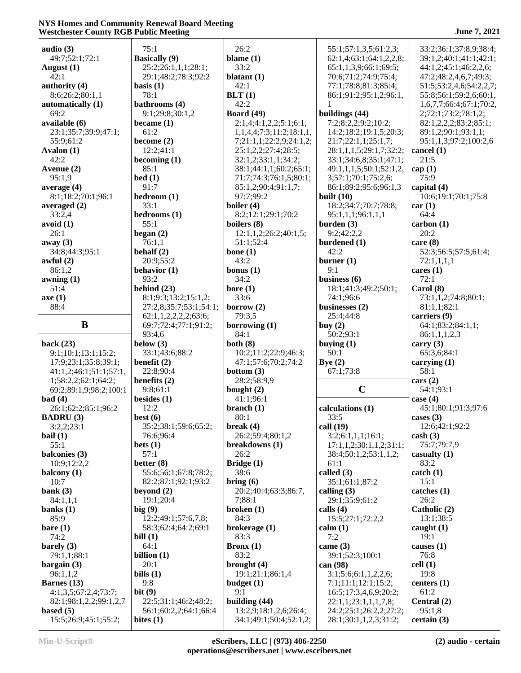## **NYS Homes and Community Renewal Board Meeting Westchester County RGB Public Meeting 3 and 3 and 3 and 3 and 3 June 7, 2021**

| audio $(3)$            | 75:1                          | 26:2                     | 55:1;57:1,3,5;61:2,3;   | 33:2;36:1;37:8,9;38:4;  |
|------------------------|-------------------------------|--------------------------|-------------------------|-------------------------|
| 49:7;52:1;72:1         | <b>Basically</b> (9)          | blame $(1)$              | 62:1,4;63:1;64:1,2,2,8; | 39:1,2;40:1;41:1;42:1;  |
| August $(1)$           | 25:2;26:1,1,1;28:1;           | 33:2                     | 65:1,1,3,9;66:1;69:5;   | 44:1,2;45:1;46:2,2,6;   |
| 42:1                   | 29:1;48:2;78:3;92:2           | blatant $(1)$            | 70:6;71:2;74:9;75:4;    | 47:2;48:2,4,6,7;49:3;   |
| authority (4)          | basis $(1)$                   | 42:1                     | 77:1;78:8;81:3;85:4;    | 51:5;53:2,4,6;54:2,2,7; |
|                        |                               |                          |                         |                         |
| 8:6;26:2;80:1,1        | 78:1                          | BLT(1)                   | 86:1;91:2;95:1,2;96:1,  | 55:8;56:1;59:2,6;60:1,  |
| automatically (1)      | bathrooms (4)                 | 42:2                     |                         | 1,6,7,7;66:4;67:1;70:2, |
| 69:2                   | 9:1;29:8;30:1,2               | <b>Board</b> (49)        | buildings (44)          | 2;72:1;73:2;78:1,2;     |
| available (6)          | became $(1)$                  | 2:1,4;4:1,2,2;5:1;6:1,   | 7:2;8:2,2;9:2;10:2;     | 82:1,2,2,2;83:2;85:1;   |
| 23:1;35:7;39:9;47:1;   | 61:2                          | 1,1,4,4;7:3;11:2;18:1,1, | 14:2;18:2;19:1,5;20:3;  | 89:1,2;90:1;93:1,1;     |
| 55:9;61:2              | become $(2)$                  | 7;21:1,1;22:2,9;24:1,2;  | 21:7;22:1,1;25:1,7;     | 95:1,1,3;97:2;100:2,6   |
| Avalon (1)             | 12:2;41:1                     | 25:1,2,2;27:4;28:5;      | 28:1,1,1,5;29:1,7;32:2; | cancel (1)              |
| 42:2                   | becoming $(1)$                | 32:1,2;33:1,1;34:2;      | 33:1;34:6,8;35:1;47:1;  | 21:5                    |
| Avenue (2)             | 85:1                          | 38:1;44:1,1;60:2;65:1;   | 49:1,1,1,5;50:1;52:1,2, | cap(1)                  |
| 95:1,9                 | bed(1)                        | 71:7;74:3;76:1,5;80:1;   | 3;57:1;70:1;75:2,6;     | 75:9                    |
|                        | 91:7                          |                          |                         |                         |
| average $(4)$          |                               | 85:1,2;90:4;91:1,7;      | 86:1;89:2;95:6;96:1,3   | capital (4)             |
| 8:1;18:2;70:1;96:1     | bedroom (1)                   | 97:7;99:2                | built $(10)$            | 10:6;19:1;70:1;75:8     |
| averaged $(2)$         | 33:1                          | boiler (4)               | 18:2;34:7;70:7;78:8;    | car(1)                  |
| 33:2,4                 | bedrooms (1)                  | 8:2;12:1;29:1;70:2       | 95:1,1,1;96:1,1,1       | 64:4                    |
| avoid(1)               | 55:1                          | boilers (8)              | burden $(3)$            | carbon(1)               |
| 26:1                   | began $(2)$                   | 12:1,1,2;26:2;40:1,5;    | 9:2;42:2,2              | 20:2                    |
| away $(3)$             | 76:1,1                        | 51:1;52:4                | burdened (1)            | care $(8)$              |
| 34:8;44:3;95:1         | behalf $(2)$                  | bone $(1)$               | 42:2                    | 52:3;56:5;57:5;61:4;    |
| awful $(2)$            | 20:9;55:2                     | 43:2                     | burner $(1)$            | 72:1,1,1,1              |
| 86:1,2                 | behavior $(1)$                | bonus $(1)$              | 9:1                     | cares $(1)$             |
|                        |                               |                          |                         |                         |
| $a$ wning $(1)$        | 93:2                          | 34:2                     | business $(6)$          | 72:1                    |
| 51:4                   | behind $(23)$                 | bore $(1)$               | 18:1;41:3;49:2;50:1;    | Carol $(8)$             |
| axe(1)                 | 8:1;9:3;13:2;15:1,2;          | 33:6                     | 74:1;96:6               | 73:1,1,2;74:8;80:1;     |
| 88:4                   | 27:2,8;35:7;53:1;54:1;        | borrow $(2)$             | businesses (2)          | 81:1,1;82:1             |
|                        | 62:1, 1, 2, 2, 2, 2, 2, 63:6; | 79:3,5                   | 25:4;44:8               | carriers (9)            |
| B                      | 69:7;72:4;77:1;91:2;          | borrowing $(1)$          | buy $(2)$               | 64:1;83:2;84:1,1;       |
|                        | 93:4,6                        | 84:1                     | 50:2;93:1               | 86:1,1,1,2,3            |
|                        |                               |                          |                         |                         |
|                        |                               |                          |                         |                         |
| back $(23)$            | below $(3)$                   | both $(8)$               | buying $(1)$            | carry $(3)$             |
| 9:1;10:1;13:1;15:2;    | 33:1;43:6;88:2                | 10:2;11:2;22:9;46:3;     | 50:1                    | 65:3,6;84:1             |
| 17:9;23:1;35:8;39:1;   | benefit $(2)$                 | 47:1;57:6;70:2;74:2      | Bye $(2)$               | carrying $(1)$          |
| 41:1,2;46:1;51:1;57:1, | 22:8;90:4                     | bottom $(3)$             | 67:1;73:8               | 58:1                    |
| 1;58:2,2;62:1;64:2;    | benefits (2)                  | 28:2;58:9,9              |                         | cars (2)                |
| 69:2;89:1,9;98:2;100:1 | 9:8;61:1                      | bought $(2)$             | $\mathbf C$             | 54:1;93:1               |
| bad(4)                 | besides $(1)$                 | 41:1;96:1                |                         | case $(4)$              |
| 26:1;62:2;85:1;96:2    | 12:2                          | branch (1)               | calculations (1)        | 45:1;80:1;91:3;97:6     |
|                        |                               | 80:1                     | 33:5                    |                         |
| <b>BADRU</b> (3)       | best $(6)$                    |                          |                         | cases $(3)$             |
| 3:2,2;23:1             | 35:2;38:1;59:6;65:2;          | break $(4)$              | call $(19)$             | 12:6;42:1;92:2          |
| bail $(1)$             | 76:6:96:4                     | 26:2;59:4;80:1,2         | 3:2;6:1,1,1;16:1;       | $\cosh(3)$              |
| 55:1                   | bets $(1)$                    | breakdowns (1)           | 17:1,1,2;30:1,1,2;31:1; | 75:7;79:7,9             |
| balconies (3)          | 57:1                          | 26:2                     | 38:4;50:1,2;53:1,1,2;   | casualty $(1)$          |
| 10:9;12:2,2            | better $(8)$                  | Bridge $(1)$             | 61:1                    | 83:2                    |
| balcony $(1)$          | 55:6;56:1;67:8;78:2;          | 38:6                     | called (3)              | catch (1)               |
| 10:7                   | 82:2;87:1;92:1;93:2           | bring $(6)$              | 35:1;61:1;87:2          | 15:1                    |
| bank $(3)$             | beyond $(2)$                  | 20:2;40:4;63:3;86:7,     | calling $(3)$           | catches(1)              |
| 84:1,1,1               | 19:1;20:4                     | 7;88:1                   | 29:1;35:9;61:2          | 26:2                    |
| banks $(1)$            | big $(9)$                     | broken(1)                | calls $(4)$             | Catholic (2)            |
| 85:9                   | 12:2;49:1;57:6,7,8;           | 84:3                     | 15:5;27:1;72:2,2        | 13:1;38:5               |
| bare(1)                | 58:3;62:4;64:2;69:1           |                          | calm(1)                 | caught $(1)$            |
|                        |                               | brokerage (1)            |                         |                         |
| 74:2                   | bill $(1)$                    | 83:3                     | 7:2                     | 19:1                    |
| barely $(3)$           | 64:1                          | $Bronx (1)$              | came $(3)$              | causes $(1)$            |
| 79:1,1;88:1            | billion $(1)$                 | 83:2                     | 39:1;52:3;100:1         | 76:8                    |
| bargain $(3)$          | 20:1                          | brought $(4)$            | can $(98)$              | cell(1)                 |
| 96:1,1,2               | bills $(1)$                   | 19:1;21:1;86:1,4         | 3:1;5:6;6:1,1,2,2,6;    | 19:8                    |
| Barnes $(13)$          | 9:8                           | budget $(1)$             | 7:1;11:1;12:1;15:2;     | centers $(1)$           |
| 4:1,3,5;67:2,4;73:7;   | bit $(9)$                     | 9:1                      | 16:5;17:3,4,6,9;20:2;   | 61:2                    |
| 82:1;98:1,2,2;99:1,2,7 | 22:5;31:1;46:2;48:2;          | building $(44)$          | 22:1,1;23:1,1,1,7,8;    | Central (2)             |
| based $(5)$            | 56:1;60:2,2;64:1;66:4         | 13:2,9;18:1,2,6;26:4;    | 24:2;25:1;26:2,2;27:2;  | 95:1,8                  |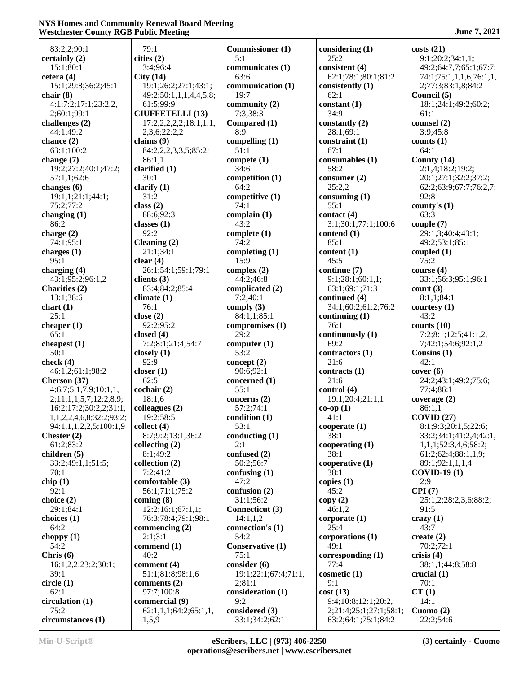## **NYS Homes and Community Renewal Board Meeting Westchester County RGB Public Meeting 3 and 3 and 3 and 3 and 3 June 7, 2021**

| 83:2,2;90:1              | 79:1                                   | <b>Commissioner</b> (1)     | considering (1)               | costs(21)                           |
|--------------------------|----------------------------------------|-----------------------------|-------------------------------|-------------------------------------|
| certainly (2)            | cities (2)                             | 5:1                         | 25:2                          | 9:1;20:2;34:1,1;                    |
| 15:1;80:1                | 3:4;96:4                               | communicates (1)            | consistent (4)                | 49:2;64:7,7;65:1;67:7;              |
| cetera $(4)$             | City(14)                               | 63:6                        | 62:1;78:1;80:1;81:2           | 74:1;75:1,1,1,6;76:1,1,             |
| 15:1;29:8;36:2;45:1      | 19:1;26:2;27:1;43:1;                   | communication (1)           | consistently (1)              | 2;77:3;83:1,8;84:2                  |
| chair $(8)$              |                                        | 19:7                        | 62:1                          | Council (5)                         |
| 4:1;7:2;17:1;23:2,2,     | 49:2;50:1,1,1,4,4,5,8;<br>61:5;99:9    | community $(2)$             | constant(1)                   | 18:1;24:1;49:2;60:2;                |
| 2;60:1;99:1              | <b>CIUFFETELLI (13)</b>                | 7:3;38:3                    | 34:9                          | 61:1                                |
| challenges $(2)$         |                                        | Compared (1)                |                               | counsel (2)                         |
| 44:1;49:2                | 17:2,2,2,2,2;18:1,1,1,<br>2,3,6;22:2,2 | 8:9                         | constantly $(2)$<br>28:1;69:1 | 3:9;45:8                            |
| chance (2)               | claims $(9)$                           | compelling $(1)$            | constraint (1)                | counts $(1)$                        |
| 63:1;100:2               | 84:2,2,2,3,3,5;85:2;                   | 51:1                        | 67:1                          | 64:1                                |
| change $(7)$             | 86:1,1                                 | compete $(1)$               | consumables (1)               | County $(14)$                       |
| 19:2;27:2;40:1;47:2;     | clarified $(1)$                        | 34:6                        | 58:2                          | 2:1,4;18:2;19:2;                    |
| 57:1,1;62:6              | 30:1                                   | competition (1)             | consumer $(2)$                | 20:1;27:1;32:2;37:2;                |
| changes $(6)$            | clarify $(1)$                          | 64:2                        | 25:2,2                        | 62:2;63:9;67:7;76:2,7;              |
| 19:1,1;21:1;44:1;        | 31:2                                   | competitive (1)             | consuming $(1)$               | 92:8                                |
| 75:2;77:2                | class $(2)$                            | 74:1                        | 55:1                          | county's $(1)$                      |
| changing $(1)$           | 88:6;92:3                              | complain $(1)$              | contact (4)                   | 63:3                                |
| 86:2                     | classes $(1)$                          | 43:2                        | 3:1;30:1;77:1;100:6           |                                     |
|                          | 92:2                                   |                             | contend (1)                   | couple(7)<br>29:1,3;40:4;43:1;      |
| charge $(2)$             |                                        | complete $(1)$<br>74:2      | 85:1                          | 49:2;53:1;85:1                      |
| 74:1;95:1                | Cleaning (2)<br>21:1;34:1              |                             | content $(1)$                 | coupled $(1)$                       |
| charges (1)              |                                        | completing $(1)$            |                               |                                     |
| 95:1<br>charging $(4)$   | clear $(4)$<br>26:1;54:1;59:1;79:1     | 15:9                        | 45:5                          | 75:2                                |
|                          |                                        | complex $(2)$<br>44:2;46:8  | continue (7)                  | course $(4)$<br>33:1;56:3;95:1;96:1 |
| 43:1;95:2;96:1,2         | clients $(3)$                          |                             | 9:1;28:1;60:1,1;              |                                     |
| <b>Charities (2)</b>     | 83:4;84:2;85:4                         | complicated (2)<br>7:2;40:1 | 63:1;69:1;71:3                | court (3)                           |
| 13:1;38:6                | climate $(1)$                          |                             | continued (4)                 | 8:1,1;84:1                          |
| chart(1)                 | 76:1                                   | comply $(3)$                | 34:1;60:2;61:2;76:2           | courtesy $(1)$                      |
| 25:1                     | close $(2)$                            | 84:1,1;85:1                 | continuing $(1)$<br>76:1      | 43:2                                |
| cheaper $(1)$<br>65:1    | 92:2;95:2                              | compromises (1)<br>29:2     |                               | courts $(10)$                       |
|                          | closed $(4)$                           |                             | continuously (1)<br>69:2      | 7:2;8:1;12:5;41:1,2,                |
| cheapest $(1)$           | 7:2;8:1;21:4;54:7                      | computer $(1)$              |                               | 7;42:1;54:6;92:1,2                  |
| 50:1                     | closely $(1)$                          | 53:2                        | contractors (1)               | Cousins $(1)$                       |
| check $(4)$              | 92:9                                   | concept $(2)$               | 21:6                          | 42:1                                |
| 46:1,2;61:1;98:2         | closer $(1)$                           | 90:6;92:1                   | contracts (1)                 | cover(6)                            |
| Cherson (37)             | 62:5                                   | concerned (1)               | 21:6                          | 24:2;43:1;49:2;75:6;                |
| 4:6,7;5:1,7,9;10:1,1,    | $\operatorname{cochair}(2)$            | 55:1                        | control (4)                   | 77:4;86:1                           |
| 2;11:1,1,5,7;12:2,8,9;   | 18:1,6                                 | concerns $(2)$              | 19:1;20:4;21:1,1              | coverage $(2)$                      |
| 16:2;17:2;30:2,2;31:1,   | colleagues (2)                         | 57:2;74:1                   | $co-op(1)$                    | 86:1,1                              |
| 1,1,2,2,4,6,8;32:2;93:2; | 19:2;58:5                              | condition (1)               | 41:1                          | COVID(27)                           |
| 94:1,1,1,2,2,5;100:1,9   | collect $(4)$                          | 53:1                        | cooperate(1)                  | 8:1;9:3;20:1,5;22:6;                |
| Chester $(2)$            | 8:7;9:2;13:1;36:2                      | conducting $(1)$            | 38:1                          | 33:2;34:1;41:2,4;42:1,              |
| 61:2;83:2                | collecting $(2)$                       | 2:1                         | cooperating $(1)$             | 1,1,1;52:3,4,6;58:2;                |
| children $(5)$           | 8:1;49:2                               | confused (2)                | 38:1                          | 61:2;62:4;88:1,1,9;                 |
| 33:2;49:1,1;51:5;        | collection (2)                         | 50:2;56:7                   | cooperative (1)               | 89:1;92:1,1,1,4                     |
| 70:1                     | 7:2;41:2                               | confusing $(1)$             | 38:1                          | <b>COVID-19(1)</b>                  |
| chip(1)                  | comfortable (3)                        | 47:2                        | copies $(1)$                  | 2:9                                 |
| 92:1                     | 56:1;71:1;75:2                         | confusion $(2)$             | 45:2                          | CPI(7)                              |
| choice $(2)$             | coming $(8)$                           | 31:1;56:2                   | copy(2)                       | 25:1,2;28:2,3,6;88:2;               |
| 29:1;84:1                | 12:2;16:1;67:1,1;                      | Connecticut (3)             | 46:1,2                        | 91:5                                |
| choices (1)              | 76:3;78:4;79:1;98:1                    | 14:1,1,2                    | corporate(1)                  | crazy $(1)$                         |
| 64:2                     | commencing $(2)$                       | connection's (1)            | 25:4                          | 43:7                                |
| choppy $(1)$             | 2:1;3:1                                | 54:2                        | corporations (1)              | create $(2)$                        |
| 54:2                     | commend (1)                            | Conservative (1)            | 49:1                          | 70:2;72:1                           |
| Chris $(6)$              | 40:2                                   | 75:1                        | corresponding (1)             | crisis $(4)$                        |
| 16:1,2,2;23:2;30:1;      | comment (4)                            | consider (6)                | 77:4                          | 38:1,1;44:8;58:8                    |
| 39:1                     | 51:1;81:8;98:1,6                       | 19:1;22:1;67:4;71:1,        | cosmetic $(1)$                | crucial $(1)$                       |
| circle(1)                | comments $(2)$                         | 2;81:1                      | 9:1                           | 70:1                                |
| 62:1                     | 97:7;100:8                             | consideration (1)           | cost(13)                      | CT(1)                               |
| circulation (1)          | commercial (9)                         | 9:2                         | 9:4;10:8;12:1;20:2,           | 14:1                                |
| 75:2                     | 62:1,1,1;64:2;65:1,1,                  | considered (3)              | 2;21:4;25:1;27:1;58:1;        | Cuomo $(2)$                         |
| circumstances (1)        | 1,5,9                                  | 33:1;34:2;62:1              | 63:2;64:1;75:1;84:2           | 22:2;54:6                           |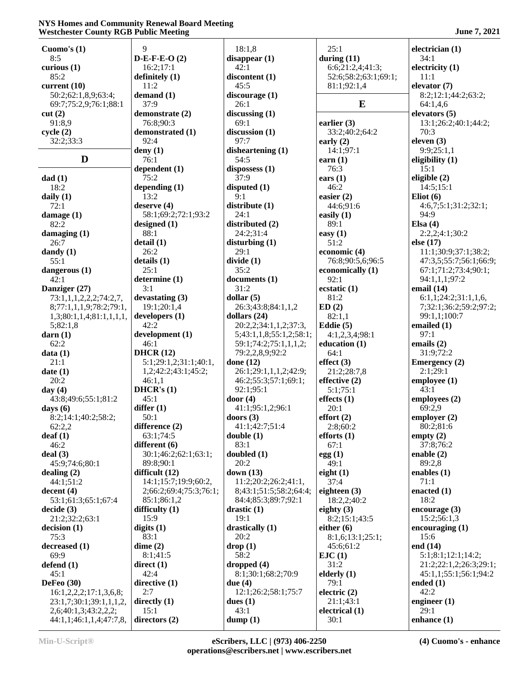## **NYS Homes and Community Renewal Board Meeting Westchester County RGB Public Meeting 3021** June 7, 2021

| Cuomo's $(1)$              | 9                      | 18:1,8                  | 25:1                 | electrician $(1)$      |
|----------------------------|------------------------|-------------------------|----------------------|------------------------|
| 8:5                        | $D-E-F-E-O(2)$         | disappear(1)            | during $(11)$        | 34:1                   |
| curious (1)                | 16:2;17:1              | 42:1                    | 6:6;21:2,4;41:3;     | electricity $(1)$      |
| 85:2                       | definitely (1)         | discontent (1)          | 52:6;58:2;63:1;69:1; | 11:1                   |
| current (10)               | 11:2                   | 45:5                    | 81:1;92:1,4          | elevator $(7)$         |
| 50:2;62:1,8,9;63:4;        | demand $(1)$           | discourage(1)           |                      | 8:2;12:1;44:2;63:2;    |
| 69:7;75:2,9;76:1;88:1      | 37:9                   | 26:1                    | $\bf{E}$             | 64:1,4,6               |
|                            |                        |                         |                      |                        |
| cut(2)                     | demonstrate (2)        | discussing $(1)$        |                      | elevators $(5)$        |
| 91:8,9                     | 76:8;90:3              | 69:1                    | earlier $(3)$        | 13:1;26:2;40:1;44:2;   |
| cycle (2)                  | demonstrated (1)       | discussion (1)          | 33:2;40:2;64:2       | 70:3                   |
| 32:2:33:3                  | 92:4                   | 97:7                    | early $(2)$          | eleven $(3)$           |
|                            | deny $(1)$             | disheartening $(1)$     | 14:1;97:1            | 9:9;25:1,1             |
| D                          | 76:1                   | 54:5                    | earn $(1)$           | eligibility (1)        |
|                            | dependent (1)          | dispossess $(1)$        | 76:3                 | 15:1                   |
| dad $(1)$                  | 75:2                   | 37:9                    | ears $(1)$           | eligible $(2)$         |
| 18:2                       | depending (1)          | disputed $(1)$          | 46:2                 | 14:5:15:1              |
| daily (1)                  | 13:2                   | 9:1                     | easier $(2)$         | Eliot $(6)$            |
| 72:1                       | deserve $(4)$          | distribute (1)          | 44:6;91:6            | 4:6,7;5:1;31:2;32:1;   |
| damage (1)                 | 58:1;69:2;72:1;93:2    | 24:1                    | easily $(1)$         | 94:9                   |
| 82:2                       |                        | distributed (2)         | 89:1                 | Elsa $(4)$             |
|                            | designed $(1)$         |                         |                      |                        |
| damaging (1)               | 88:1                   | 24:2;31:4               | easy $(1)$           | 2:2,2;4:1;30:2         |
| 26:7                       | delta(1)               | disturbing $(1)$        | 51:2                 | else (17)              |
| dandy (1)                  | 26:2                   | 29:1                    | economic (4)         | 11:1;30:9;37:1;38:2;   |
| 55:1                       | details(1)             | divide (1)              | 76:8;90:5,6;96:5     | 47:3,5;55:7;56:1;66:9; |
| dangerous (1)              | 25:1                   | 35:2                    | economically (1)     | 67:1;71:2;73:4;90:1;   |
| 42:1                       | determine (1)          | documents (1)           | 92:1                 | 94:1,1,1;97:2          |
| Danziger (27)              | 3:1                    | 31:2                    | ecstatic $(1)$       | email $(14)$           |
| 73:1,1,1,2,2,2;74:2,7,     | devastating (3)        | dollar $(5)$            | 81:2                 | 6:1,1;24:2;31:1,1,6,   |
| 8;77:1,1,1,9;78:2;79:1,    | 19:1;20:1,4            | 26:3;43:8;84:1,1,2      | ED(2)                | 7;32:1;36:2;59:2;97:2; |
| 1,3;80:1,1,4;81:1,1,1,1,1, | developers $(1)$       | dollars $(24)$          | 82:1,1               | 99:1,1;100:7           |
| 5;82:1,8                   | 42:2                   | 20:2,2;34:1,1,2;37:3,   | Eddie $(5)$          | emailed $(1)$          |
|                            | development (1)        |                         |                      | 97:1                   |
| darn(1)                    |                        | 5;43:1,1,8;55:1,2;58:1; | 4:1,2,3,4;98:1       |                        |
| 62:2                       | 46:1                   | 59:1;74:2;75:1,1,1,2;   | education $(1)$      | emails $(2)$           |
| data (1)                   | <b>DHCR</b> (12)       | 79:2,2,8,9;92:2         | 64:1                 | 31:9;72:2              |
| 21:1                       | 5:1;29:1,2;31:1;40:1,  | done $(12)$             | effect $(3)$         | <b>Emergency</b> (2)   |
| date (1)                   | 1,2;42:2;43:1;45:2;    | 26:1;29:1,1,1,2;42:9;   | 21:2;28:7,8          | 2:1;29:1               |
| 20:2                       | 46:1,1                 | 46:2;55:3;57:1;69:1;    | effective $(2)$      | employee $(1)$         |
| day (4)                    | DHCR's $(1)$           | 92:1;95:1               | 5:1;75:1             | 43:1                   |
| 43:8;49:6;55:1;81:2        | 45:1                   | door $(4)$              | effects(1)           | employees (2)          |
| days (6)                   | differ $(1)$           | 41:1;95:1,2;96:1        | 20:1                 | 69:2,9                 |
| 8:2;14:1;40:2;58:2;        | 50:1                   | doors $(3)$             | effort(2)            | employer $(2)$         |
| 62:2.2                     | difference $(2)$       | 41:1;42:7;51:4          | 2:8;60:2             | 80:2;81:6              |
| $\text{deaf}(1)$           | 63:1;74:5              | double(1)               | efforts $(1)$        | empty $(2)$            |
| 46:2                       | different (6)          | 83:1                    | 67:1                 | 37:8;76:2              |
|                            | 30:1;46:2;62:1;63:1;   |                         |                      | enable $(2)$           |
| deal (3)                   |                        | doubled (1)             | egg(1)               |                        |
| 45:9;74:6;80:1             | 89:8;90:1              | 20:2                    | 49:1                 | 89:2,8                 |
| dealing (2)                | difficult $(12)$       | down(13)                | eight $(1)$          | enables $(1)$          |
| 44:1;51:2                  | 14:1;15:7;19:9;60:2,   | 11:2;20:2;26:2;41:1,    | 37:4                 | 71:1                   |
| decent (4)                 | 2;66:2;69:4;75:3;76:1; | 8;43:1;51:5;58:2;64:4;  | eighteen $(3)$       | enacted $(1)$          |
| 53:1;61:3;65:1;67:4        | 85:1;86:1,2            | 84:4;85:3;89:7;92:1     | 18:2,2;40:2          | 18:2                   |
| decide (3)                 | difficulty $(1)$       | drastic(1)              | eighty $(3)$         | encourage $(3)$        |
| 21:2;32:2;63:1             | 15:9                   | 19:1                    | 8:2;15:1;43:5        | 15:2;56:1,3            |
| decision (1)               | digits $(1)$           | drastically $(1)$       | either $(6)$         | encouraging $(1)$      |
| 75:3                       | 83:1                   | 20:2                    | 8:1,6;13:1;25:1;     | 15:6                   |
| decreased (1)              | dime(2)                | drop(1)                 | 45:6;61:2            | end $(14)$             |
| 69:9                       | 8:1;41:5               | 58:2                    | EJC(1)               | 5:1;8:1;12:1;14:2;     |
| defend (1)                 | direct(1)              | dropped $(4)$           | 31:2                 | 21:2;22:1,2;26:3;29:1; |
|                            | 42:4                   | 8:1;30:1;68:2;70:9      |                      |                        |
| 45:1                       |                        |                         | elderly $(1)$        | 45:1,1;55:1;56:1;94:2  |
| <b>DeFeo</b> (30)          | directive (1)          | due $(4)$               | 79:1                 | ended $(1)$            |
| 16:1,2,2,2;17:1,3,6,8;     | 2:7                    | 12:1;26:2;58:1;75:7     | electric $(2)$       | 42:2                   |
| 23:1,7;30:1;39:1,1,1,2,    | directly $(1)$         | dues $(1)$              | 21:1;43:1            | engineer $(1)$         |
| 2,6;40:1,3;43:2,2,2;       | 15:1                   | 43:1                    | electrical (1)       | 29:1                   |

44:1,1;46:1,1,4;47:7,8, **directors (2)**

30:1

**dump (1)**

**enhance (1)**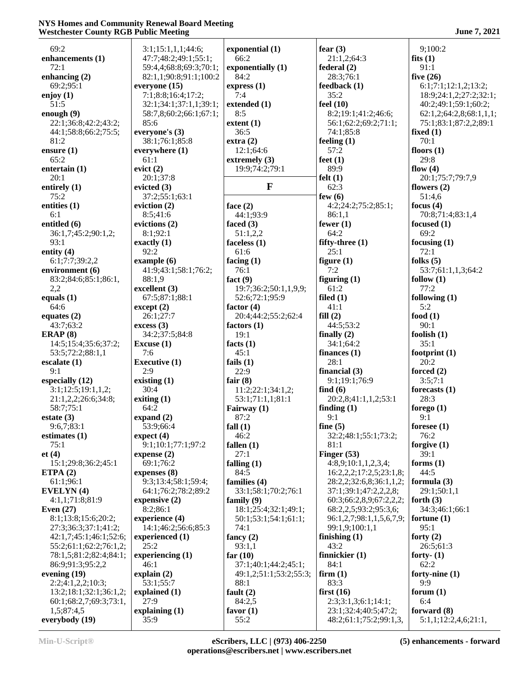# **NYS Homes and Community Renewal Board Meeting Westchester County RGB Public Meeting 3021** June 7, 2021

| 69:2                   | 3:1;15:1,1,1;44:6;     | exponential (1)        | fear $(3)$               | 9;100:2                 |
|------------------------|------------------------|------------------------|--------------------------|-------------------------|
| enhancements (1)       | 47:7;48:2;49:1;55:1;   | 66:2                   | 21:1,2;64:3              | fits $(1)$              |
| 72:1                   | 59:4,4;68:8;69:3;70:1; | exponentially (1)      | federal(2)               | 91:1                    |
| enhancing $(2)$        | 82:1,1;90:8;91:1;100:2 | 84:2                   | 28:3;76:1                | five $(26)$             |
| 69:2;95:1              | everyone (15)          | express(1)             | feedback (1)             | 6:1;7:1;12:1,2;13:2;    |
| enjoy $(1)$            | 7:1;8:8;16:4;17:2;     | 7:4                    | 35:2                     | 18:9;24:1,2;27:2;32:1;  |
| 51:5                   | 32:1;34:1;37:1,1;39:1; | extended (1)           | feel $(10)$              | 40:2;49:1;59:1;60:2;    |
| enough $(9)$           | 58:7,8;60:2;66:1;67:1; | 8:5                    | 8:2;19:1;41:2;46:6;      | 62:1,2;64:2,8;68:1,1,1; |
| 22:1;36:8;42:2;43:2;   | 85:6                   | extent $(1)$           | 56:1;62:2;69:2;71:1;     | 75:1;83:1;87:2,2;89:1   |
| 44:1;58:8;66:2;75:5;   | everyone's (3)         | 36:5                   | 74:1;85:8                | fixed $(1)$             |
| 81:2                   | 38:1;76:1;85:8         | extra(2)               | feeling $(1)$            | 70:1                    |
| ensure $(1)$           | everywhere (1)         | 12:1;64:6              | 57:2                     | floors $(1)$            |
| 65:2                   | 61:1                   | extremely $(3)$        | feet $(1)$               | 29:8                    |
| entertain $(1)$        | evict(2)               | 19:9;74:2;79:1         | 89:9                     | flow $(4)$              |
| 20:1                   | 20:1;37:8              |                        | felt $(1)$               | 20:1;75:7;79:7,9        |
| entirely (1)           | evicted $(3)$          | $\mathbf{F}$           | 62:3                     | flowers $(2)$           |
| 75:2                   | 37:2;55:1;63:1         |                        | few $(6)$                | 51:4,6                  |
| entities (1)           | eviction $(2)$         | face $(2)$             | 4:2;24:2;75:2;85:1;      | focus $(4)$             |
| 6:1                    | 8:5;41:6               | 44:1;93:9              | 86:1,1                   | 70:8;71:4;83:1,4        |
| entitled (6)           | evictions (2)          | faced $(3)$            | fewer $(1)$              | focused $(1)$           |
| 36:1,7;45:2;90:1,2;    | 8:1;92:1               | 51:1,2,2               | 64:2                     | 69:2                    |
| 93:1                   | exactly $(1)$          | faceless $(1)$         | fifty-three $(1)$        | focusing $(1)$          |
| entity $(4)$           | 92:2                   | 61:6                   | 25:1                     | 72:1                    |
| 6:1;7:7;39:2,2         | example(6)             | facing $(1)$           | figure $(1)$             | folks $(5)$             |
| environment (6)        | 41:9:43:1:58:1:76:2:   | 76:1                   | 7:2                      | 53:7;61:1,1,3;64:2      |
| 83:2;84:6;85:1;86:1,   | 88:1,9                 | fact $(9)$             | figuring $(1)$           | follow $(1)$            |
| 2,2                    | excellent (3)          | 19:7;36:2;50:1,1,9,9;  | 61:2                     | 77:2                    |
| equals $(1)$           | 67:5;87:1;88:1         | 52:6;72:1;95:9         | filed $(1)$              | following $(1)$         |
| 64:6                   | except (2)             | factor $(4)$           | 41:1                     | 5:2                     |
| equates $(2)$          | 26:1;27:7              | 20:4;44:2;55:2;62:4    | fill(2)                  | food $(1)$              |
| 43:7;63:2              | excess(3)              | factors $(1)$          | 44:5;53:2                | 90:1                    |
| ERAP $(8)$             | 34:2;37:5;84:8         | 19:1                   | finally $(2)$            | foolish $(1)$           |
| 14:5;15:4;35:6;37:2;   | Excuse $(1)$           | facts $(1)$            | 34:1;64:2                | 35:1                    |
| 53:5;72:2;88:1,1       | 7:6                    | 45:1                   | finances $(1)$           | footprint $(1)$         |
| escalate $(1)$         | <b>Executive (1)</b>   | fails $(1)$            | 28:1                     | 20:2                    |
| 9:1                    | 2:9                    | 22:9                   | financial $(3)$          | forced $(2)$            |
| especially (12)        | existing $(1)$         | fair $(8)$             | 9:1;19:1;76:9            | 3:5;7:1                 |
| 3:1;12:5;19:1,1,2;     | 30:4                   | 11:2;22:1;34:1,2;      | find $(6)$               | forecasts $(1)$         |
| 21:1,2,2;26:6;34:8;    | exiting $(1)$          | 53:1;71:1,1;81:1       | 20:2,8;41:1,1,2;53:1     | 28:3                    |
| 58:7;75:1              | 64:2                   | Fairway (1)            | finding $(1)$            | forego $(1)$            |
| estate $(3)$           | expand $(2)$           | 87:2                   | 9:1                      | 9:1                     |
| 9:6,7;83:1             | 53:9;66:4              | fall $(1)$             | fine $(5)$               | foresee $(1)$           |
| estimates $(1)$        | expect (4)             | 46:2                   | 32:2;48:1;55:1;73:2;     | 76:2                    |
| 75:1                   | 9:1;10:1;77:1;97:2     | fallen $(1)$           | 81:1                     | forgive $(1)$           |
| et(4)                  | expense $(2)$          | 27:1                   | Finger $(53)$            | 39:1                    |
| 15:1;29:8;36:2;45:1    | 69:1;76:2              | falling $(1)$          | 4:8,9;10:1,1,2,3,4;      | forms $(1)$             |
| ETPA $(2)$             | expenses (8)           | 84:5                   | 16:2,2,2;17:2,5;23:1,8;  | 44:5                    |
| 61:1;96:1              | 9:3;13:4;58:1;59:4;    | families (4)           | 28:2,2;32:6,8;36:1,1,2;  | formula (3)             |
| EVELYN(4)              | 64:1;76:2;78:2;89:2    | 33:1;58:1;70:2;76:1    | 37:1;39:1;47:2,2,2,8;    | 29:1;50:1,1             |
| 4:1,1;71:8;81:9        | expensive $(2)$        | family $(9)$           | 60:3;66:2,8,9;67:2,2,2;  | forth $(3)$             |
| Even $(27)$            | 8:2;86:1               | 18:1;25:4;32:1;49:1;   | 68:2,2,5;93:2;95:3,6;    | 34:3;46:1;66:1          |
| 8:1;13:8;15:6;20:2;    | experience (4)         | 50:1;53:1;54:1;61:1;   | 96:1,2,7;98:1,1,5,6,7,9; | fortune $(1)$           |
| 27:3;36:3;37:1;41:2;   | 14:1;46:2;56:6;85:3    | 74:1                   | 99:1,9;100:1,1           | 95:1                    |
| 42:1,7;45:1;46:1;52:6; | experienced (1)        | fancy $(2)$            | finishing $(1)$          | forty $(2)$             |
| 55:2;61:1;62:2;76:1,2; | 25:2                   | 93:1,1                 | 43:2                     | 26:5;61:3               |
| 78:1,5;81:2;82:4;84:1; | experiencing $(1)$     | far $(10)$             | finnickier $(1)$         | forty- $(1)$            |
| 86:9;91:3;95:2,2       | 46:1                   | 37:1;40:1;44:2;45:1;   | 84:1                     | 62:2                    |
| evening $(19)$         | explain $(2)$          | 49:1,2;51:1;53:2;55:3; | firm(1)                  | forty-nine $(1)$        |
| 2:2;4:1,2,2;10:3;      | 53:1;55:7              | 88:1                   | 83:3                     | 9:9                     |
| 13:2;18:1;32:1;36:1,2; | explained (1)          | fault $(2)$            | first $(16)$             | forum $(1)$             |
| 60:1;68:2,7;69:3;73:1, | 27:9                   | 84:2,5                 | 2:3;3:1,3;6:1;14:1;      | 6:4                     |
| 1,5;87:4,5             | explaining $(1)$       | favor $(1)$            | 23:1;32:4;40:5;47:2;     | forward (8)             |
| everybody (19)         | 35:9                   | 55:2                   | 48:2;61:1;75:2;99:1,3,   | 5:1,1;12:2,4,6;21:1,    |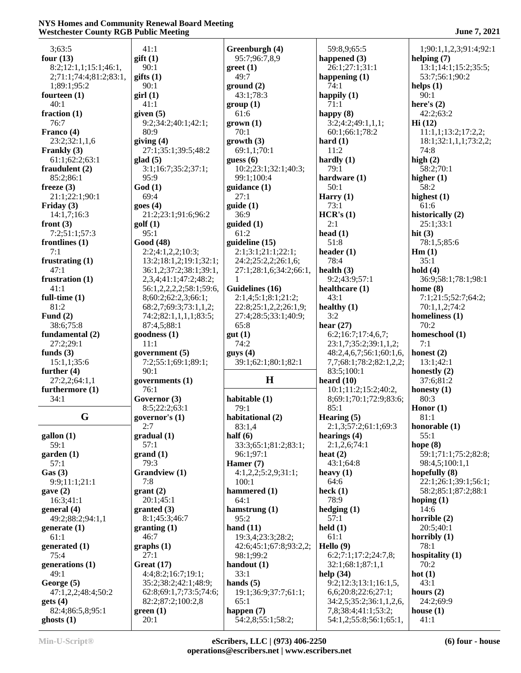#### **NYS Homes and Community Renewal Board Meeting Westchester County RGB Public Meeting June 7, 2021**

| 3;63:5                          | 41:1                           | Greenburgh (4)                            | 59:8,9;65:5                                    | 1;90:1,1,2,3;91:4;92:1                       |
|---------------------------------|--------------------------------|-------------------------------------------|------------------------------------------------|----------------------------------------------|
| four $(13)$                     | $g$ ift $(1)$                  | 95:7;96:7,8,9                             | happened $(3)$                                 | helping $(7)$                                |
| 8:2;12:1,1;15:1;46:1,           | 90:1                           | $\text{greet}(1)$                         | 26:1;27:1;31:1                                 | 13:1;14:1;15:2;35:5;                         |
| 2;71:1;74:4;81:2;83:1,          | giffs(1)                       | 49:7                                      | happening $(1)$                                | 53:7;56:1;90:2                               |
| 1;89:1;95:2                     | 90:1                           | ground(2)                                 | 74:1                                           | helps $(1)$                                  |
| fourteen $(1)$                  | girl(1)                        | 43:1:78:3                                 | happily $(1)$                                  | 90:1                                         |
| 40:1                            | 41:1                           | group(1)                                  | 71:1                                           | here's $(2)$                                 |
| fraction $(1)$                  | given $(5)$                    | 61:6                                      | happy $(8)$                                    | 42:2;63:2                                    |
| 76:7                            | 9:2;34:2;40:1;42:1;            | $grown (1)$                               | 3:2;4:2;49:1,1,1;                              | Hi(12)                                       |
| Franco (4)<br>23:2;32:1,1,6     | 80:9<br>giving $(4)$           | 70:1<br>growth(3)                         | 60:1;66:1;78:2                                 | 11:1,1;13:2;17:2,2;<br>18:1;32:1,1,1;73:2,2; |
| Frankly (3)                     | 27:1;35:1;39:5;48:2            | 69:1,1;70:1                               | hard $(1)$<br>11:2                             | 74:8                                         |
| 61:1;62:2;63:1                  | $\text{glad}(5)$               | guess $(6)$                               | hardly $(1)$                                   | high $(2)$                                   |
| fraudulent $(2)$                | 3:1;16:7;35:2;37:1;            | 10:2;23:1;32:1;40:3;                      | 79:1                                           | 58:2;70:1                                    |
| 85:2;86:1                       | 95:9                           | 99:1;100:4                                | hardware (1)                                   | higher $(1)$                                 |
| freeze $(3)$                    | God(1)                         | guidance (1)                              | 50:1                                           | 58:2                                         |
| 21:1;22:1;90:1                  | 69:4                           | 27:1                                      | Harry $(1)$                                    | highest $(1)$                                |
| Friday $(3)$                    | goes(4)                        | guide(1)                                  | 73:1                                           | 61:6                                         |
| 14:1,7;16:3                     | 21:2;23:1;91:6;96:2            | 36:9                                      | HCR's (1)                                      | historically (2)                             |
| front $(3)$                     | golf(1)                        | guided (1)                                | 2:1                                            | 25:1;33:1                                    |
| 7:2;51:1;57:3                   | 95:1                           | 61:2                                      | head $(1)$                                     | hit $(3)$                                    |
| frontlines $(1)$<br>7:1         | Good (48)<br>2:2;4:1,2,2;10:3; | guideline (15)                            | 51:8<br>header $(1)$                           | 78:1,5;85:6                                  |
| frustrating $(1)$               | 13:2;18:1,2;19:1;32:1;         | 2:1;3:1;21:1;22:1;<br>24:2;25:2,2;26:1,6; | 78:4                                           | $\mathbf{Hm}$ (1)<br>35:1                    |
| 47:1                            | 36:1,2;37:2;38:1;39:1,         | 27:1;28:1,6;34:2;66:1,                    | health $(3)$                                   | hold $(4)$                                   |
| frustration $(1)$               | 2,3,4;41:1;47:2;48:2;          | -1                                        | 9:2;43:9;57:1                                  | 36:9;58:1;78:1;98:1                          |
| 41:1                            | 56:1,2,2,2,2;58:1;59:6,        | Guidelines (16)                           | healthcare (1)                                 | home $(8)$                                   |
| full-time $(1)$                 | 8;60:2;62:2,3;66:1;            | 2:1,4;5:1;8:1;21:2;                       | 43:1                                           | 7:1;21:5;52:7;64:2;                          |
| 81:2                            | 68:2,7;69:3;73:1,1,2;          | 22:8;25:1,2,2;26:1,9;                     | healthy $(1)$                                  | 70:1,1,2;74:2                                |
| Fund $(2)$                      | 74:2;82:1,1,1,1;83:5;          | 27:4;28:5;33:1;40:9;                      | 3:2                                            | homeliness (1)                               |
| 38:6;75:8                       | 87:4,5;88:1                    | 65:8                                      | hear $(27)$                                    | 70:2                                         |
| fundamental (2)                 | goodness (1)                   | gut(1)                                    | 6:2;16:7;17:4,6,7;                             | homeschool (1)                               |
|                                 |                                |                                           |                                                |                                              |
| 27:2;29:1                       | 11:1                           | 74:2                                      | 23:1,7;35:2;39:1,1,2;                          | 7:1                                          |
| funds $(3)$                     | government $(5)$               | gays(4)                                   | 48:2,4,6,7;56:1;60:1,6,                        | honest $(2)$                                 |
| 15:1,1;35:6                     | 7:2;55:1;69:1;89:1;            | 39:1;62:1;80:1;82:1                       | 7,7;68:1;78:2;82:1,2,2;                        | 13:1;42:1                                    |
| further $(4)$                   | 90:1                           |                                           | 83:5;100:1                                     | honestly $(2)$                               |
| 27:2,2;64:1,1                   | governments (1)                | $\mathbf H$                               | heard $(10)$                                   | 37:6;81:2                                    |
| furthermore (1)<br>34:1         | 76:1<br>Governor (3)           |                                           | 10:1;11:2;15:2;40:2,<br>8;69:1;70:1;72:9;83:6; | honesty $(1)$<br>80:3                        |
|                                 | 8:5;22:2;63:1                  | habitable (1)<br>79:1                     | 85:1                                           | Honor $(1)$                                  |
| G                               | governor's $(1)$               | habitational (2)                          | Hearing $(5)$                                  | 81:1                                         |
|                                 | 2:7                            | 83:1,4                                    | 2:1,3,57:2,61:1,69:3                           | honorable $(1)$                              |
| $\text{gallon}(1)$              | gradual (1)                    | half $(6)$                                | hearings $(4)$                                 | 55:1                                         |
| 59:1                            | 57:1                           | 33:3;65:1;81:2;83:1;                      | 2:1,2,6;74:1                                   | hope $(8)$                                   |
| garden(1)                       | grand(1)                       | 96:1;97:1                                 | heat $(2)$                                     | 59:1;71:1;75:2;82:8;                         |
| 57:1                            | 79:3                           | Hamer $(7)$                               | 43:1;64:8                                      | 98:4,5;100:1,1                               |
| Gas(3)                          | <b>Grandview</b> (1)           | 4:1,2,2;5:2,9;31:1;                       | heavy $(1)$                                    | hopefully (8)                                |
| 9:9;11:1;21:1                   | 7:8                            | 100:1                                     | 64:6                                           | 22:1;26:1;39:1;56:1;                         |
| gave(2)                         | grant(2)                       | hammered (1)                              | heck $(1)$                                     | 58:2;85:1;87:2;88:1                          |
| 16:3;41:1                       | 20:1;45:1                      | 64:1                                      | 78:9                                           | hoping $(1)$<br>14:6                         |
| general (4)<br>49:2;88:2;94:1,1 | granted (3)<br>8:1;45:3;46:7   | hamstrung $(1)$<br>95:2                   | hedging $(1)$<br>57:1                          | horrible $(2)$                               |
| generate $(1)$                  | granting(1)                    | hand $(11)$                               | $\text{held}(1)$                               | 20:5;40:1                                    |
| 61:1                            | 46:7                           | 19:3,4;23:3;28:2;                         | 61:1                                           | horribly $(1)$                               |
| generated (1)                   | graphs(1)                      | 42:6;45:1;67:8;93:2,2;                    | Hello $(9)$                                    | 78:1                                         |
| 75:4                            | 27:1                           | 98:1;99:2                                 | 6:2;7:1;17:2;24:7,8;                           | hospitality $(1)$                            |
| generations (1)                 | Great $(17)$                   | handout $(1)$                             | 32:1;68:1;87:1,1                               | 70:2                                         |
| 49:1                            | 4:4;8:2;16:7;19:1;             | 33:1                                      | help $(34)$                                    | hot $(1)$                                    |
| George (5)                      | 35:2;38:2;42:1;48:9;           | hands $(5)$                               | 9:2;12:3;13:1;16:1,5,                          | 43:1                                         |
| 47:1,2,2;48:4;50:2              | 62:8;69:1,7;73:5;74:6;         | 19:1;36:9;37:7;61:1;                      | 6,6;20:8;22:6;27:1;                            | hours $(2)$                                  |
| gets(4)                         | 82:2;87:2;100:2,8              | 65:1                                      | 34:2,5;35:2;36:1,1,2,6,                        | 24:2;69:9                                    |
| 82:4;86:5,8;95:1<br>ghosts(1)   | green(1)<br>20:1               | happen $(7)$<br>54:2,8;55:1;58:2;         | 7,8;38:4;41:1;53:2;<br>54:1,2;55:8;56:1;65:1,  | house $(1)$<br>41:1                          |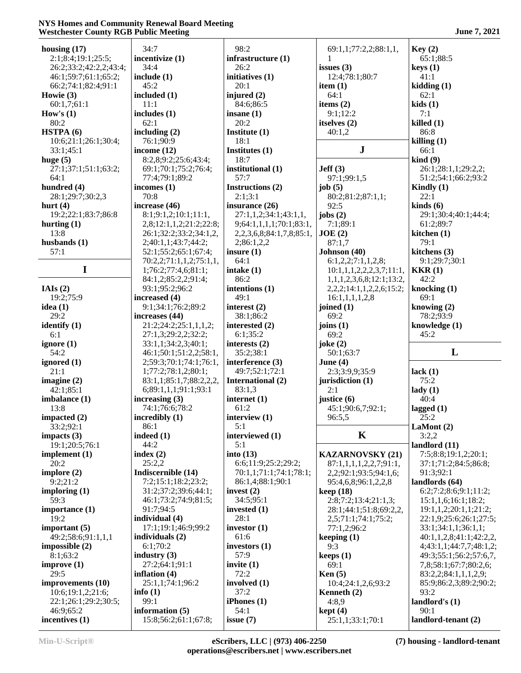#### **NYS Homes and Community Renewal Board Meeting Westchester County RGB Public Meeting**   $J$  **June 7, 2021**

| housing $(17)$                |                                           |                                    |                                         |                                 |
|-------------------------------|-------------------------------------------|------------------------------------|-----------------------------------------|---------------------------------|
|                               | 34:7                                      | 98:2                               | 69:1,1;77:2,2;88:1,1,                   | Key(2)                          |
| 2:1;8:4;19:1;25:5;            | incentivize (1)                           | infrastructure (1)                 |                                         | 65:1;88:5                       |
| 26:2;33:2;42:2,2;43:4;        | 34:4                                      | 26:2                               | issues $(3)$                            | keys(1)                         |
| 46:1;59:7;61:1;65:2;          | include $(1)$                             | initiatives (1)                    | 12:4;78:1;80:7                          | 41:1                            |
| 66:2;74:1;82:4;91:1           | 45:2                                      | 20:1                               | item $(1)$                              | kidding(1)                      |
|                               |                                           |                                    |                                         |                                 |
| Howie $(3)$                   | included (1)                              | injured $(2)$                      | 64:1                                    | 62:1                            |
| 60:1,7;61:1                   | 11:1                                      | 84:6;86:5                          | items $(2)$                             | kids(1)                         |
| How's $(1)$                   | includes $(1)$                            | insane $(1)$                       | 9:1;12:2                                | 7:1                             |
| 80:2                          | 62:1                                      | 20:2                               | itselves (2)                            | killed(1)                       |
| HSTPA(6)                      | including $(2)$                           | Institute $(1)$                    | 40:1,2                                  | 86:8                            |
| 10:6;21:1;26:1;30:4;          | 76:1;90:9                                 | 18:1                               |                                         | killing(1)                      |
|                               |                                           |                                    |                                         |                                 |
| 33:1;45:1                     | income $(12)$                             | Institutes (1)                     | ${\bf J}$                               | 66:1                            |
| huge $(5)$                    | 8:2,8;9:2;25:6;43:4;                      | 18:7                               |                                         | $\operatorname{kind}(9)$        |
| 27:1;37:1;51:1;63:2;          | 69:1;70:1;75:2;76:4;                      | institutional (1)                  | Jeff(3)                                 | 26:1;28:1,1;29:2,2;             |
| 64:1                          | 77:4;79:1;89:2                            | 57:7                               | 97:1;99:1,5                             | 51:2;54:1;66:2;93:2             |
| hundred (4)                   | incomes $(1)$                             | Instructions (2)                   | job $(5)$                               | Kindly $(1)$                    |
|                               |                                           |                                    |                                         |                                 |
| 28:1;29:7;30:2,3              | 70:8                                      | 2:1;3:1                            | 80:2;81:2;87:1,1;                       | 22:1                            |
| hurt $(4)$                    | increase (46)                             | insurance $(26)$                   | 92:5                                    | $\boldsymbol{\text{kinds}}$ (6) |
| 19:2;22:1;83:7;86:8           | 8:1;9:1,2;10:1;11:1,                      | 27:1,1,2;34:1;43:1,1,              | jobs $(2)$                              | 29:1;30:4;40:1;44:4;            |
| hurting $(1)$                 | 2,8;12:1,1,2;21:2;22:8;                   | 9;64:1,1,1,1;70:1;83:1,            | 7:1;89:1                                | 61:2;89:7                       |
| 13:8                          | 26:1;32:2;33:2;34:1,2,                    | 2, 2, 3, 6, 8; 84: 1, 7, 8; 85: 1, | JOE(2)                                  | kitchen $(1)$                   |
|                               |                                           |                                    |                                         |                                 |
| husbands $(1)$                | 2;40:1,1;43:7;44:2;                       | 2;86:1,2,2                         | 87:1,7                                  | 79:1                            |
| 57:1                          | 52:1;55:2;65:1;67:4;                      | insure $(1)$                       | Johnson (40)                            | kitchens (3)                    |
|                               | 70:2,2;71:1,1,2;75:1,1,                   | 64:1                               | 6:1,2,2;7:1,1,2,8;                      | 9:1;29:7;30:1                   |
| I                             | 1;76:2;77:4,6;81:1;                       | intake $(1)$                       | 10:1,1,1,2,2,2,3,7;11:1,                | KKR(1)                          |
|                               |                                           | 86:2                               |                                         | 42:2                            |
|                               | 84:1,2;85:2,2;91:4;                       |                                    | 1,1,1,2,3,6,8;12:1;13:2,                |                                 |
| IAIs $(2)$                    | 93:1;95:2;96:2                            | intentions (1)                     | 2, 2, 2, 3 1 4 : 1, 1, 2, 2, 6, 15 : 2; | knocking $(1)$                  |
| 19:2;75:9                     | increased (4)                             | 49:1                               | 16:1,1,1,1,2,8                          | 69:1                            |
| idea $(1)$                    | 9:1;34:1;76:2;89:2                        | interest $(2)$                     | joined (1)                              | knowing $(2)$                   |
| 29:2                          | increases (44)                            | 38:1;86:2                          | 69:2                                    | 78:2;93:9                       |
|                               | 21:2;24:2;25:1,1,1,2;                     |                                    |                                         |                                 |
| identify $(1)$                |                                           | interested (2)                     | joins $(1)$                             | knowledge (1)                   |
| 6:1                           | 27:1,3;29:2,2;32:2;                       | 6:1;35:2                           | 69:2                                    | 45:2                            |
| ignore $(1)$                  | 33:1,1;34:2,3;40:1;                       | interests $(2)$                    | joke $(2)$                              |                                 |
| 54:2                          | 46:1;50:1;51:2,2;58:1,                    | 35:2;38:1                          | 50:1;63:7                               | L                               |
| ignored (1)                   | 2;59:3;70:1;74:1;76:1,                    | interference (3)                   | June $(4)$                              |                                 |
| 21:1                          | 1;77:2;78:1,2;80:1;                       |                                    |                                         |                                 |
|                               |                                           | 49:7;52:1;72:1                     | 2:3;3:9,9;35:9                          | lack(1)                         |
| imagine $(2)$                 | 83:1,1;85:1,7;88:2,2,2,                   | <b>International (2)</b>           | jurisdiction (1)                        | 75:2                            |
| 42:1;85:1                     | 6;89:1,1,1;91:1;93:1                      | 83:1,3                             | 2:1                                     | $\text{lady}(1)$                |
| imbalance (1)                 | increasing $(3)$                          | internet (1)                       |                                         |                                 |
|                               |                                           |                                    |                                         |                                 |
|                               |                                           |                                    | justice $(6)$                           | 40:4                            |
| 13:8                          | 74:1;76:6;78:2                            | 61:2                               | 45:1;90:6,7;92:1;                       | lagged $(1)$                    |
| impacted $(2)$                | incredibly (1)                            | interview $(1)$                    | 96:5,5                                  | 25:2                            |
| 33:2;92:1                     | 86:1                                      | 5:1                                |                                         | LaMont (2)                      |
| impacts $(3)$                 | indeed $(1)$                              | interviewed (1)                    | $\bf K$                                 | 3:2,2                           |
|                               |                                           |                                    |                                         |                                 |
| 19:1;20:5;76:1                | 44:2                                      | 5:1                                |                                         | landlord (11)                   |
| implement $(1)$               | index $(2)$                               | into $(13)$                        | <b>KAZARNOVSKY (21)</b>                 | 7:5;8:8;19:1,2;20:1;            |
| 20:2                          | 25:2,2                                    | 6:6;11:9;25:2;29:2;                | 87:1,1,1,1,2,2,7;91:1,                  | 37:1;71:2;84:5;86:8;            |
| implore $(2)$                 | Indiscernible (14)                        | 70:1,1;71:1;74:1;78:1;             | 2,2;92:1;93:5;94:1,6;                   | 91:3;92:1                       |
| 9:2;21:2                      | 7:2;15:1;18:2;23:2;                       | 86:1,4;88:1;90:1                   | 95:4,6,8;96:1,2,2,8                     | landlords (64)                  |
|                               | 31:2;37:2;39:6;44:1;                      | invest $(2)$                       |                                         | 6:2;7:2;8:6;9:1;11:2;           |
| imploring $(1)$               |                                           |                                    | keep (18)                               |                                 |
| 59:3                          | 46:1;73:2;74:9;81:5;                      | 34:5;95:1                          | 2:8;7:2;13:4;21:1,3;                    | 15:1,1,6;16:1;18:2;             |
| importance (1)                | 91:7;94:5                                 | invested $(1)$                     | 28:1;44:1;51:8;69:2,2,                  | 19:1,1,2;20:1,1;21:2;           |
| 19:2                          | individual (4)                            | 28:1                               | 2,5;71:1;74:1;75:2;                     | 22:1,9;25:6;26:1;27:5;          |
| important $(5)$               | 17:1;19:1;46:9;99:2                       | investor $(1)$                     | 77:1,2;96:2                             | 33:1;34:1,1;36:1,1;             |
| 49:2;58:6;91:1,1,1            | individuals (2)                           | 61:6                               | keeping $(1)$                           | 40:1,1,2,8;41:1;42:2,2,         |
|                               |                                           |                                    |                                         |                                 |
| impossible $(2)$              | 6:1;70:2                                  | investors $(1)$                    | 9:3                                     | 4;43:1,1;44:7,7;48:1,2;         |
| 8:1;63:2                      | industry $(3)$                            | 57:9                               | keeps $(1)$                             | 49:3;55:1;56:2;57:6,7,          |
| improve(1)                    | 27:2;64:1;91:1                            | invite $(1)$                       | 69:1                                    | 7,8;58:1;67:7;80:2,6;           |
| 29:5                          | inflation $(4)$                           | 72:2                               | Ken(5)                                  | 83:2,2;84:1,1,1,2,9;            |
| improvements (10)             | 25:1,1;74:1;96:2                          | involved $(1)$                     | 10:4;24:1,2,6;93:2                      | 85:9;86:2,3;89:2;90:2;          |
|                               |                                           |                                    |                                         |                                 |
| 10:6;19:1,2;21:6;             | info $(1)$                                | 37:2                               | Kenneth $(2)$                           | 93:2                            |
| 22:1;26:1;29:2;30:5;          | 99:1                                      | iPhones $(1)$                      | 4:8,9                                   | landlord's $(1)$                |
| 46:9;65:2<br>incentives $(1)$ | information $(5)$<br>15:8;56:2;61:1;67:8; | 54:1<br>issue $(7)$                | kept(4)<br>25:1,1;33:1;70:1             | 90:1<br>landlord-tenant (2)     |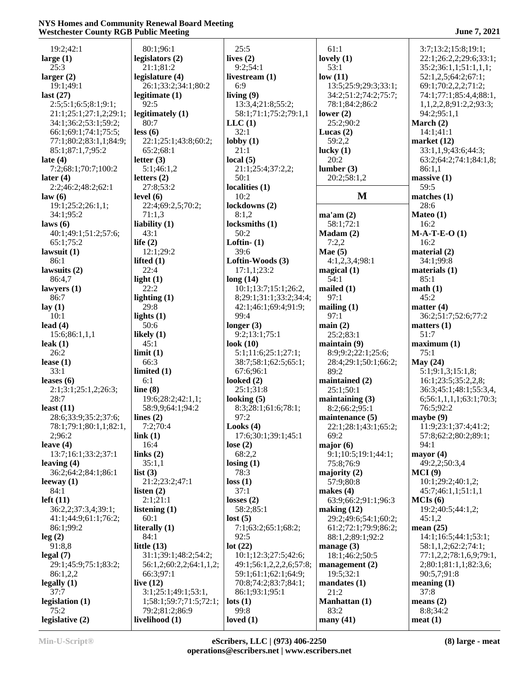| June 7, 2021 |  |
|--------------|--|
|--------------|--|

| 19:2;42:1                   | 80:1;96:1                        | 25:5                          | 61:1                              | 3:7;13:2;15:8;19:1;     |
|-----------------------------|----------------------------------|-------------------------------|-----------------------------------|-------------------------|
| large $(1)$                 | legislators (2)                  | lives $(2)$                   | lovely $(1)$                      | 22:1;26:2,2;29:6;33:1;  |
| 25:3                        | 21:1;81:2                        | 9:2;54:1                      | 53:1                              | 35:2;36:1,1;51:1,1,1;   |
| larger $(2)$                | legislature (4)                  | livestream $(1)$              | low(11)                           | 52:1,2,5;64:2;67:1;     |
| 19:1;49:1                   | 26:1;33:2;34:1;80:2              | 6:9                           | 13:5;25:9;29:3;33:1;              | 69:1;70:2,2,2;71:2;     |
| last $(27)$                 | legitimate $(1)$                 | living $(9)$                  | 34:2;51:2;74:2;75:7;              | 74:1;77:1;85:4,4;88:1,  |
| 2:5;5:1;6:5;8:1;9:1;        | 92:5                             | 13:3,4;21:8;55:2;             | 78:1;84:2;86:2                    | 1,1,2,2,8;91:2,2;93:3;  |
| 21:1;25:1;27:1,2;29:1;      | legitimately (1)                 | 58:1;71:1;75:2;79:1,1         | lower $(2)$                       | 94:2;95:1,1             |
| 34:1;36:2;53:1;59:2;        | 80:7                             | LLC(1)                        | 25:2;90:2                         | March $(2)$             |
| 66:1;69:1;74:1;75:5;        | less (6)                         | 32:1                          | Lucas $(2)$                       | 14:1;41:1               |
| 77:1;80:2;83:1,1;84:9;      | 22:1;25:1;43:8;60:2;             | $\text{lobby}(1)$             | 59:2,2                            | market $(12)$           |
| 85:1;87:1,7;95:2            | 65:2;68:1                        | 21:1                          | lucky $(1)$                       | 33:1,1,9;43:6;44:3;     |
| late $(4)$                  | letter $(3)$                     | local $(5)$                   | 20:2                              | 63:2;64:2;74:1;84:1,8;  |
| 7:2;68:1;70:7;100:2         | 5:1;46:1,2                       | 21:1;25:4;37:2,2;             | lumber(3)                         | 86:1,1                  |
| later $(4)$                 | letters $(2)$                    | 50:1                          | 20:2;58:1,2                       | massive(1)              |
| 2:2;46:2;48:2;62:1          | 27:8;53:2                        | localities (1)                |                                   | 59:5                    |
| law(6)                      | level $(6)$                      | 10:2                          | M                                 | matches (1)             |
| 19:1;25:2;26:1,1;           | 22:4;69:2,5;70:2;                | lockdowns (2)                 |                                   | 28:6                    |
| 34:1;95:2                   | 71:1,3                           | 8:1,2                         | ma'am(2)                          | Mateo (1)               |
| laws $(6)$                  | liability $(1)$                  | locksmiths (1)                | 58:1;72:1                         | 16:2                    |
| 40:1;49:1;51:2;57:6;        | 43:1                             | 50:2                          | Madam(2)                          | $M-A-T-E-O(1)$          |
| 65:1;75:2                   | life $(2)$                       | Loftin $ (1)$                 | 7:2,2                             | 16:2                    |
| lawsuit $(1)$               | 12:1;29:2                        | 39:6                          | Mae $(5)$                         | material $(2)$          |
| 86:1                        | lifted $(1)$                     | Loftin-Woods (3)              | 4:1,2,3,4;98:1                    | 34:1;99:8               |
| lawsuits $(2)$              | 22:4                             | 17:1,1;23:2                   | magical $(1)$                     | materials $(1)$         |
| 86:4,7                      | light $(1)$                      | long(14)                      | 54:1                              | 85:1                    |
| lawyers $(1)$               | 22:2                             | 10:1;13:7;15:1;26:2,          | mailed $(1)$                      | math(1)                 |
| 86:7                        | lighting $(1)$                   | 8;29:1;31:1;33:2;34:4;        | 97:1                              | 45:2                    |
| lay $(1)$                   | 29:8                             | 42:1;46:1;69:4;91:9;<br>99:4  | mailing $(1)$                     | matter $(4)$            |
| 10:1                        | lights $(1)$<br>50:6             |                               | 97:1                              | 36:2;51:7;52:6;77:2     |
| lead $(4)$<br>15:6;86:1,1,1 |                                  | longer $(3)$<br>9:2;13:1;75:1 | main(2)                           | matters $(1)$<br>51:7   |
| leak $(1)$                  | likely $(1)$<br>45:1             | look $(10)$                   | 25:2;83:1                         | maximum <sub>(1)</sub>  |
| 26:2                        | limit(1)                         | 5:1;11:6;25:1;27:1;           | maintain(9)<br>8:9;9:2;22:1;25:6; | 75:1                    |
| lease $(1)$                 | 66:3                             | 38:7;58:1;62:5;65:1;          | 28:4;29:1;50:1;66:2;              | May $(24)$              |
| 33:1                        | limited $(1)$                    | 67:6;96:1                     | 89:2                              | 5:1;9:1,3;15:1,8;       |
| leases $(6)$                | 6:1                              | looked $(2)$                  | maintained (2)                    | 16:1;23:5;35:2,2,8;     |
| 2:1;3:1;25:1,2;26:3;        | line $(8)$                       | 25:1;31:8                     | 25:1;50:1                         | 36:3;45:1;48:1;55:3,4,  |
| 28:7                        | 19:6;28:2;42:1,1;                | looking $(5)$                 | maintaining $(3)$                 | 6;56:1,1,1,1;63:1;70:3; |
| least $(11)$                | 58:9,9;64:1;94:2                 | 8:3;28:1;61:6;78:1;           | 8:2;66:2;95:1                     | 76:5;92:2               |
| 28:6;33:9;35:2;37:6;        | lines $(2)$                      | 97:2                          | maintenance (5)                   | maybe $(9)$             |
| 78:1;79:1;80:1,1;82:1,      | 7:2;70:4                         | Looks $(4)$                   | 22:1;28:1;43:1;65:2;              | 11:9;23:1;37:4;41:2;    |
| 2;96:2                      | link(1)                          | 17:6;30:1;39:1;45:1           | 69:2                              | 57:8;62:2;80:2;89:1;    |
| leave $(4)$                 | 16:4                             | lose $(2)$                    | major(6)                          | 94:1                    |
| 13:7;16:1;33:2;37:1         | links $(2)$                      | 68:2,2                        | 9:1;10:5;19:1;44:1;               | mayor $(4)$             |
| leaving $(4)$               | 35:1,1                           | $\text{losing } (1)$          | 75:8;76:9                         | 49:2,2;50:3,4           |
| 36:2;64:2;84:1;86:1         | list $(3)$                       | 78:3                          | majority $(2)$                    | MCI(9)                  |
| leeway $(1)$                | 21:2;23:2;47:1                   | loss(1)                       | 57:9;80:8                         | 10:1;29:2;40:1,2;       |
| 84:1                        | listen $(2)$                     | 37:1                          | makes $(4)$                       | 45:7;46:1,1;51:1,1      |
| left $(11)$                 | 2:1;21:1                         | losses $(2)$                  | 63:9;66:2;91:1;96:3               | MCIs(6)                 |
| 36:2,2;37:3,4;39:1;         | listening $(1)$                  | 58:2;85:1                     | making $(12)$                     | 19:2;40:5;44:1,2;       |
| 41:1;44:9;61:1;76:2;        | 60:1                             | lost(5)                       | 29:2;49:6;54:1;60:2;              | 45:1,2                  |
| 86:1;99:2                   | literally $(1)$                  | 7:1;63:2;65:1;68:2;           | 61:2;72:1;79:9;86:2;              | mean $(25)$             |
| leg(2)                      | 84:1                             | 92:5                          | 88:1,2;89:1;92:2                  | 14:1;16:5;44:1;53:1;    |
| 91:8,8                      | little $(13)$                    | lot(22)                       | manage $(3)$                      | 58:1,1,2;62:2;74:1;     |
| legal(7)                    | 31:1;39:1;48:2;54:2;             | 10:1;12:3;27:5;42:6;          | 18:1;46:2;50:5                    | 77:1,2,2;78:1,6,9;79:1, |
| 29:1;45:9;75:1;83:2;        | 56:1,2;60:2,2;64:1,1,2;          | 49:1;56:1,2,2,2,6;57:8;       | management $(2)$                  | 2;80:1;81:1,1;82:3,6;   |
| 86:1,2,2                    | 66:3;97:1                        | 59:1;61:1;62:1;64:9;          | 19:5;32:1                         | 90:5,7;91:8             |
| legally $(1)$               | live $(12)$                      | 70:8;74:2;83:7;84:1;          | mandates $(1)$                    | meaning(1)              |
| 37:7                        | 3:1;25:1;49:1;53:1,              | 86:1;93:1;95:1                | 21:2                              | 37:8                    |
| legislation $(1)$<br>75:2   | 1;58:1;59:7;71:5;72:1;           | $\text{lots} (1)$<br>99:8     | Manhattan (1)<br>83:2             | means $(2)$<br>8:8;34:2 |
| legislative (2)             | 79:2;81:2;86:9<br>livelihood (1) | loved $(1)$                   |                                   | meat(1)                 |
|                             |                                  |                               | many $(41)$                       |                         |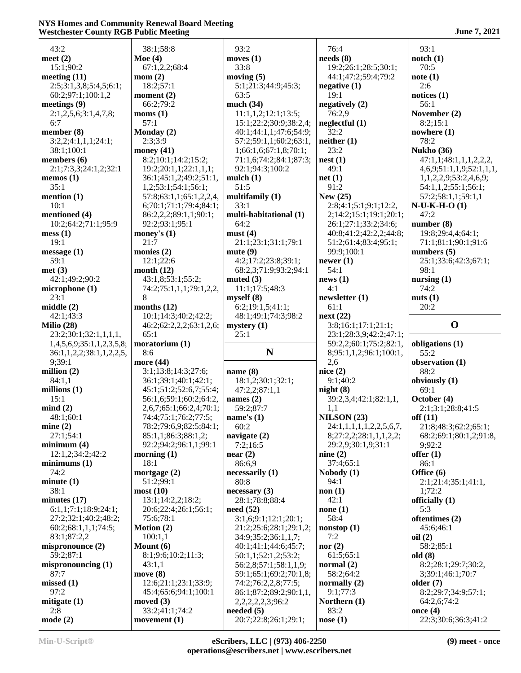| 43:2                      | 38:1;58:8                        | 93:2                               | 76:4                    | 93:1                              |
|---------------------------|----------------------------------|------------------------------------|-------------------------|-----------------------------------|
| meet $(2)$                | Moe $(4)$                        | moves $(1)$                        | needs(8)                | notch(1)                          |
| 15:1;90:2                 | 67:1,2,2;68:4                    | 33:8                               | 19:2;26:1;28:5;30:1;    | 70:5                              |
| meeting $(11)$            | mom(2)                           | moving $(5)$                       | 44:1;47:2;59:4;79:2     | note(1)                           |
| 2:5;3:1,3,8;5:4,5;6:1;    | 18:2;57:1                        | 5:1;21:3;44:9;45:3;                | negative $(1)$          | 2:6                               |
| 60:2;97:1;100:1,2         | moment (2)                       | 63:5                               | 19:1                    | notices $(1)$                     |
| meetings $(9)$            | 66:2;79:2                        | much $(34)$                        | negatively $(2)$        | 56:1                              |
| 2:1,2,5,6;3:1,4,7,8;      | moms(1)                          | 11:1,1,2;12:1;13:5;                | 76:2,9                  | November (2)                      |
| 6:7                       | 57:1                             | 15:1;22:2;30:9;38:2,4;             | neglectful (1)          | 8:2;15:1                          |
| member $(8)$              | Monday (2)                       | 40:1;44:1,1;47:6;54:9;             | 32:2                    | nowhere $(1)$                     |
| 3:2,2;4:1,1,1;24:1;       | 2:3;3:9                          | 57:2;59:1,1;60:2;63:1,             | neither(1)              | 78:2                              |
|                           |                                  |                                    | 23:2                    | <b>Nukho</b> (36)                 |
| 38:1;100:1                | money $(41)$                     | 1;66:1,6;67:1,8;70:1;              |                         |                                   |
| members (6)               | 8:2;10:1;14:2;15:2;              | 71:1,6;74:2;84:1;87:3;             | nest(1)                 | 47:1,1;48:1,1,1,2,2,2,            |
| 2:1;7:3,3;24:1,2;32:1     | 19:2;20:1,1;22:1,1,1;            | 92:1;94:3;100:2                    | 49:1                    | 4,6,9;51:1,1,9;52:1,1,1,          |
| memos $(1)$               | 36:1;45:1,2;49:2;51:1,           | mulch $(1)$                        | net(1)                  | 1,1,2,2,9;53:2,4,6,9;             |
| 35:1                      | 1,2;53:1;54:1;56:1;              | 51:5                               | 91:2                    | 54:1,1,2;55:1;56:1;               |
| mention $(1)$             | 57:8;63:1,1;65:1,2,2,4,          | multifamily (1)                    | New $(25)$              | 57:2;58:1,1;59:1,1                |
| 10:1                      | 6;70:1;71:1;79:4;84:1;           | 33:1                               | 2:8;4:1;5:1;9:1;12:2,   | $N-U-K-H-O(1)$                    |
| mentioned (4)             | 86:2,2,2;89:1,1;90:1;            | multi-habitational (1)             | 2;14:2;15:1;19:1;20:1;  | 47:2                              |
| 10:2;64:2;71:1;95:9       | 92:2;93:1;95:1                   | 64:2                               | 26:1;27:1;33:2;34:6;    | number(8)                         |
| mess(1)                   | money's $(1)$                    | must(4)                            | 40:8;41:2;42:2,2;44:8;  | 19:8;29:4,4;64:1;                 |
| 19:1                      | 21:7                             | 21:1;23:1;31:1;79:1                | 51:2;61:4;83:4;95:1;    | 71:1;81:1;90:1;91:6               |
| message(1)                | monies $(2)$                     | mute(9)                            | 99:9;100:1              | numbers $(5)$                     |
| 59:1                      | 12:1;22:6                        | 4:2;17:2;23:8;39:1;                | newer $(1)$             | 25:1;33:6;42:3;67:1;              |
| met(3)                    | month $(12)$                     | 68:2,3;71:9;93:2;94:1              | 54:1                    | 98:1                              |
| 42:1;49:2;90:2            | 43:1,8;53:1;55:2;                | muted $(3)$                        | news(1)                 | nursing $(1)$                     |
| microphone (1)            | 74:2;75:1,1,1;79:1,2,2,          | 11:1;17:5;48:3                     | 4:1                     | 74:2                              |
| 23:1                      | 8                                | myself(8)                          | newsletter(1)           | nuts $(1)$                        |
| middle $(2)$              | months $(12)$                    | 6:2;19:1,5;41:1;                   | 61:1                    | 20:2                              |
| 42:1;43:3                 | 10:1;14:3;40:2;42:2;             | 48:1;49:1;74:3;98:2                | next(22)                |                                   |
| Milio $(28)$              | 46:2;62:2,2,2;63:1,2,6;          | mystery $(1)$                      | 3:8;16:1;17:1;21:1;     | $\mathbf 0$                       |
|                           |                                  |                                    |                         |                                   |
|                           |                                  |                                    |                         |                                   |
| 23:2;30:1;32:1,1,1,1,     | 65:1                             | 25:1                               | 23:1;28:3,9;42:2;47:1;  |                                   |
| 1,4,5,6,9;35:1,1,2,3,5,8; | moratorium (1)                   |                                    | 59:2,2;60:1;75:2;82:1,  | obligations (1)                   |
| 36:1,1,2,2;38:1,1,2,2,5,  | 8:6                              | N                                  | 8;95:1,1,2;96:1;100:1,  | 55:2                              |
| 9;39:1                    | more (44)                        |                                    | 2,6                     | observation (1)                   |
| million $(2)$             | 3:1;13:8;14:3;27:6;              | name $(8)$                         | nice $(2)$              | 88:2                              |
| 84:1,1                    | 36:1;39:1;40:1;42:1;             | 18:1,2;30:1;32:1;                  | 9:1;40:2                | obviously (1)                     |
| millions $(1)$            | 45:1;51:2;52:6,7;55:4;           | 47:2,2;87:1,1                      | night(8)                | 69:1                              |
| 15:1                      | 56:1,6;59:1;60:2;64:2,           | names $(2)$                        | 39:2,3,4;42:1;82:1,1,   | October (4)                       |
| mind(2)                   | 2,6,7;65:1;66:2,4;70:1;          | 59:2;87:7                          | 1,1                     | 2:1;3:1;28:8;41:5                 |
| 48:1;60:1                 | 74:4;75:1;76:2;77:5;             | name's $(1)$                       | NILSON(23)              | off(11)                           |
| mine(2)                   | 78:2;79:6,9;82:5;84:1;           | 60:2                               | 24:1,1,1,1,1,2,2,5,6,7, | 21:8;48:3;62:2;65:1;              |
| 27:1;54:1                 | 85:1,1;86:3;88:1,2;              | navigate $(2)$                     | 8;27:2,2;28:1,1,1,2,2;  | 68:2;69:1;80:1,2;91:8,            |
| minimum(4)                | 92:2;94:2;96:1,1;99:1            | 7:2;16:5                           | 29:2,9;30:1,9;31:1      | 9;92:2                            |
| 12:1,2;34:2;42:2          | morning $(1)$                    | near(2)                            | nine $(2)$              | offer $(1)$                       |
| minimums(1)               | 18:1                             | 86:6,9                             | 37:4;65:1               | 86:1                              |
| 74:2                      | mortgage $(2)$                   |                                    |                         | Office $(6)$                      |
| minute(1)                 | 51:2;99:1                        | necessarily (1)<br>80:8            | Nobody (1)<br>94:1      |                                   |
| 38:1                      |                                  |                                    |                         | 2:1;21:4;35:1;41:1,               |
|                           | most(10)                         | necessary(3)                       | non(1)                  | 1;72:2                            |
| minutes $(17)$            | 13:1;14:2,2;18:2;                | 28:1;78:8;88:4                     | 42:1                    | officially $(1)$                  |
| 6:1,1;7:1;18:9;24:1;      | 20:6;22:4;26:1;56:1;             | need(52)                           | none(1)                 | 5:3                               |
| 27:2;32:1;40:2;48:2;      | 75:6;78:1                        | 3:1,6;9:1;12:1;20:1;               | 58:4                    | oftentimes (2)                    |
| 60:2;68:1,1,1;74:5;       | Motion $(2)$                     | 21:2;25:6;28:1;29:1,2;             | nonstop(1)              | 45:6:46:1                         |
| 83:1;87:2,2               | 100:1,1                          | 34:9;35:2;36:1,1,7;                | 7:2                     | oil(2)                            |
| mispronounce (2)          | Mount $(6)$                      | 40:1;41:1;44:6;45:7;               | nor $(2)$               | 58:2;85:1                         |
| 59:2;87:1                 | 8:1;9:6;10:2;11:3;               | 50:1,1;52:1,2;53:2;                | 61:5;65:1               | old(8)                            |
| mispronouncing (1)        | 43:1,1                           | 56:2,8;57:1;58:1,1,9;              | normal $(2)$            | 8:2;28:1;29:7;30:2,               |
| 87:7                      | move $(8)$                       | 59:1;65:1;69:2;70:1,8;             | 58:2;64:2               | 3;39:1;46:1;70:7                  |
| missed(1)                 | 12:6;21:1;23:1;33:9;             | 74:2;76:2,2,8;77:5;                | normally $(2)$          | older $(7)$                       |
| 97:2                      | 45:4;65:6;94:1;100:1             | 86:1;87:2;89:2;90:1,1,             | 9:1;77:3                | 8:2;29:7;34:9;57:1;               |
| mitigate $(1)$            | moved $(3)$                      | 2, 2, 2, 2, 2, 3; 96: 2            | Northern (1)            | 64:2,6;74:2                       |
| 2:8<br>mode(2)            | 33:2;41:1;74:2<br>movement $(1)$ | needed (5)<br>20:7;22:8;26:1;29:1; | 83:2<br>nose(1)         | once $(4)$<br>22:3;30:6;36:3;41:2 |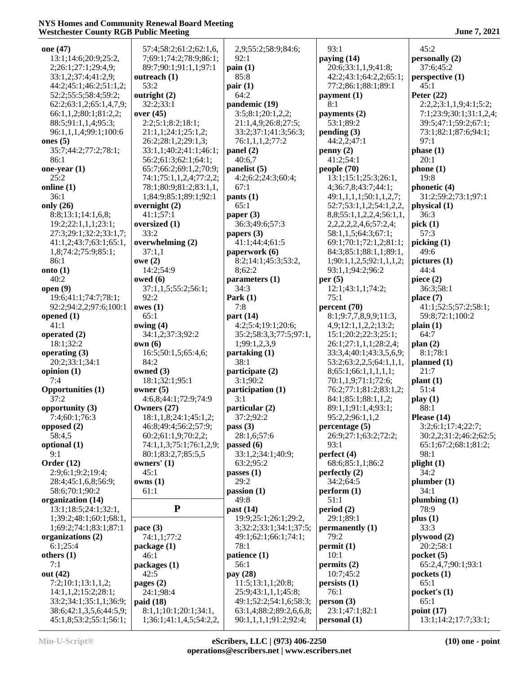| one (47)                 | 57:4;58:2;61:2;62:1,6,  | 2,9;55:2;58:9;84:6;      | 93:1                           | 45:2                    |
|--------------------------|-------------------------|--------------------------|--------------------------------|-------------------------|
| 13:1;14:6;20:9;25:2,     | 7;69:1;74:2;78:9;86:1;  | 92:1                     | paying (14)                    | personally (2)          |
| 2;26:1;27:1;29:4,9;      | 89:7;90:1;91:1,1;97:1   | $\operatorname{pain}(1)$ | 20:6;33:1,1,9;41:8;            | 37:6;45:2               |
| 33:1,2;37:4;41:2,9;      | outreach (1)            | 85:8                     | 42:2;43:1;64:2,2;65:1;         | perspective (1)         |
| 44:2;45:1;46:2;51:1,2;   | 53:2                    | pair(1)                  | 77:2;86:1;88:1;89:1            | 45:1                    |
| 52:2;55:5;58:4;59:2;     | outright (2)            | 64:2                     | payment (1)                    | Peter $(22)$            |
| 62:2;63:1,2;65:1,4,7,9;  | 32:2;33:1               | pandemic (19)            | 8:1                            | 2:2,2;3:1,1,9;4:1;5:2;  |
|                          |                         |                          |                                |                         |
| 66:1,1,2;80:1;81:2,2;    | over $(45)$             | 3:5;8:1;20:1,2,2;        | payments (2)                   | 7:1;23:9;30:1;31:1,2,4; |
| 88:5;91:1,1,4;95:3;      | 2:2;5:1;8:2;18:1;       | 21:1,4,9;26:8;27:5;      | 53:1;89:2                      | 39:5;47:1;59:2;67:1;    |
| 96:1,1,1,4;99:1;100:6    | 21:1,1;24:1;25:1,2;     | 33:2;37:1;41:3;56:3;     | pending(3)                     | 73:1;82:1;87:6;94:1;    |
| ones $(5)$               | 26:2;28:1,2;29:1,3;     | 76:1,1,1,2;77:2          | 44:2,2;47:1                    | 97:1                    |
| 35:7;44:2;77:2;78:1;     | 33:1,1;40:2;41:1;46:1;  | panel $(2)$              | penny(2)                       | phase(1)                |
| 86:1                     | 56:2;61:3;62:1;64:1;    | 40:6,7                   | 41:2;54:1                      | 20:1                    |
| one-year $(1)$           | 65:7;66:2;69:1,2;70:9;  | panelist $(5)$           | people $(70)$                  | phone(1)                |
| 25:2                     | 74:1;75:1,1,2,4;77:2,2; | 4:2;6:2;24:3;60:4;       | 13:1;15:1;25:3;26:1,           | 19:8                    |
| online (1)               | 78:1;80:9;81:2;83:1,1,  | 67:1                     | 4;36:7,8;43:7;44:1;            | phonetic $(4)$          |
| 36:1                     | 1;84:9;85:1;89:1;92:1   | pants(1)                 | 49:1,1,1,1;50:1,1,2,7;         | 31:2;59:2;73:1;97:1     |
| only (26)                | overnight $(2)$         | 65:1                     | 52:7;53:1,1,2;54:1,2,2,        | physical (1)            |
| 8:8;13:1;14:1,6,8;       | 41:1;57:1               | paper $(3)$              | 8,8;55:1,1,2,2,4;56:1,1,       | 36:3                    |
| 19:2;22:1,1,1;23:1;      | oversized (1)           | 36:3;49:6;57:3           | 2, 2, 2, 2, 2, 4, 6; 57: 2, 4; | pick(1)                 |
| 27:3;29:1;32:2;33:1,7;   | 33:2                    | papers $(3)$             | 58:1,1,5;64:3;67:1;            | 57:3                    |
| 41:1,2;43:7;63:1;65:1,   | overwhelming (2)        | 41:1;44:4;61:5           | 69:1;70:1;72:1,2;81:1;         | picking (1)             |
| 1,8;74:2;75:9;85:1;      | 37:1,1                  | paperwork (6)            | 84:3;85:1;88:1,1;89:1,         | 49:6                    |
|                          |                         |                          |                                |                         |
| 86:1                     | owe(2)                  | 8:2;14:1;45:3;53:2,      | 1;90:1,1,2,5;92:1,1,1,2;       | pictures $(1)$          |
| onto $(1)$               | 14:2;54:9               | 8;62:2                   | 93:1,1;94:2;96:2               | 44:4                    |
| 40:2                     | owed $(6)$              | parameters (1)           | per $(5)$                      | piece $(2)$             |
| open $(9)$               | 37:1,1,5;55:2;56:1;     | 34:3                     | 12:1;43:1,1;74:2;              | 36:3;58:1               |
| 19:6;41:1;74:7;78:1;     | 92:2                    | Park $(1)$               | 75:1                           | place $(7)$             |
| 92:2;94:2,2;97:6;100:1   | owes(1)                 | 7:8                      | percent (70)                   | 41:1;52:5;57:2;58:1;    |
| opened $(1)$             | 65:1                    | part $(14)$              | 8:1;9:7,7,8,9,9;11:3,          | 59:8;72:1;100:2         |
| 41:1                     | owing $(4)$             | 4:2;5:4;19:1;20:6;       | 4,9;12:1,1,2,2;13:2;           | plain(1)                |
| operated (2)             | 34:1,2;37:3;92:2        | 35:2;58:3,3;77:5;97:1,   | 15:1;20:2;22:3;25:1;           | 64:7                    |
| 18:1;32:2                | own(6)                  | 1;99:1,2,3,9             | 26:1;27:1,1,1;28:2,4;          | plan(2)                 |
| operating $(3)$          | 16:5;50:1,5;65:4,6;     | partaking (1)            | 33:3,4;40:1;43:3,5,6,9;        | 8:1;78:1                |
| 20:2;33:1;34:1           | 84:2                    | 38:1                     | 53:2;63:2,2,5;64:1,1,1,        | planned $(1)$           |
| opinion $(1)$            | owned $(3)$             | participate (2)          | 8;65:1;66:1,1,1,1,1;           | 21:7                    |
| 7:4                      | 18:1;32:1;95:1          | 3:1;90:2                 | 70:1,1,9;71:1;72:6;            | plant(1)                |
| <b>Opportunities (1)</b> | owner $(5)$             | participation (1)        | 76:2;77:1;81:2;83:1,2;         | 51:4                    |
| 37:2                     | 4:6,8;44:1;72:9;74:9    | 3:1                      | 84:1;85:1;88:1,1,2;            | play(1)                 |
| opportunity (3)          | Owners $(27)$           | particular (2)           | 89:1,1;91:1,4;93:1;            | 88:1                    |
| 7:4;60:1;76:3            | 18:1,1,8;24:1;45:1,2;   | 37:2;92:2                | 95:2,2;96:1,1,2                | Please $(14)$           |
|                          |                         |                          |                                |                         |
| opposed $(2)$            | 46:8;49:4;56:2;57:9;    | pass $(3)$               | percentage(5)                  | 3:2;6:1;17:4;22:7;      |
| 58:4,5                   | 60:2;61:1,9;70:2,2;     | 28:1,6;57:6              | 26:9;27:1;63:2;72:2;           | 30:2,2;31:2;46:2;62:5;  |
| optional (1)             | 74:1,1,3;75:1;76:1,2,9; | passed $(6)$             | 93:1                           | 65:1;67:2;68:1;81:2;    |
| 9:1                      | 80:1;83:2,7;85:5,5      | 33:1,2;34:1;40:9;        | perfect $(4)$                  | 98:1                    |
| Order $(12)$             | owners' (1)             | 63:2;95:2                | 68:6;85:1,1;86:2               | plight(1)               |
| 2:9;6:1;9:2;19:4;        | 45:1                    | passes $(1)$             | perfectly (2)                  | 34:2                    |
| 28:4;45:1,6,8;56:9;      | owns(1)                 | 29:2                     | 34:2;64:5                      | plumber(1)              |
| 58:6;70:1;90:2           | 61:1                    | passion(1)               | perform (1)                    | 34:1                    |
| organization (14)        |                         | 49:8                     | 51:1                           | plumbing $(1)$          |
| 13:1;18:5;24:1;32:1,     | ${\bf P}$               | past $(14)$              | period(2)                      | 78:9                    |
| 1;39:2;48:1;60:1;68:1,   |                         | 19:9;25:1;26:1;29:2,     | 29:1;89:1                      | plus(1)                 |
| 1;69:2;74:1;83:1;87:1    | pace $(3)$              | 3;32:2;33:1;34:1;37:5;   | permanently (1)                | 33:3                    |
| organizations (2)        | 74:1,1;77:2             | 49:1;62:1;66:1;74:1;     | 79:2                           | plywood(2)              |
| 6:1;25:4                 | package (1)             | 78:1                     | permit(1)                      | 20:2;58:1               |
| others (1)               | 46:1                    | patience (1)             | 10:1                           | pocket(5)               |
| 7:1                      |                         | 56:1                     |                                | 65:2,4,7;90:1;93:1      |
|                          | packages (1)            |                          | permits(2)                     |                         |
| out (42)                 | 42:5                    | pay (28)                 | 10:7;45:2                      | pockets(1)              |
| 7:2;10:1;13:1,1,2;       | pages $(2)$             | 11:5;13:1,1;20:8;        | persists(1)                    | 65:1                    |
| 14:1,1,2;15:2;28:1;      | 24:1;98:4               | 25:9;43:1,1,1;45:8;      | 76:1                           | pocket's(1)             |
| 33:2;34:1;35:1,1;36:9;   | paid (18)               | 49:1;52:2;54:1,6;58:3;   | person(3)                      | 65:1                    |
| 38:6;42:1,3,5,6;44:5,9;  | 8:1,1;10:1;20:1;34:1,   | 63:1,4;88:2;89:2,6,6,8;  | 23:1;47:1;82:1                 | point $(17)$            |
| 45:1,8;53:2;55:1;56:1;   | 1;36:1;41:1,4,5;54:2,2, | 90:1,1,1,1,91:2,92:4;    | personal (1)                   | 13:1;14:2;17:7;33:1;    |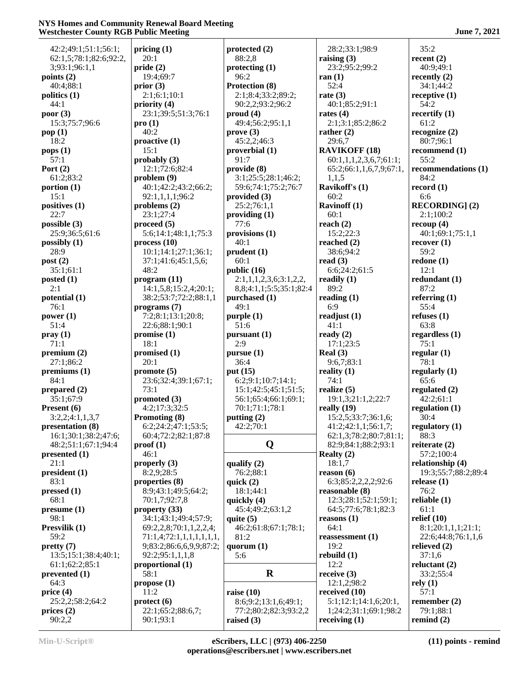42:2;49:1;51:1;56:1; 62:1,5;78:1;82:6;92:2, 3;93:1;96:1,1 **points (2)** 40:4;88:1 **politics (1)** 44:1 **poor (3)** 15:3;75:7;96:6 **pop (1)** 18:2 **pops (1)** 57:1 **Port (2)** 61:2;83:2 **portion (1)** 15:1 **positives (1)** 22:7 **possible (3)** 25:9;36:5;61:6 **possibly (1)** 28:9 **post (2)** 35:1;61:1 **posted (1)** 2:1 **potential (1)** 76:1 **power (1)** 51:4 **pray (1)** 71:1 **premium (2)** 27:1;86:2 **premiums (1)** 84:1 **prepared (2)** 35:1;67:9 **Present (6)** 3:2,2;4:1,1,3,7 **presentation (8)** 16:1;30:1;38:2;47:6; 48:2;51:1;67:1;94:4 **presented (1)** 21:1 **president (1)** 83:1 **pressed (1)** 68:1 **presume (1)** 98:1 **Presvilik (1)** 59:2 **pretty (7)** 13:5;15:1;38:4;40:1; 61:1;62:2;85:1 **prevented (1)** 64:3 **price (4)** 25:2,2;58:2;64:2 **prices (2)** 90:2,2

**pricing (1)** 20:1 **pride (2)** 19:4;69:7 **prior (3)** 2:1;6:1;10:1 **priority (4)** 23:1;39:5;51:3;76:1 **pro (1)** 40:2 **proactive (1)** 15:1 **probably (3)** 12:1;72:6;82:4 **problem (9)** 40:1;42:2;43:2;66:2; 92:1,1,1,1;96:2 **problems (2)** 23:1;27:4 **proceed (5)** 5:6;14:1;48:1,1;75:3 **process (10)** 10:1;14:1;27:1;36:1; 37:1;41:6;45:1,5,6; 48:2 **program (11)** 14:1,5,8;15:2,4;20:1; 38:2;53:7;72:2;88:1,1 **programs (7)** 7:2;8:1;13:1;20:8; 22:6;88:1;90:1 **promise (1)** 18:1 **promised (1)** 20:1 **promote (5)** 23:6;32:4;39:1;67:1; 73:1 **promoted (3)** 4:2;17:3;32:5 **Promoting (8)** 6:2;24:2;47:1;53:5; 60:4;72:2;82:1;87:8 **proof (1)** 46:1 **properly (3)** 8:2,9;28:5 **properties (8)** 8:9;43:1;49:5;64:2; 70:1,7;92:7,8 **property (33)** 34:1;43:1;49:4;57:9; 69:2,2,8;70:1,1,2,2,4; 71:1,4;72:1,1,1,1,1,1,1, 9;83:2;86:6,6,9,9;87:2; 92:2;95:1,1,1,8 **proportional (1)** 58:1 **propose (1)** 11:2 **protect (6)** 22:1;65:2;88:6,7; 90:1;93:1

**protected (2)** 88:2,8 **protecting (1)** 96:2 **Protection (8)** 2:1;8:4;33:2;89:2; 90:2,2;93:2;96:2 **proud (4)** 49:4;56:2;95:1,1 **prove (3)** 45:2,2;46:3 **proverbial (1)** 91:7 **provide (8)** 3:1;25:5;28:1;46:2; 59:6;74:1;75:2;76:7 **provided (3)** 25:2;76:1,1 **providing (1)** 77:6 **provisions (1)** 40:1 **prudent (1)** 60:1 **public (16)** 2:1,1,1,2,3,6;3:1,2,2, 8,8;4:1,1;5:5;35:1;82:4 **purchased (1)** 49:1 **purple (1)** 51:6 **pursuant (1)**  $2.9$ **pursue (1)** 36:4 **put (15)** 6:2;9:1;10:7;14:1; 15:1;42:5;45:1;51:5; 56:1;65:4;66:1;69:1; 70:1;71:1;78:1 **putting (2)** 42:2;70:1 **Q qualify (2)** 76:2;88:1 **quick (2)** 18:1;44:1 **quickly (4)** 45:4;49:2;63:1,2 **quite (5)** 46:2;61:8;67:1;78:1; 81:2 **quorum (1)** 5:6 **raise (10)** 8:6;9:2;13:1,6;49:1; 77:2;80:2;82:3;93:2,2 **raised (3)**

**R receive (3)** 28:2;33:1;98:9 **raising (3)** 23:2;95:2;99:2 **ran (1)** 52:4 **rate (3)** 40:1;85:2;91:1 **rates (4)** 2:1;3:1;85:2;86:2 **rather (2)** 29:6,7 **RAVIKOFF (18)** 60:1,1,1,2,3,6,7;61:1; 65:2;66:1,1,6,7,9;67:1, 1,1,5 **Ravikoff's (1)** 60:2 **Ravinoff (1)** 60:1 **reach (2)** 15:2;22:3 **reached (2)** 38:6;94:2 **read (3)** 6:6;24:2;61:5 **readily (1)** 89:2 **reading (1)** 6:9 **readjust (1)** 41:1 **ready (2)** 17:1;23:5 **Real (3)** 9:6,7;83:1 **reality (1)** 74:1 **realize (5)** 19:1,3;21:1,2;22:7 **really (19)** 15:2,5;33:7;36:1,6; 41:2;42:1,1;56:1,7; 62:1,3;78:2;80:7;81:1; 82:9;84:1;88:2;93:1 **Realty (2)** 18:1,7 **reason (6)** 6:3;85:2,2,2,2;92:6 **reasonable (8)** 12:3;28:1;52:1;59:1; 64:5;77:6;78:1;82:3 **reasons (1)** 64:1 **reassessment (1)** 19:2 **rebuild (1)** 12:2 12:1,2;98:2 **received (10)** 5:1;12:1;14:1,6;20:1, 1;24:2;31:1;69:1;98:2 **receiving (1)**

35:2

**recent (2)** 40:9;49:1 **recently (2)** 34:1;44:2 **receptive (1)** 54:2 **recertify (1)** 61:2 **recognize (2)** 80:7;96:1 **recommend (1)** 55:2 **recommendations (1)** 84:2 **record (1)** 6:6 **RECORDING] (2)** 2:1;100:2 **recoup (4)** 40:1;69:1;75:1,1 **recover (1)** 59:2 **redone (1)** 12:1 **redundant (1)** 87:2 **referring (1)** 55:4 **refuses (1)** 63:8 **regardless (1)** 75:1 **regular (1)** 78:1 **regularly (1)** 65:6 **regulated (2)** 42:2;61:1 **regulation (1)** 30:4 **regulatory (1)** 88:3 **reiterate (2)** 57:2;100:4 **relationship (4)** 19:3;55:7;88:2;89:4 **release (1)** 76:2 **reliable (1)** 61:1 **relief (10)** 8:1;20:1,1,1;21:1; 22:6;44:8;76:1,1,6 **relieved (2)** 37:1,6 **reluctant (2)** 33:2;55:4 **rely (1)** 57:1 **remember (2)** 79:1;88:1 **remind (2)**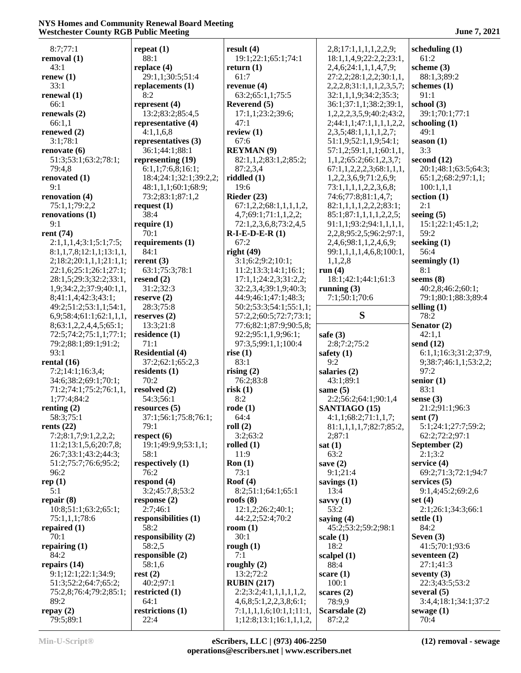| 8:7;77:1                             | repeat $(1)$                           | result $(4)$                               | 2,8;17:1,1,1,1,2,2,9;                                       | scheduling $(1)$              |
|--------------------------------------|----------------------------------------|--------------------------------------------|-------------------------------------------------------------|-------------------------------|
| removal (1)                          | 88:1                                   | 19:1;22:1;65:1;74:1                        | 18:1,1,4,9;22:2,2;23:1,                                     | 61:2                          |
| 43:1                                 | replace $(4)$                          | return $(1)$                               | 2,4,6;24:1,1,1,4,7,9;                                       | scheme (3)                    |
| renew (1)                            | 29:1,1;30:5;51:4                       | 61:7                                       | 27:2,2;28:1,2,2;30:1,1,                                     | 88:1,3;89:2                   |
| 33:1                                 | replacements (1)                       | revenue $(4)$                              | 2,2,2,8;31:1,1,1,2,3,5,7;                                   | schemes $(1)$                 |
| renewal (1)                          | 8:2                                    | 63:2;65:1,1;75:5                           | 32:1,1,1,9;34:2;35:3;                                       | 91:1                          |
| 66:1                                 | represent (4)                          | Reverend (5)                               | 36:1;37:1,1;38:2;39:1,                                      | school $(3)$                  |
| renewals (2)                         | 13:2;83:2;85:4,5                       | 17:1,1;23:2;39:6;                          | 1,2,2,2,3,5,9;40:2;43:2,                                    | 39:1;70:1;77:1                |
| 66:1,1                               | representative (4)                     | 47:1                                       | 2;44:1,1;47:1,1,1,1,2,2,                                    | schooling $(1)$               |
| renewed (2)                          | 4:1,1,6,8                              | review $(1)$                               | 2,3,5;48:1,1,1,1,2,7;                                       | 49:1                          |
| 3:1;78:1                             | representatives (3)                    | 67:6                                       | 51:1,9;52:1,1,9;54:1;                                       | season $(1)$                  |
| renovate (6)<br>51:3;53:1;63:2;78:1; | 36:1;44:1;88:1                         | <b>REYMAN</b> (9)<br>82:1,1,2;83:1,2;85:2; | 57:1,2;59:1,1,1;60:1,1,                                     | 3:3<br>second $(12)$          |
| 79:4,8                               | representing (19)<br>6:1,1;7:6,8;16:1; | 87:2,3,4                                   | 1, 1, 2; 65: 2; 66: 1, 2, 3, 7;<br>67:1,1,2,2,2,3;68:1,1,1, | 20:1;48:1;63:5;64:3;          |
| renovated (1)                        | 18:4;24:1;32:1;39:2,2;                 | riddled $(1)$                              | 1,2,2,3,6,9;71:2,6,9;                                       | 65:1,2;68:2;97:1,1;           |
| 9:1                                  | 48:1,1,1;60:1;68:9;                    | 19:6                                       | 73:1,1,1,1,2,2,3,6,8;                                       | 100:1,1,1                     |
| renovation (4)                       | 73:2;83:1;87:1,2                       | Rieder $(23)$                              | 74:6;77:8;81:1,4,7;                                         | section $(1)$                 |
| 75:1,1;79:2,2                        | request $(1)$                          | 67:1,2,2;68:1,1,1,1,2,                     | 82:1,1,1,1,2,2,2,33:1;                                      | 2:1                           |
| renovations (1)                      | 38:4                                   | 4,7;69:1;71:1,1,2,2;                       | 85:1;87:1,1,1,1,2,2,5;                                      | seeing $(5)$                  |
| 9:1                                  | require $(1)$                          | 72:1,2,3,6,8;73:2,4,5                      | 91:1,1;93:2;94:1,1,1,1,                                     | 15:1;22:1;45:1,2;             |
| rent (74)                            | 70:1                                   | $R-I-E-D-E-R(1)$                           | 2,2,8;95:2,5;96:2;97:1,                                     | 59:2                          |
| 2:1,1,1,4;3:1;5:1;7:5;               | requirements (1)                       | 67:2                                       | 2,4,6;98:1,1,2,4,6,9;                                       | seeking $(1)$                 |
| 8:1,1,7,8;12:1,1;13:1,1,             | 84:1                                   | right $(49)$                               | 99:1,1,1,1,4,6,8;100:1,                                     | 56:4                          |
| 2;18:2;20:1,1,1;21:1,1;              | rerent $(3)$                           | 3:1;6:2;9:2;10:1;                          | 1,1,2,8                                                     | seemingly $(1)$               |
| 22:1,6;25:1;26:1;27:1;               | 63:1;75:3;78:1                         | 11:2;13:3;14:1;16:1;                       | run $(4)$                                                   | 8:1                           |
| 28:1,5;29:3;32:2;33:1,               | resend $(2)$                           | 17:1,1;24:2,3;31:2,2;                      | 18:1;42:1;44:1;61:3                                         | seems $(8)$                   |
| 1,9;34:2,2;37:9;40:1,1,              | 31:2;32:3                              | 32:2,3,4;39:1,9;40:3;                      | running $(3)$                                               | 40:2,8;46:2;60:1;             |
| 8;41:1,4;42:3;43:1;                  | reserve $(2)$                          | 44:9;46:1;47:1;48:3;                       | 7:1;50:1;70:6                                               | 79:1;80:1;88:3;89:4           |
| 49:2;51:2;53:1,1;54:1,               | 28:3;75:8                              | 50:2;53:3;54:1;55:1,1;                     |                                                             | selling $(1)$                 |
| 6,9;58:4;61:1;62:1,1,1,              | reserves $(2)$                         | 57:2,2;60:5;72:7;73:1;                     | S                                                           | 78:2                          |
| 8;63:1,2,2,4,4,5;65:1;               | 13:3;21:8                              | 77:6;82:1;87:9;90:5,8;                     |                                                             | Senator (2)                   |
| 72:5;74:2;75:1,1;77:1;               | residence $(1)$                        | 92:2;95:1,1,9;96:1;                        | safe $(3)$                                                  | 42:1,1                        |
| 79:2;88:1;89:1;91:2;                 | 71:1                                   | 97:3,5;99:1,1;100:4                        | 2:8;7:2;75:2                                                | send $(12)$                   |
| 93:1                                 | <b>Residential (4)</b>                 | rise $(1)$                                 | safety $(1)$                                                | 6:1,1;16:3;31:2;37:9,         |
| rental (16)<br>7:2;14:1;16:3,4;      | 37:2;62:1;65:2,3                       | 83:1                                       | 9:2                                                         | 9;38:7;46:1,1;53:2,2;<br>97:2 |
| 34:6;38:2;69:1;70:1;                 | residents $(1)$<br>70:2                | rising $(2)$<br>76:2;83:8                  | salaries $(2)$<br>43:1;89:1                                 | senior $(1)$                  |
| 71:2;74:1;75:2;76:1,1,               | resolved (2)                           | risk(1)                                    | same $(5)$                                                  | 83:1                          |
| 1;77:4;84:2                          | 54:3;56:1                              | 8:2                                        | 2:2;56:2;64:1;90:1,4                                        | sense $(3)$                   |
| renting $(2)$                        | resources (5)                          | $\text{rode}(1)$                           | SANTIAGO (15)                                               | 21:2;91:1;96:3                |
| 58:3;75:1                            | 37:1;56:1;75:8;76:1;                   | 64:4                                       | 4:1,1;68:2;71:1,1,7;                                        | sent $(7)$                    |
| rents $(22)$                         | 79:1                                   | roll $(2)$                                 | 81:1,1,1,1,7;82:7;85:2,                                     | 5:1;24:1;27:7;59:2;           |
| 7:2;8:1,7;9:1,2,2,2;                 | respect $(6)$                          | 3:2;63:2                                   | 2;87:1                                                      | 62:2;72:2;97:1                |
| 11:2;13:1,5,6;20:7,8;                | 19:1;49:9,9;53:1,1;                    | rolled $(1)$                               | sat(1)                                                      | September (2)                 |
| 26:7;33:1;43:2;44:3;                 | 58:1                                   | 11:9                                       | 63:2                                                        | 2:1;3:2                       |
| 51:2;75:7;76:6;95:2;                 | respectively (1)                       | Ron(1)                                     | save $(2)$                                                  | service $(4)$                 |
| 96:2                                 | 76:2                                   | 73:1                                       | 9:1;21:4                                                    | 69:2;71:3;72:1;94:7           |
| rep $(1)$                            | respond $(4)$                          | Roof $(4)$                                 | savings (1)                                                 | services $(5)$                |
| 5:1                                  | 3:2;45:7,8;53:2                        | 8:2;51:1;64:1;65:1                         | 13:4                                                        | 9:1,4;45:2;69:2,6             |
| repair (8)                           | response $(2)$                         | roofs $(8)$                                | savvy $(1)$                                                 | set $(4)$                     |
| 10:8;51:1;63:2;65:1;                 | 2:7;46:1                               | 12:1,2;26:2;40:1;                          | 53:2                                                        | 2:1;26:1;34:3;66:1            |
| 75:1,1,1;78:6                        | responsibilities (1)                   | 44:2,2;52:4;70:2                           | saying $(4)$                                                | settle $(1)$                  |
| repaired (1)                         | 58:2                                   | room $(1)$                                 | 45:2;53:2;59:2;98:1                                         | 84:2                          |
| 70:1                                 | responsibility (2)                     | 30:1                                       | scale $(1)$                                                 | Seven $(3)$                   |
| repairing (1)                        | 58:2,5                                 | rough $(1)$                                | 18:2                                                        | 41:5;70:1;93:6                |
| 84:2<br>repairs (14)                 | responsible (2)<br>58:1,6              | 7:1<br>roughly $(2)$                       | scalpel $(1)$<br>88:4                                       | seventeen $(2)$<br>27:1;41:3  |
| 9:1;12:1;22:1;34:9;                  | rest(2)                                | 13:2;72:2                                  | scare $(1)$                                                 | seventy $(3)$                 |
| 51:3;52:2;64:7;65:2;                 | 40:2;97:1                              | <b>RUBIN (217)</b>                         | 100:1                                                       | 22:3;43:5;53:2                |
| 75:2,8;76:4;79:2;85:1;               | restricted (1)                         | 2:2;3:2;4:1,1,1,1,1,2,                     | scares $(2)$                                                | several $(5)$                 |
| 89:2                                 | 64:1                                   | 4,6,8;5:1,2,2,3,8;6:1;                     | 78:9,9                                                      | 3:4,4;18:1;34:1;37:2          |
| repay $(2)$                          | restrictions (1)                       | 7:1,1,1,1,6;10:1,1;11:1,                   | Scarsdale (2)                                               | sewage $(1)$                  |
| 79:5;89:1                            | 22:4                                   | 1;12:8;13:1;16:1,1,1,2,                    | 87:2,2                                                      | 70:4                          |
|                                      |                                        |                                            |                                                             |                               |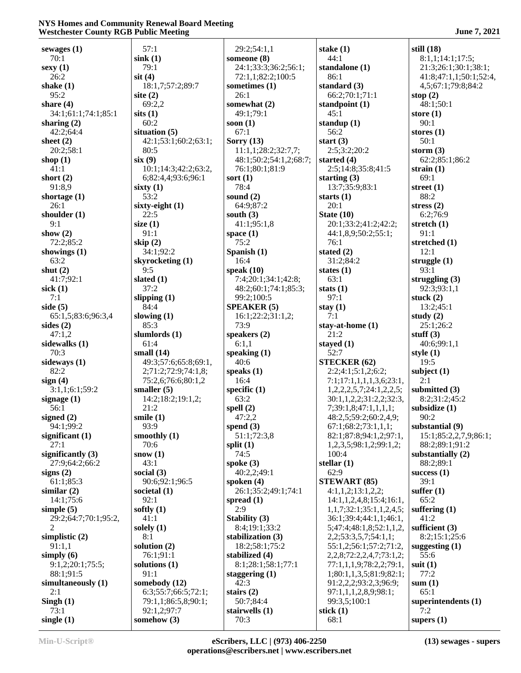| sewages $(1)$        | 57:1                       | 29:2;54:1,1            | stake $(1)$                        | still $(18)$           |
|----------------------|----------------------------|------------------------|------------------------------------|------------------------|
| 70:1                 | sink(1)                    | someone (8)            | 44:1                               | 8:1,1;14:1;17:5;       |
| $s$ exy $(1)$        | 79:1                       | 24:1;33:3;36:2;56:1;   | standalone (1)                     | 21:3;26:1;30:1;38:1;   |
| 26:2                 | $s$ it $(4)$               | 72:1,1;82:2;100:5      | 86:1                               | 41:8;47:1,1;50:1;52:4, |
| shake $(1)$          | 18:1,7;57:2;89:7           | sometimes (1)          |                                    |                        |
|                      |                            |                        | standard $(3)$                     | 4,5;67:1;79:8;84:2     |
| 95:2                 | site $(2)$                 | 26:1                   | 66:2;70:1;71:1                     | stop $(2)$             |
| share $(4)$          | 69:2,2                     | somewhat (2)           | standpoint (1)                     | 48:1;50:1              |
| 34:1;61:1;74:1;85:1  | sits(1)                    | 49:1;79:1              | 45:1                               | store $(1)$            |
| sharing $(2)$        | 60:2                       | soon $(1)$             | standup $(1)$                      | 90:1                   |
| 42:2;64:4            | situation $(5)$            | 67:1                   | 56:2                               | stores $(1)$           |
| sheet $(2)$          | 42:1;53:1;60:2;63:1;       | Sorry $(13)$           | start $(3)$                        | 50:1                   |
|                      |                            |                        |                                    |                        |
| 20:2;58:1            | 80:5                       | 11:1,1;28:2;32:7,7;    | 2:5;3:2;20:2                       | storm $(3)$            |
| shop $(1)$           | six(9)                     | 48:1;50:2;54:1,2;68:7; | started $(4)$                      | 62:2;85:1;86:2         |
| 41:1                 | 10:1;14:3;42:2;63:2,       | 76:1;80:1;81:9         | 2:5;14:8;35:8;41:5                 | strain $(1)$           |
| short $(2)$          | 6;82:4,4;93:6;96:1         | sort $(1)$             | starting $(3)$                     | 69:1                   |
| 91:8,9               | sixty $(1)$                | 78:4                   | 13:7;35:9;83:1                     | street $(1)$           |
| shortage $(1)$       | 53:2                       | sound $(2)$            | starts $(1)$                       | 88:2                   |
| 26:1                 |                            | 64:9;87:2              | 20:1                               | stress $(2)$           |
|                      | sixty-eight (1)            |                        |                                    |                        |
| shoulder $(1)$       | 22:5                       | south $(3)$            | State $(10)$                       | 6:2;76:9               |
| 9:1                  | size $(1)$                 | 41:1;95:1,8            | 20:1;33:2;41:2;42:2;               | stretch $(1)$          |
| show $(2)$           | 91:1                       | space $(1)$            | 44:1,8,9;50:2;55:1;                | 91:1                   |
| 72:2:85:2            | skip $(2)$                 | 75:2                   | 76:1                               | stretched (1)          |
| showings $(1)$       | 34:1;92:2                  | Spanish (1)            | stated $(2)$                       | 12:1                   |
| 63:2                 | skyrocketing (1)           | 16:4                   | 31:2;84:2                          | struggle $(1)$         |
|                      |                            |                        |                                    |                        |
| shut $(2)$           | 9:5                        | speak $(10)$           | states $(1)$                       | 93:1                   |
| 41:7;92:1            | slated (1)                 | 7:4:20:1:34:1:42:8:    | 63:1                               | struggling $(3)$       |
| sick $(1)$           | 37:2                       | 48:2;60:1;74:1;85:3;   | stats $(1)$                        | 92:3;93:1,1            |
| 7:1                  | slipping $(1)$             | 99:2;100:5             | 97:1                               | stuck $(2)$            |
| side $(5)$           | 84:4                       | <b>SPEAKER (5)</b>     | stay $(1)$                         | 13:2;45:1              |
| 65:1,5;83:6;96:3,4   | slowing $(1)$              | 16:1;22:2;31:1,2;      | 7:1                                | study $(2)$            |
| sides $(2)$          | 85:3                       | 73:9                   | stay-at-home $(1)$                 | 25:1;26:2              |
| 47:1,2               |                            |                        | 21:2                               | stuff $(3)$            |
|                      | slumlords (1)              | speakers $(2)$         |                                    |                        |
| sidewalks (1)        | 61:4                       | 6:1,1                  | stayed $(1)$                       | 40:6;99:1,1            |
| 70:3                 | small $(14)$               | speaking $(1)$         | 52:7                               | style $(1)$            |
| sideways (1)         | 49:3;57:6;65:8;69:1,       | 40:6                   | <b>STECKER (62)</b>                | 19:5                   |
| 82:2                 | 2;71:2;72:9;74:1,8;        | speaks $(1)$           | 2:2;4:1;5:1,2;6:2;                 | subject $(1)$          |
| sign(4)              | 75:2,6;76:6;80:1,2         | 16:4                   | 7:1;17:1,1,1,1,3,6;23:1,           | 2:1                    |
| 3:1,1;6:1;59:2       | smaller $(5)$              | specific $(1)$         | 1,2,2,2,5,7;24:1,2,2,5;            | submitted (3)          |
| signage $(1)$        | 14:2;18:2;19:1,2;          | 63:2                   | 30:1,1,2,2;31:2,2;32:3,            | 8:2;31:2;45:2          |
|                      |                            |                        |                                    |                        |
| 56:1                 | 21:2                       | spell $(2)$            | 7;39:1,8;47:1,1,1,1;               | subsidize (1)          |
| signed $(2)$         | smile $(1)$                | 47:2,2                 | 48:2,5;59:2;60:2,4,9;              | 90:2                   |
| 94:1;99:2            | 93:9                       | spend $(3)$            | 67:1;68:2;73:1,1,1;                | substantial (9)        |
| significant $(1)$    | smoothly (1)               | 51:1;72:3,8            | 82:1;87:8;94:1,2;97:1,             | 15:1;85:2,2,7,9;86:1;  |
| 27:1                 | 70:6                       | split $(1)$            | 1,2,3,5;98:1,2;99:1,2;             | 88:2;89:1;91:2         |
| significantly $(3)$  | snow $(1)$                 | 74:5                   | 100:4                              | substantially $(2)$    |
| 27:9;64:2;66:2       | 43:1                       | spoke $(3)$            | stellar $(1)$                      | 88:2:89:1              |
|                      |                            |                        |                                    |                        |
| signs $(2)$          | social $(3)$               | 40:2,2;49:1            | 62:9                               | success $(1)$          |
| 61:1;85:3            | 90:6;92:1;96:5             | spoken $(4)$           | <b>STEWART (85)</b>                | 39:1                   |
| similar $(2)$        | societal $(1)$             | 26:1;35:2;49:1;74:1    | 4:1,1,2;13:1,2,2;                  | suffer $(1)$           |
| 14:1:75:6            | 92:1                       | spread $(1)$           | 14:1,1,2,4,8;15:4;16:1,            | 65:2                   |
| simple $(5)$         | softly $(1)$               | 2:9                    | 1,1,7;32:1;35:1,1,2,4,5;           | suffering $(1)$        |
| 29:2;64:7;70:1;95:2, | 41:1                       | Stability (3)          | 36:1;39:4;44:1,1;46:1,             | 41:2                   |
| $\overline{c}$       |                            |                        |                                    |                        |
|                      |                            |                        |                                    |                        |
|                      | solely $(1)$               | 8:4;19:1;33:2          | 5;47:4;48:1,8;52:1,1,2,            | sufficient $(3)$       |
| simplistic $(2)$     | 8:1                        | stabilization (3)      | 2,2;53:3,5,7;54:1,1;               | 8:2;15:1;25:6          |
| 91:1,1               | solution $(2)$             | 18:2;58:1;75:2         | 55:1,2;56:1;57:2;71:2,             | suggesting $(1)$       |
| simply $(6)$         | 76:1;91:1                  | stabilized (4)         | 2, 2, 8; 72: 2, 2, 4, 7; 73: 1, 2; | 55:6                   |
| 9:1,2;20:1;75:5;     | solutions (1)              | 8:1;28:1;58:1;77:1     | 77:1,1,1,9;78:2,2;79:1,            | suit $(1)$             |
|                      |                            |                        |                                    |                        |
| 88:1;91:5            | 91:1                       | staggering $(1)$       | 1;80:1,1,3,5;81:9;82:1;            | 77:2                   |
| simultaneously (1)   | somebody (12)              | 42:3                   | 91:2,2,2;93:2,3;96:9;              | sum(1)                 |
| 2:1                  | 6:3;55:7;66:5;72:1;        | stairs $(2)$           | 97:1,1,1,2,8,9;98:1;               | 65:1                   |
| Singh $(1)$          | 79:1,1;86:5,8;90:1;        | 50:7;84:4              | 99:3,5;100:1                       | superintendents (1)    |
| 73:1<br>single $(1)$ | 92:1,2;97:7<br>somehow (3) | stairwells (1)<br>70:3 | stick $(1)$<br>68:1                | 7:2<br>supers $(1)$    |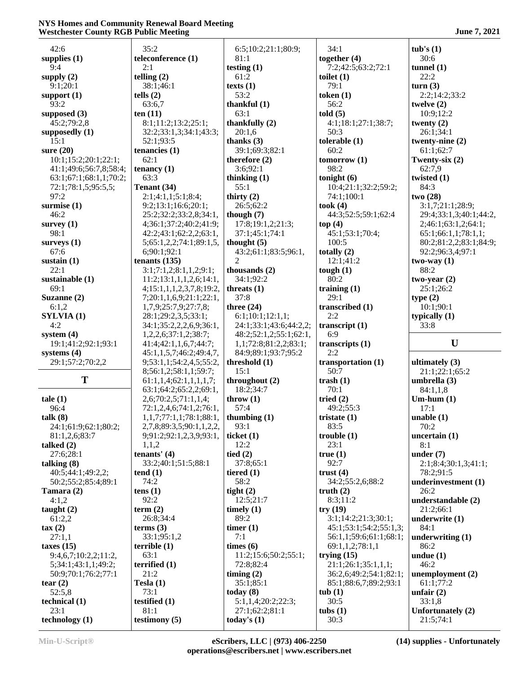| 42:6                   | 35:2                     | 6:5;10:2;21:1;80:9;             | 34:1                   | tub's(1)                       |
|------------------------|--------------------------|---------------------------------|------------------------|--------------------------------|
| supplies $(1)$         | teleconference (1)       | 81:1                            | together $(4)$         | 30:6                           |
| 9:4                    | 2:1                      | testing $(1)$                   | 7:2;42:5;63:2;72:1     | tunnel $(1)$                   |
| supply $(2)$           | telling $(2)$            | 61:2                            | toilet $(1)$           | 22:2                           |
| 9:1:20:1               | 38:1;46:1                | texts $(1)$                     | 79:1                   | turn(3)                        |
| support $(1)$          | tells $(2)$              | 53:2                            | token $(1)$            | 2:2;14:2;33:2                  |
| 93:2                   | 63:6,7                   |                                 | 56:2                   |                                |
|                        | ten $(11)$               | thankful $(1)$<br>63:1          | told(5)                | twelve $(2)$<br>10:9;12:2      |
| supposed $(3)$         |                          |                                 |                        |                                |
| 45:2;79:2,8            | 8:1;11:2;13:2;25:1;      | thankfully $(2)$                | 4:1;18:1;27:1;38:7;    | twenty $(2)$                   |
| supposedly (1)         | 32:2;33:1,3;34:1;43:3;   | 20:1,6                          | 50:3                   | 26:1;34:1                      |
| 15:1                   | 52:1;93:5                | thanks $(3)$                    | tolerable $(1)$        | twenty-nine $(2)$              |
| sure $(20)$            | tenancies (1)            | 39:1;69:3;82:1                  | 60:2                   | 61:1;62:7                      |
| 10:1;15:2;20:1;22:1;   | 62:1                     | therefore $(2)$                 | tomorrow(1)            | Twenty-six (2)                 |
| 41:1;49:6;56:7,8;58:4; | tenancy $(1)$            | 3:6;92:1                        | 98:2                   | 62:7,9                         |
| 63:1;67:1;68:1,1;70:2; | 63:3                     | thinking $(1)$                  | tonight $(6)$          | twisted (1)                    |
| 72:1;78:1,5;95:5,5;    | Tenant (34)              | 55:1                            | 10:4;21:1;32:2;59:2;   | 84:3                           |
| 97:2                   | 2:1;4:1,1;5:1;8:4;       | thirty $(2)$                    | 74:1;100:1             | two(28)                        |
| surmise $(1)$          | 9:2;13:1;16:6;20:1;      | 26:5;62:2                       | took $(4)$             | 3:1,7;21:1;28:9;               |
| 46:2                   | 25:2;32:2;33:2,8;34:1,   | though $(7)$                    | 44:3;52:5;59:1;62:4    | 29:4;33:1,3;40:1;44:2,         |
| survey $(1)$           | 4;36:1;37:2;40:2;41:9;   | 17:8;19:1,2;21:3;               | top(4)                 | 2;46:1;63:1,2;64:1;            |
| 98:1                   | 42:2;43:1;62:2,2;63:1,   | 37:1;45:1;74:1                  | 45:1;53:1;70:4;        | 65:1;66:1,1;78:1,1;            |
| surveys $(1)$          | 5;65:1,2,2;74:1;89:1,5,  | thought $(5)$                   | 100:5                  | 80:2;81:2,2;83:1;84:9;         |
| 67:6                   | 6;90:1;92:1              | 43:2;61:1;83:5;96:1,            | totally $(2)$          | 92:2;96:3,4;97:1               |
| sustain $(1)$          | tenants $(135)$          | 2                               | 12:1;41:2              | $two-way(1)$                   |
| 22:1                   | 3:1;7:1,2;8:1,1,2;9:1;   | thousands $(2)$                 | tough $(1)$            | 88:2                           |
| sustainable (1)        | 11:2;13:1,1,1,2,6;14:1,  | 34:1;92:2                       | 80:2                   | two-year $(2)$                 |
| 69:1                   | 4;15:1,1,1,2,3,7,8;19:2, | threats (1)                     | training $(1)$         | 25:1;26:2                      |
| Suzanne (2)            | 7;20:1,1,6,9;21:1;22:1,  | 37:8                            | 29:1                   | type(2)                        |
| 6:1,2                  | 1,7,9;25:7,9;27:7,8;     | three $(24)$                    | transcribed (1)        | 10:1;90:1                      |
| SYLVIA (1)             | 28:1;29:2,3,5;33:1;      | 6:1;10:1;12:1,1;                | 2:2                    | typically $(1)$                |
| 4:2                    | 34:1;35:2,2,2,6,9;36:1,  | 24:1;33:1;43:6;44:2,2;          | transcript $(1)$       | 33:8                           |
|                        |                          |                                 |                        |                                |
|                        |                          |                                 |                        |                                |
| system $(4)$           | 1,2,2,6;37:1,2;38:7;     | 48:2;52:1,2;55:1;62:1,          | 6:9                    |                                |
| 19:1;41:2;92:1;93:1    | 41:4;42:1,1,6,7;44:7;    | 1,1;72:8;81:2,2;83:1;           | transcripts $(1)$      | U                              |
| systems $(4)$          | 45:1,1,5,7;46:2;49:4,7,  | 84:9;89:1;93:7;95:2             | 2:2                    |                                |
| 29:1;57:2;70:2,2       | 9;53:1,1;54:2,4,5;55:2,  | threshold (1)                   | transportation (1)     | ultimately $(3)$               |
|                        | 8;56:1,2;58:1,1;59:7;    | 15:1                            | 50:7                   | 21:1;22:1;65:2                 |
| T                      | 61:1,1,4;62:1,1,1,1,7;   | throughout (2)                  | trash $(1)$            | umbrella (3)                   |
|                        | 63:1;64:2;65:2,2;69:1,   | 18:2;34:7                       | 70:1                   | 84:1,1,8                       |
| tale(1)                | 2,6;70:2,5;71:1,1,4;     | throw $(1)$                     | tried $(2)$            | $Um-hum(1)$                    |
| 96:4                   | 72:1,2,4,6;74:1,2;76:1,  | 57:4                            | 49:2;55:3              | 17:1                           |
| talk (8)               | 1,1,7;77:1,1;78:1;88:1,  | thumbing $(1)$                  | tristate $(1)$         | unable(1)                      |
| 24:1;61:9;62:1;80:2;   | 2,7,8;89:3,5;90:1,1,2,2, | 93:1                            | 83:5                   | 70:2                           |
| 81:1,2,6;83:7          | 9;91:2;92:1,2,3,9;93:1,  | ticket $(1)$                    | trouble(1)             | uncertain (1)                  |
| talked $(2)$           | 1,1,2                    | 12:2                            | 23:1                   | 8:1                            |
| 27:6;28:1              | tenants' $(4)$           | tied $(2)$                      | true(1)                | under $(7)$                    |
| talking $(8)$          | 33:2;40:1;51:5;88:1      | 37:8;65:1                       | 92:7                   | 2:1;8:4;30:1,3;41:1;           |
| 40:5;44:1;49:2,2;      | tend(1)                  | tiered $(1)$                    | trust $(4)$            | 78:2;91:5                      |
|                        | 74:2                     | 58:2                            | 34:2;55:2,6;88:2       | underinvestment (1)            |
| 50:2;55:2;85:4;89:1    |                          |                                 |                        | 26:2                           |
| Tamara (2)             | tens $(1)$               | tight $(2)$<br>12:5:21:7        | truth $(2)$            |                                |
| 4:1,2                  | 92:2                     |                                 | 8:3;11:2               | understandable (2)             |
| taught $(2)$           | term $(2)$               | timely $(1)$                    | try(19)                | 21:2;66:1                      |
| 61:2,2                 | 26:8;34:4                | 89:2                            | 3:1;14:2;21:3;30:1;    | underwrite (1)                 |
| $\tan(2)$              | terms $(3)$              | timer $(1)$                     | 45:1;53:1;54:2;55:1,3; | 84:1                           |
| 27:1,1                 | 33:1;95:1,2              | 7:1                             | 56:1,1;59:6;61:1;68:1; | underwriting $(1)$             |
| taxes $(15)$           | terrible(1)              | times (6)                       | 69:1,1,2;78:1,1        | 86:2                           |
| 9:4,6,7;10:2,2;11:2,   | 63:1                     | 11:2;15:6;50:2;55:1;            | trying $(15)$          | undue $(1)$                    |
| 5;34:1;43:1,1;49:2;    | terrified $(1)$          | 72:8;82:4                       | 21:1;26:1;35:1,1,1;    | 46:2                           |
| 50:9;70:1;76:2;77:1    | 21:2                     | timing $(2)$                    | 36:2,6;49:2;54:1;82:1; | unemployment (2)               |
| tear $(2)$             | Tesla $(1)$              | 35:1;85:1                       | 85:1;88:6,7;89:2;93:1  | 61:1;77:2                      |
| 52:5,8                 | 73:1                     | today $(8)$                     | tub(1)                 | unfair $(2)$                   |
| technical (1)          | testified $(1)$          | 5:1,1,4;20:2;22:3;              | 30:5                   | 33:1,8                         |
| 23:1<br>technology (1) | 81:1<br>testimony $(5)$  | 27:1;62:2;81:1<br>today's $(1)$ | tubs $(1)$<br>30:3     | Unfortunately (2)<br>21:5;74:1 |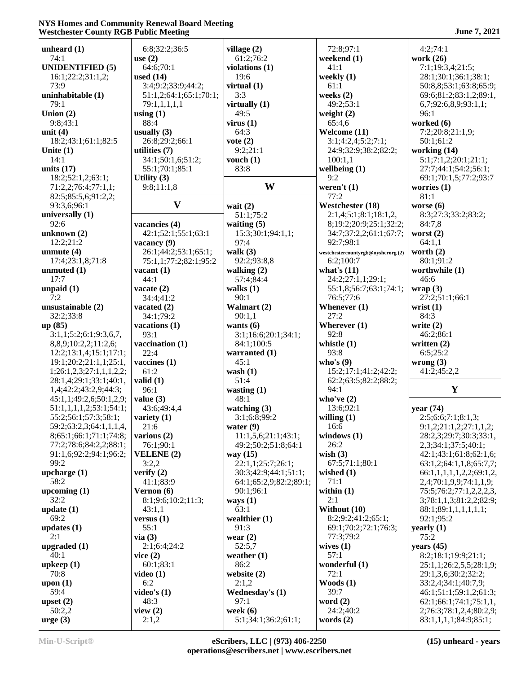| westenester County KOD I ubite meeting |                        |                        |                                   |                          |
|----------------------------------------|------------------------|------------------------|-----------------------------------|--------------------------|
| unheard $(1)$                          | 6:8;32:2;36:5          | village (2)            | 72:8;97:1                         | 4:2;74:1                 |
| 74:1                                   | use $(2)$              | 61:2;76:2              | weekend (1)                       | work (26)                |
| <b>UNIDENTIFIED (5)</b>                | 64:6;70:1              | violations (1)         | 41:1                              | 7:1;19:3,4;21:5;         |
| 16:1;22:2;31:1,2;                      | used $(14)$            | 19:6                   | weekly $(1)$                      | 28:1;30:1;36:1;38:1;     |
| 73:9                                   | 3:4;9:2;33:9;44:2;     | virtual $(1)$          | 61:1                              | 50:8,8;53:1;63:8;65:9;   |
| uninhabitable (1)                      | 51:1,2;64:1;65:1;70:1; | 3:3                    | weeks $(2)$                       | 69:6;81:2;83:1,2;89:1,   |
| 79:1                                   | 79:1,1,1,1,1           | virtually (1)          | 49:2;53:1                         | 6,7;92:6,8,9;93:1,1;     |
| Union $(2)$                            | using $(1)$            | 49:5                   | weight $(2)$                      | 96:1                     |
| 9:8:43:1                               | 88:4                   | virus $(1)$            | 65:4,6                            | worked (6)               |
|                                        |                        |                        |                                   |                          |
| unit $(4)$                             | usually $(3)$          | 64:3                   | Welcome (11)                      | 7:2;20:8;21:1,9;         |
| 18:2;43:1;61:1;82:5                    | 26:8;29:2;66:1         | vote $(2)$             | 3:1;4:2,4;5:2;7:1;                | 50:1;61:2                |
| Unite $(1)$                            | utilities (7)          | 9:2;21:1               | 24:9;32:9;38:2;82:2;              | working (14)             |
| 14:1                                   | 34:1;50:1,6;51:2;      | vouch $(1)$            | 100:1,1                           | 5:1;7:1,2;20:1;21:1;     |
| units $(17)$                           | 55:1;70:1;85:1         | 83:8                   | wellbeing $(1)$                   | 27:7;44:1;54:2;56:1;     |
| 18:2;52:1,2;63:1;                      | Utility $(3)$          |                        | 9:2                               | 69:1;70:1,5;77:2;93:7    |
| 71:2,2;76:4;77:1,1;                    | 9:8;11:1,8             | W                      | weren't $(1)$                     | worries $(1)$            |
| 82:5;85:5,6;91:2,2;                    |                        |                        | 77:2                              | 81:1                     |
| 93:3,6;96:1                            | $\mathbf{V}$           | wait $(2)$             | Westchester (18)                  | worse $(6)$              |
| universally $(1)$                      |                        | 51:1;75:2              | 2:1,4;5:1;8:1;18:1,2              | 8:3;27:3;33:2;83:2;      |
| 92:6                                   | vacancies (4)          | waiting $(5)$          | 8;19:2;20:9;25:1;32:2;            | 84:7,8                   |
| unknown $(2)$                          | 42:1;52:1;55:1;63:1    | 15:3;30:1;94:1,1;      | 34:7;37:2,2;61:1;67:7;            | worst $(2)$              |
| 12:2;21:2                              | vacancy $(9)$          | 97:4                   | 92:7;98:1                         | 64:1,1                   |
| unmute $(4)$                           | 26:1;44:2;53:1;65:1;   | walk $(3)$             | westchestercountyrgb@nyshcrorg(2) | worth $(2)$              |
| 17:4;23:1,8;71:8                       | 75:1,1;77:2;82:1;95:2  | 92:2;93:8,8            | 6:2;100:7                         | 80:1;91:2                |
|                                        |                        |                        | what's $(11)$                     | worthwhile (1)           |
| unmuted $(1)$                          | vacant $(1)$           | walking $(2)$          |                                   |                          |
| 17:7                                   | 44:1                   | 57:4;84:4              | 24:2;27:1,1;29:1;                 | 46:6                     |
| unpaid $(1)$                           | vacate $(2)$           | walks $(1)$            | 55:1,8;56:7;63:1;74:1;            | wrap(3)                  |
| 7:2                                    | 34:4;41:2              | 90:1                   | 76:5;77:6                         | 27:2;51:1;66:1           |
| unsustainable (2)                      | vacated $(2)$          | Walmart (2)            | Whenever $(1)$                    | wrist $(1)$              |
| 32:2;33:8                              | 34:1;79:2              | 90:1,1                 | 27:2                              | 84:3                     |
| up (85)                                | vacations (1)          | wants $(6)$            | Wherever $(1)$                    | write $(2)$              |
| 3:1,1;5:2;6:1;9:3,6,7,                 | 93:1                   | 3:1;16:6;20:1;34:1;    | 92:8                              | 46:2;86:1                |
| 8,8,9;10:2,2;11:2,6;                   | vaccination (1)        | 84:1;100:5             | whistle $(1)$                     | written $(2)$            |
| 12:2;13:1,4;15:1;17:1;                 | 22:4                   | warranted (1)          | 93:8                              | 6:5;25:2                 |
| 19:1;20:2;21:1,1;25:1,                 | vaccines $(1)$         | 45:1                   | who's $(9)$                       | wrong $(3)$              |
| 1;26:1,2,3;27:1,1,1,2,2;               | 61:2                   | wash $(1)$             | 15:2;17:1;41:2;42:2;              | 41:2;45:2,2              |
| 28:1,4;29:1;33:1;40:1,                 | valid $(1)$            | 51:4                   | 62:2;63:5;82:2;88:2;              |                          |
| 1,4;42:2;43:2,9;44:3;                  | 96:1                   | wasting $(1)$          | 94:1                              | Y                        |
| 45:1,1;49:2,6;50:1,2,9;                | value $(3)$            | 48:1                   | who've $(2)$                      |                          |
| 51:1,1,1,1,2;53:1;54:1;                | 43:6;49:4,4            | watching $(3)$         | 13:6;92:1                         | year $(74)$              |
|                                        |                        |                        |                                   |                          |
| 55:2;56:1;57:3;58:1;                   | variety $(1)$          | 3:1;6:8;99:2           | willing $(1)$                     | 2:5:6:6;7:1:8:1.3        |
| 59:2;63:2,3;64:1,1,1,4,                | 21:6                   | water $(9)$            | 16:6                              | 9:1,2;21:1,2;27:1,1,2;   |
| 8;65:1;66:1;71:1;74:8;                 | various $(2)$          | 11:1,5,6;21:1;43:1;    | windows (1)                       | 28:2,3;29:7;30:3;33:1,   |
| 77:2;78:6;84:2,2;88:1;                 | 76:1;90:1              | 49:2;50:2;51:8;64:1    | 26:2                              | 2,3;34:1;37:5;40:1;      |
| 91:1,6;92:2;94:1;96:2;                 | <b>VELENE</b> (2)      | way $(15)$             | wish $(3)$                        | 42:1;43:1;61:8;62:1,6;   |
| 99:2                                   | 3:2,2                  | 22:1,1;25:7;26:1;      | 67:5:71:1:80:1                    | 63:1,2;64:1,1,8;65:7,7;  |
| upcharge $(1)$                         | verify $(2)$           | 30:3;42:9;44:1;51:1;   | wished $(1)$                      | 66:1,1,1,1,1,2,2;69:1,2, |
| 58:2                                   | 41:1;83:9              | 64:1;65:2,9;82:2;89:1; | 71:1                              | 2,4;70:1,9,9;74:1,1,9;   |
| upcoming $(1)$                         | Vernon $(6)$           | 90:1;96:1              | within $(1)$                      | 75:5;76:2;77:1,2,2,2,3,  |
| 32:2                                   | 8:1;9:6;10:2;11:3;     | ways $(1)$             | 2:1                               | 3;78:1,1,3;81:2,2;82:9;  |
| update $(1)$                           | 43:1,1                 | 63:1                   | Without (10)                      | 88:1;89:1,1,1,1,1,1,1;   |
| 69:2                                   | versus $(1)$           | wealthier $(1)$        | 8:2;9:2;41:2;65:1;                | 92:1;95:2                |
| updates $(1)$                          | 55:1                   | 91:3                   | 69:1;70:2;72:1;76:3;              | yearly(1)                |
| 2:1                                    | via(3)                 | wear $(2)$             | 77:3;79:2                         | 75:2                     |
| upgraded $(1)$                         | 2:1;6:4;24:2           | 52:5,7                 | wives $(1)$                       | years $(45)$             |
| 40:1                                   |                        |                        | 57:1                              |                          |
|                                        | vice $(2)$             | weather $(1)$          |                                   | 8:2;18:1;19:9;21:1;      |
| upkeep(1)                              | 60:1;83:1              | 86:2                   | wonderful (1)                     | 25:1,1;26:2,5,5;28:1,9;  |
| 70:8                                   | video $(1)$            | website $(2)$          | 72:1                              | 29:1,3,6;30:2;32:2;      |
| upon $(1)$                             | 6:2                    | 2:1,2                  | Woods $(1)$                       | 33:2,4;34:1;40:7,9;      |
| 59:4                                   | video's $(1)$          | Wednesday's (1)        | 39:7                              | 46:1;51:1;59:1,2;61:3;   |
| upset $(2)$                            | 48:3                   | 97:1                   | word $(2)$                        | 62:1;66:1;74:1;75:1,1,   |
| 50:2,2                                 | view $(2)$             | week $(6)$             | 24:2;40:2                         | 2;76:3;78:1,2,4;80:2,9;  |
| $\text{urge} (3)$                      | 2:1,2                  | 5:1;34:1;36:2;61:1;    | words $(2)$                       | 83:1,1,1,1;84:9;85:1;    |
|                                        |                        |                        |                                   |                          |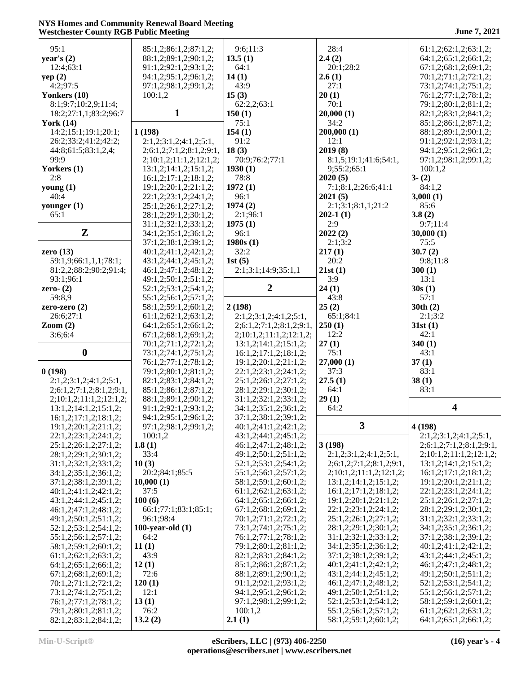| 95:1                           | 85:1,2;86:1,2;87:1,2;                          | 9:6;11:3                                       | 28:4                                | 61:1,2;62:1,2;63:1,2;    |
|--------------------------------|------------------------------------------------|------------------------------------------------|-------------------------------------|--------------------------|
| year's $(2)$                   | 88:1,2;89:1,2;90:1,2;                          | 13.5(1)                                        | 2.4(2)                              | 64:1,2;65:1,2;66:1,2;    |
| 12:4;63:1                      | 91:1,2;92:1,2;93:1,2;                          | 64:1                                           | 20:1;28:2                           | 67:1,2;68:1,2;69:1,2;    |
| yep(2)                         | 94:1,2;95:1,2;96:1,2;                          | 14(1)                                          | 2.6(1)                              | 70:1,2;71:1,2;72:1,2;    |
| 4:2;97:5                       | 97:1,2;98:1,2;99:1,2;                          | 43:9                                           | 27:1                                | 73:1,2;74:1,2;75:1,2;    |
| Yonkers (10)                   | 100:1,2                                        | 15(3)                                          | 20(1)                               | 76:1,2;77:1,2;78:1,2;    |
| 8:1;9:7;10:2,9;11:4;           |                                                | 62:2,2;63:1                                    | 70:1                                | 79:1,2;80:1,2;81:1,2;    |
| 18:2;27:1,1;83:2;96:7          | $\mathbf{1}$                                   | 150(1)                                         | 20,000(1)                           | 82:1,2;83:1,2;84:1,2;    |
| York $(14)$                    |                                                | 75:1                                           | 34:2                                | 85:1,2;86:1,2;87:1,2;    |
| 14:2;15:1;19:1;20:1;           | 1(198)                                         | 154(1)                                         | 200,000(1)                          | 88:1,2;89:1,2;90:1,2;    |
| 26:2;33:2;41:2;42:2;           | 2:1,2;3:1,2;4:1,2;5:1,                         | 91:2                                           | 12:1                                | 91:1,2;92:1,2;93:1,2;    |
| 44:8;61:5;83:1,2,4;            | 2; 6: 1, 2; 7: 1, 2; 8: 1, 2; 9: 1,            | 18(3)                                          | 2019(8)                             | 94:1,2;95:1,2;96:1,2;    |
| 99:9                           | 2;10:1,2;11:1,2;12:1,2;                        | 70:9;76:2;77:1                                 | 8:1,5;19:1;41:6;54:1,               | 97:1,2;98:1,2;99:1,2;    |
| Yorkers (1)                    | 13:1,2;14:1,2;15:1,2;                          | 1930(1)                                        | 9;55:2;65:1                         | 100:1,2                  |
| 2:8                            | 16:1,2;17:1,2;18:1,2;                          | 78:8                                           | 2020(5)                             | $3-(2)$                  |
| young $(1)$                    | 19:1,2;20:1,2;21:1,2;                          | 1972(1)                                        | 7:1;8:1,2;26:6;41:1                 | 84:1,2                   |
| 40:4                           | 22:1,2;23:1,2;24:1,2;                          | 96:1                                           | 2021(5)                             | 3,000(1)                 |
| younger $(1)$                  | 25:1,2;26:1,2;27:1,2;                          | 1974(2)                                        | 2:1;3:1;8:1,1;21:2                  | 85:6                     |
| 65:1                           | 28:1,2;29:1,2;30:1,2;                          | 2:1;96:1                                       | $202-1(1)$                          | 3.8(2)                   |
|                                | 31:1,2;32:1,2;33:1,2;                          | 1975(1)                                        | 2:9                                 | 9:7:11:4                 |
| $\mathbf{Z}$                   | 34:1,2;35:1,2;36:1,2;                          | 96:1                                           | 2022(2)                             | 30,000(1)                |
|                                | 37:1,2;38:1,2;39:1,2;                          | 1980s(1)                                       | 2:1;3:2                             | 75:5                     |
| zero $(13)$                    | 40:1,2;41:1,2;42:1,2;                          | 32:2                                           | 217(1)                              | 30.7(2)                  |
| 59:1,9;66:1,1,1;78:1;          | 43:1,2;44:1,2;45:1,2;                          | 1st $(5)$                                      | 20:2                                | 9:8;11:8                 |
| 81:2,2;88:2;90:2;91:4;         | 46:1,2;47:1,2;48:1,2;                          | 2:1;3:1;14:9;35:1,1                            | 21st(1)                             | 300(1)                   |
| 93:1;96:1                      | 49:1,2;50:1,2;51:1,2;                          |                                                | 3:9                                 | 13:1                     |
| zero- $(2)$                    | 52:1,2;53:1,2;54:1,2;                          | $\boldsymbol{2}$                               | 24(1)                               | 30s(1)                   |
| 59:8,9                         | 55:1,2;56:1,2;57:1,2;                          |                                                | 43:8                                | 57:1                     |
| zero-zero $(2)$                | 58:1,2;59:1,2;60:1,2;                          | 2(198)                                         | 25(2)                               | 30th $(2)$               |
| 26:6;27:1                      | 61:1,2;62:1,2;63:1,2;                          | 2:1,2;3:1,2;4:1,2;5:1,                         | 65:1;84:1                           | 2:1;3:2                  |
| $\mathrm{Zoom}\left( 2\right)$ | 64:1,2;65:1,2;66:1,2;                          | 2;6:1,2;7:1,2;8:1,2;9:1,                       | 250(1)                              | 31st(1)                  |
| 3:6;6:4                        | 67:1,2;68:1,2;69:1,2;                          | 2;10:1,2;11:1,2;12:1,2;                        | 12:2                                | 42:1                     |
|                                |                                                |                                                |                                     |                          |
|                                |                                                |                                                |                                     | 340(1)                   |
| $\boldsymbol{0}$               | 70:1,2;71:1,2;72:1,2;                          | 13:1,2;14:1,2;15:1,2;<br>16:1,2;17:1,2;18:1,2; | 27(1)<br>75:1                       | 43:1                     |
|                                | 73:1,2;74:1,2;75:1,2;<br>76:1,2;77:1,2;78:1,2; | 19:1,2;20:1,2;21:1,2;                          |                                     | 37(1)                    |
| 0(198)                         | 79:1,2;80:1,2;81:1,2;                          | 22:1,2;23:1,2;24:1,2;                          | 27,000 (1)<br>37:3                  | 83:1                     |
| 2:1,2;3:1,2;4:1,2;5:1,         | 82:1,2;83:1,2;84:1,2;                          | 25:1,2;26:1,2;27:1,2;                          | 27.5(1)                             | 38(1)                    |
| 2;6:1,2;7:1,2;8:1,2;9:1,       | 85:1,2;86:1,2;87:1,2;                          | 28:1,2;29:1,2;30:1,2;                          | 64:1                                | 83:1                     |
| 2;10:1,2;11:1,2;12:1,2;        | 88:1,2;89:1,2;90:1,2;                          | 31:1,2;32:1,2;33:1,2;                          | 29(1)                               |                          |
| 13:1,2;14:1,2;15:1,2;          | 91:1,2;92:1,2;93:1,2;                          | 34:1,2;35:1,2;36:1,2;                          | 64:2                                | $\overline{\mathbf{4}}$  |
| 16:1,2;17:1,2;18:1,2;          | 94:1,2;95:1,2;96:1,2;                          | 37:1,2;38:1,2;39:1,2;                          |                                     |                          |
| 19:1,2;20:1,2;21:1,2;          | 97:1,2;98:1,2;99:1,2;                          | 40:1,2;41:1,2;42:1,2;                          | $\overline{\mathbf{3}}$             | 4 (198)                  |
| 22:1,2;23:1,2;24:1,2;          | 100:1,2                                        | 43:1,2;44:1,2;45:1,2;                          |                                     | 2:1,2;3:1,2;4:1,2;5:1,   |
| 25:1,2;26:1,2;27:1,2;          | 1.8(1)                                         | 46:1,2;47:1,2;48:1,2;                          | 3(198)                              | 2;6:1,2;7:1,2;8:1,2;9:1, |
| 28:1,2;29:1,2;30:1,2;          | 33:4                                           | 49:1,2;50:1,2;51:1,2;                          | 2:1,2;3:1,2;4:1,2;5:1,              | 2;10:1,2;11:1,2;12:1,2;  |
| 31:1,2;32:1,2;33:1,2;          | 10(3)                                          | 52:1,2;53:1,2;54:1,2;                          | 2; 6: 1, 2; 7: 1, 2; 8: 1, 2; 9: 1, | 13:1,2;14:1,2;15:1,2;    |
| 34:1,2;35:1,2;36:1,2;          | 20:2;84:1;85:5                                 | 55:1,2;56:1,2;57:1,2;                          | 2;10:1,2;11:1,2;12:1,2;             | 16:1,2;17:1,2;18:1,2;    |
| 37:1,2;38:1,2;39:1,2;          | 10,000(1)                                      | 58:1,2;59:1,2;60:1,2;                          | 13:1,2;14:1,2;15:1,2;               | 19:1,2;20:1,2;21:1,2;    |
| 40:1,2;41:1,2;42:1,2;          | 37:5                                           | 61:1,2;62:1,2;63:1,2;                          | 16:1,2;17:1,2;18:1,2;               | 22:1,2;23:1,2;24:1,2;    |
| 43:1,2;44:1,2;45:1,2;          | 100(6)                                         | 64:1,2;65:1,2;66:1,2;                          | 19:1,2;20:1,2;21:1,2;               | 25:1,2;26:1,2;27:1,2;    |
| 46:1,2;47:1,2;48:1,2;          | 66:1;77:1;83:1;85:1;                           | 67:1,2;68:1,2;69:1,2;                          | 22:1,2;23:1,2;24:1,2;               | 28:1,2;29:1,2;30:1,2;    |
| 49:1,2;50:1,2;51:1,2;          | 96:1;98:4                                      | 70:1,2;71:1,2;72:1,2;                          | 25:1,2;26:1,2;27:1,2;               | 31:1,2;32:1,2;33:1,2;    |
| 52:1,2;53:1,2;54:1,2;          | 100-year-old $(1)$                             | 73:1,2;74:1,2;75:1,2;                          | 28:1,2;29:1,2;30:1,2;               | 34:1,2;35:1,2;36:1,2;    |
| 55:1,2;56:1,2;57:1,2;          | 64:2                                           | 76:1,2;77:1,2;78:1,2;                          | 31:1,2;32:1,2;33:1,2;               | 37:1,2;38:1,2;39:1,2;    |
| 58:1,2;59:1,2;60:1,2;          | 11(1)                                          | 79:1,2;80:1,2;81:1,2;                          | 34:1,2;35:1,2;36:1,2;               | 40:1,2;41:1,2;42:1,2;    |
| 61:1,2;62:1,2;63:1,2;          | 43:9                                           | 82:1,2;83:1,2;84:1,2;                          | 37:1,2;38:1,2;39:1,2;               | 43:1,2;44:1,2;45:1,2;    |
| 64:1,2;65:1,2;66:1,2;          | 12(1)                                          | 85:1,2;86:1,2;87:1,2;                          | 40:1,2;41:1,2;42:1,2;               | 46:1,2;47:1,2;48:1,2;    |
| 67:1,2;68:1,2;69:1,2;          | 72:6                                           | 88:1,2;89:1,2;90:1,2;                          | 43:1,2;44:1,2;45:1,2;               | 49:1,2;50:1,2;51:1,2;    |
| 70:1,2;71:1,2;72:1,2;          | 120(1)                                         | 91:1,2;92:1,2;93:1,2;                          | 46:1,2;47:1,2;48:1,2;               | 52:1,2;53:1,2;54:1,2;    |
| 73:1,2;74:1,2;75:1,2;          | 12:1                                           | 94:1,2;95:1,2;96:1,2;                          | 49:1,2;50:1,2;51:1,2;               | 55:1,2;56:1,2;57:1,2;    |
| 76:1,2;77:1,2;78:1,2;          | 13(1)                                          | 97:1,2;98:1,2;99:1,2;                          | 52:1,2;53:1,2;54:1,2;               | 58:1,2;59:1,2;60:1,2;    |
| 79:1,2;80:1,2;81:1,2;          | 76:2                                           | 100:1,2                                        | 55:1,2;56:1,2;57:1,2;               | 61:1,2;62:1,2;63:1,2;    |
| 82:1,2;83:1,2;84:1,2;          | 13.2(2)                                        | 2.1(1)                                         | 58:1,2;59:1,2;60:1,2;               | 64:1,2;65:1,2;66:1,2;    |